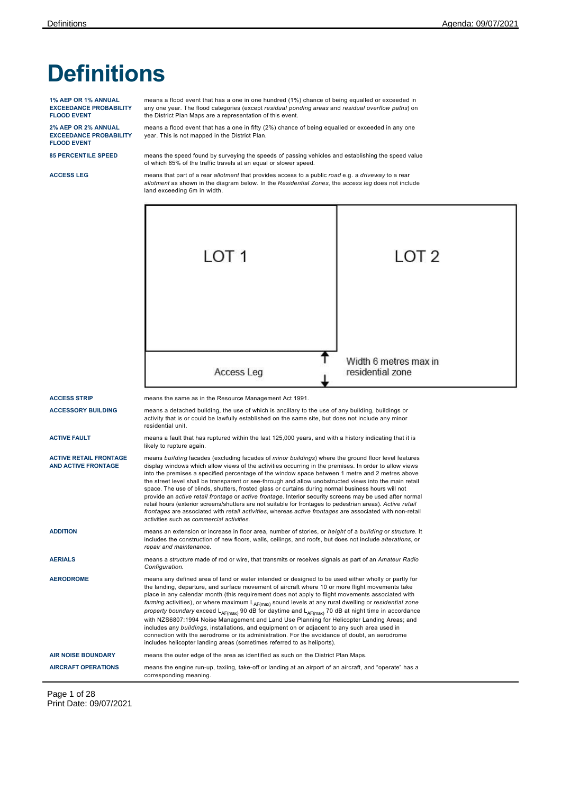# **Definitions**

**1% AEP OR 1% ANNUAL EXCEEDANCE PROBABILITY FLOOD EVENT**

**2% AEP OR 2% ANNUAL EXCEEDANCE PROBABILITY FLOOD EVENT**

means a flood event that has a one in one hundred (1%) chance of being equalled or exceeded in any one year. The flood categories (except *residual ponding areas* and *residual overflow paths*) on the District Plan Maps are a representation of this event.

means a flood event that has a one in fifty (2%) chance of being equalled or exceeded in any one year. This is not mapped in the District Plan.

**85 PERCENTILE SPEED** means the speed found by surveying the speeds of passing vehicles and establishing the speed value of which 85% of the traffic travels at an equal or slower speed.

**ACCESS LEG** means that part of a rear *allotment* that provides access to a public *road* e.g. a *driveway* to a rear *allotment* as shown in the diagram below. In the *Residential Zones*, the *access leg* does not include land exceeding 6m in width.



Page 1 of 28 Print Date: 09/07/2021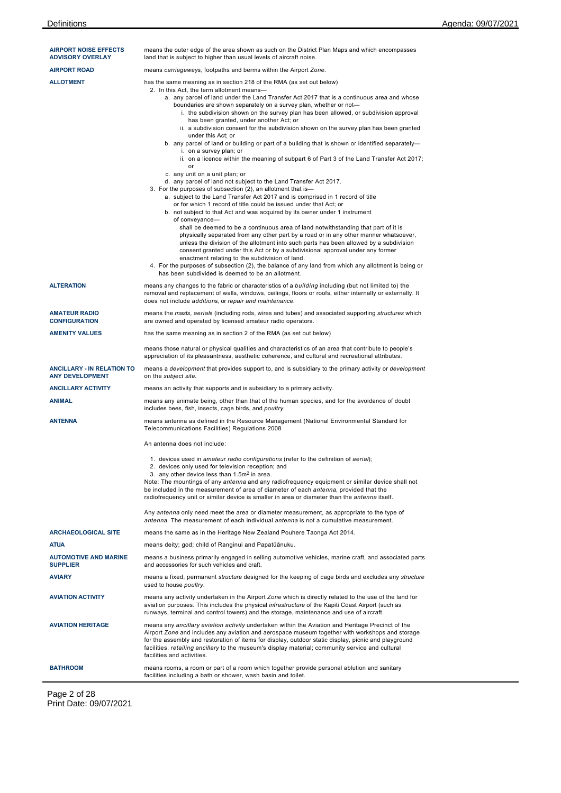| <b>AIRPORT NOISE EFFECTS</b><br><b>ADVISORY OVERLAY</b>     | means the outer edge of the area shown as such on the District Plan Maps and which encompasses<br>land that is subject to higher than usual levels of aircraft noise.                                                                                                                                                                                                                                                                                                                                                                                                                                                                                                                                                                                                                                                                                                                                                                                                                                                                                                                                                                                                                                                                                                                                                                                                                                                                                                                                                                                                                                                                                                                                                                                                             |
|-------------------------------------------------------------|-----------------------------------------------------------------------------------------------------------------------------------------------------------------------------------------------------------------------------------------------------------------------------------------------------------------------------------------------------------------------------------------------------------------------------------------------------------------------------------------------------------------------------------------------------------------------------------------------------------------------------------------------------------------------------------------------------------------------------------------------------------------------------------------------------------------------------------------------------------------------------------------------------------------------------------------------------------------------------------------------------------------------------------------------------------------------------------------------------------------------------------------------------------------------------------------------------------------------------------------------------------------------------------------------------------------------------------------------------------------------------------------------------------------------------------------------------------------------------------------------------------------------------------------------------------------------------------------------------------------------------------------------------------------------------------------------------------------------------------------------------------------------------------|
| <b>AIRPORT ROAD</b>                                         | means carriageways, footpaths and berms within the Airport Zone.                                                                                                                                                                                                                                                                                                                                                                                                                                                                                                                                                                                                                                                                                                                                                                                                                                                                                                                                                                                                                                                                                                                                                                                                                                                                                                                                                                                                                                                                                                                                                                                                                                                                                                                  |
| <b>ALLOTMENT</b>                                            | has the same meaning as in section 218 of the RMA (as set out below)<br>2. In this Act, the term allotment means-<br>a. any parcel of land under the Land Transfer Act 2017 that is a continuous area and whose<br>boundaries are shown separately on a survey plan, whether or not-<br>i. the subdivision shown on the survey plan has been allowed, or subdivision approval<br>has been granted, under another Act; or<br>ii. a subdivision consent for the subdivision shown on the survey plan has been granted<br>under this Act; or<br>b. any parcel of land or building or part of a building that is shown or identified separately-<br>i. on a survey plan; or<br>ii. on a licence within the meaning of subpart 6 of Part 3 of the Land Transfer Act 2017;<br>or<br>c. any unit on a unit plan; or<br>d. any parcel of land not subject to the Land Transfer Act 2017.<br>3. For the purposes of subsection (2), an allotment that is-<br>a. subject to the Land Transfer Act 2017 and is comprised in 1 record of title<br>or for which 1 record of title could be issued under that Act; or<br>b. not subject to that Act and was acquired by its owner under 1 instrument<br>of conveyance-<br>shall be deemed to be a continuous area of land notwithstanding that part of it is<br>physically separated from any other part by a road or in any other manner whatsoever,<br>unless the division of the allotment into such parts has been allowed by a subdivision<br>consent granted under this Act or by a subdivisional approval under any former<br>enactment relating to the subdivision of land.<br>4. For the purposes of subsection (2), the balance of any land from which any allotment is being or<br>has been subdivided is deemed to be an allotment. |
| <b>ALTERATION</b>                                           | means any changes to the fabric or characteristics of a building including (but not limited to) the<br>removal and replacement of walls, windows, ceilings, floors or roofs, either internally or externally. It<br>does not include additions, or repair and maintenance.                                                                                                                                                                                                                                                                                                                                                                                                                                                                                                                                                                                                                                                                                                                                                                                                                                                                                                                                                                                                                                                                                                                                                                                                                                                                                                                                                                                                                                                                                                        |
| <b>AMATEUR RADIO</b><br><b>CONFIGURATION</b>                | means the masts, aerials (including rods, wires and tubes) and associated supporting structures which<br>are owned and operated by licensed amateur radio operators.                                                                                                                                                                                                                                                                                                                                                                                                                                                                                                                                                                                                                                                                                                                                                                                                                                                                                                                                                                                                                                                                                                                                                                                                                                                                                                                                                                                                                                                                                                                                                                                                              |
| <b>AMENITY VALUES</b>                                       | has the same meaning as in section 2 of the RMA (as set out below)                                                                                                                                                                                                                                                                                                                                                                                                                                                                                                                                                                                                                                                                                                                                                                                                                                                                                                                                                                                                                                                                                                                                                                                                                                                                                                                                                                                                                                                                                                                                                                                                                                                                                                                |
|                                                             | means those natural or physical qualities and characteristics of an area that contribute to people's<br>appreciation of its pleasantness, aesthetic coherence, and cultural and recreational attributes.                                                                                                                                                                                                                                                                                                                                                                                                                                                                                                                                                                                                                                                                                                                                                                                                                                                                                                                                                                                                                                                                                                                                                                                                                                                                                                                                                                                                                                                                                                                                                                          |
| <b>ANCILLARY - IN RELATION TO</b><br><b>ANY DEVELOPMENT</b> | means a development that provides support to, and is subsidiary to the primary activity or development<br>on the subject site.                                                                                                                                                                                                                                                                                                                                                                                                                                                                                                                                                                                                                                                                                                                                                                                                                                                                                                                                                                                                                                                                                                                                                                                                                                                                                                                                                                                                                                                                                                                                                                                                                                                    |
| <b>ANCILLARY ACTIVITY</b>                                   | means an activity that supports and is subsidiary to a primary activity.                                                                                                                                                                                                                                                                                                                                                                                                                                                                                                                                                                                                                                                                                                                                                                                                                                                                                                                                                                                                                                                                                                                                                                                                                                                                                                                                                                                                                                                                                                                                                                                                                                                                                                          |
| <b>ANIMAL</b>                                               | means any animate being, other than that of the human species, and for the avoidance of doubt<br>includes bees, fish, insects, cage birds, and poultry.                                                                                                                                                                                                                                                                                                                                                                                                                                                                                                                                                                                                                                                                                                                                                                                                                                                                                                                                                                                                                                                                                                                                                                                                                                                                                                                                                                                                                                                                                                                                                                                                                           |
| <b>ANTENNA</b>                                              | means antenna as defined in the Resource Management (National Environmental Standard for<br>Telecommunications Facilities) Regulations 2008                                                                                                                                                                                                                                                                                                                                                                                                                                                                                                                                                                                                                                                                                                                                                                                                                                                                                                                                                                                                                                                                                                                                                                                                                                                                                                                                                                                                                                                                                                                                                                                                                                       |
|                                                             | An antenna does not include:                                                                                                                                                                                                                                                                                                                                                                                                                                                                                                                                                                                                                                                                                                                                                                                                                                                                                                                                                                                                                                                                                                                                                                                                                                                                                                                                                                                                                                                                                                                                                                                                                                                                                                                                                      |
|                                                             | 1. devices used in amateur radio configurations (refer to the definition of aerial);<br>2. devices only used for television reception; and<br>3. any other device less than 1.5m <sup>2</sup> in area.<br>Note: The mountings of any antenna and any radiofrequency equipment or similar device shall not<br>be included in the measurement of area of diameter of each antenna, provided that the<br>radiofrequency unit or similar device is smaller in area or diameter than the <i>antenna</i> itself.<br>Any antenna only need meet the area or diameter measurement, as appropriate to the type of                                                                                                                                                                                                                                                                                                                                                                                                                                                                                                                                                                                                                                                                                                                                                                                                                                                                                                                                                                                                                                                                                                                                                                          |
|                                                             | antenna. The measurement of each individual antenna is not a cumulative measurement.                                                                                                                                                                                                                                                                                                                                                                                                                                                                                                                                                                                                                                                                                                                                                                                                                                                                                                                                                                                                                                                                                                                                                                                                                                                                                                                                                                                                                                                                                                                                                                                                                                                                                              |
| <b>ARCHAEOLOGICAL SITE</b>                                  | means the same as in the Heritage New Zealand Pouhere Taonga Act 2014.                                                                                                                                                                                                                                                                                                                                                                                                                                                                                                                                                                                                                                                                                                                                                                                                                                                                                                                                                                                                                                                                                                                                                                                                                                                                                                                                                                                                                                                                                                                                                                                                                                                                                                            |
| <b>ATUA</b><br><b>AUTOMOTIVE AND MARINE</b>                 | means deity; god; child of Ranginui and Papatūānuku.<br>means a business primarily engaged in selling automotive vehicles, marine craft, and associated parts                                                                                                                                                                                                                                                                                                                                                                                                                                                                                                                                                                                                                                                                                                                                                                                                                                                                                                                                                                                                                                                                                                                                                                                                                                                                                                                                                                                                                                                                                                                                                                                                                     |
| <b>SUPPLIER</b><br><b>AVIARY</b>                            | and accessories for such vehicles and craft.<br>means a fixed, permanent <i>structure</i> designed for the keeping of cage birds and excludes any <i>structure</i>                                                                                                                                                                                                                                                                                                                                                                                                                                                                                                                                                                                                                                                                                                                                                                                                                                                                                                                                                                                                                                                                                                                                                                                                                                                                                                                                                                                                                                                                                                                                                                                                                |
|                                                             | used to house poultry.                                                                                                                                                                                                                                                                                                                                                                                                                                                                                                                                                                                                                                                                                                                                                                                                                                                                                                                                                                                                                                                                                                                                                                                                                                                                                                                                                                                                                                                                                                                                                                                                                                                                                                                                                            |
| <b>AVIATION ACTIVITY</b>                                    | means any activity undertaken in the Airport Zone which is directly related to the use of the land for<br>aviation purposes. This includes the physical <i>infrastructure</i> of the Kapiti Coast Airport (such as<br>runways, terminal and control towers) and the storage, maintenance and use of aircraft.                                                                                                                                                                                                                                                                                                                                                                                                                                                                                                                                                                                                                                                                                                                                                                                                                                                                                                                                                                                                                                                                                                                                                                                                                                                                                                                                                                                                                                                                     |
| <b>AVIATION HERITAGE</b>                                    | means any ancillary aviation activity undertaken within the Aviation and Heritage Precinct of the<br>Airport Zone and includes any aviation and aerospace museum together with workshops and storage<br>for the assembly and restoration of items for display, outdoor static display, picnic and playground<br>facilities, retailing ancillary to the museum's display material; community service and cultural<br>facilities and activities.                                                                                                                                                                                                                                                                                                                                                                                                                                                                                                                                                                                                                                                                                                                                                                                                                                                                                                                                                                                                                                                                                                                                                                                                                                                                                                                                    |
| <b>BATHROOM</b>                                             | means rooms, a room or part of a room which together provide personal ablution and sanitary<br>facilities including a bath or shower, wash basin and toilet.                                                                                                                                                                                                                                                                                                                                                                                                                                                                                                                                                                                                                                                                                                                                                                                                                                                                                                                                                                                                                                                                                                                                                                                                                                                                                                                                                                                                                                                                                                                                                                                                                      |

Page 2 of 28 Print Date: 09/07/2021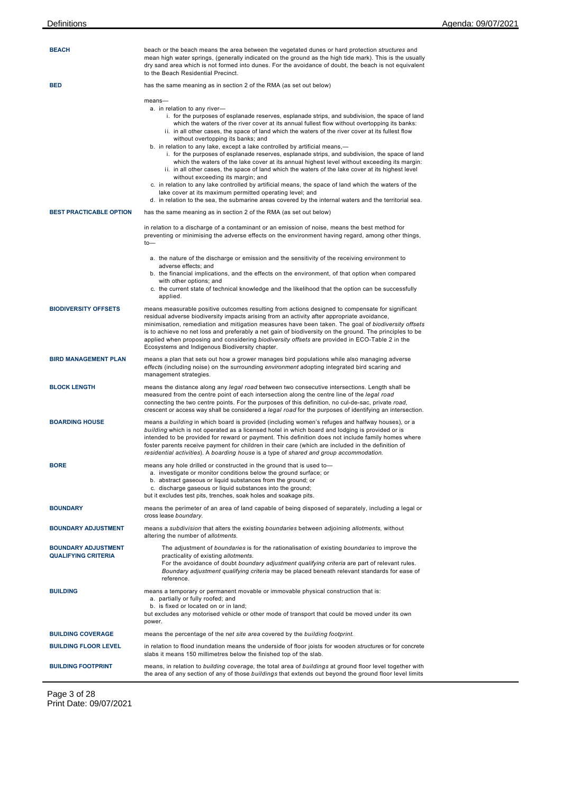| <b>BEACH</b>                                             | beach or the beach means the area between the vegetated dunes or hard protection <i>structures</i> and<br>mean high water springs, (generally indicated on the ground as the high tide mark). This is the usually<br>dry sand area which is not formed into dunes. For the avoidance of doubt, the beach is not equivalent<br>to the Beach Residential Precinct.                                                                                                                                                                                                                                                                                                                                                                                                                                                                                                                                                                                                                                                                                                                                 |
|----------------------------------------------------------|--------------------------------------------------------------------------------------------------------------------------------------------------------------------------------------------------------------------------------------------------------------------------------------------------------------------------------------------------------------------------------------------------------------------------------------------------------------------------------------------------------------------------------------------------------------------------------------------------------------------------------------------------------------------------------------------------------------------------------------------------------------------------------------------------------------------------------------------------------------------------------------------------------------------------------------------------------------------------------------------------------------------------------------------------------------------------------------------------|
| <b>BED</b>                                               | has the same meaning as in section 2 of the RMA (as set out below)                                                                                                                                                                                                                                                                                                                                                                                                                                                                                                                                                                                                                                                                                                                                                                                                                                                                                                                                                                                                                               |
|                                                          | $means-$<br>a. in relation to any river-<br>i. for the purposes of esplanade reserves, esplanade strips, and subdivision, the space of land<br>which the waters of the river cover at its annual fullest flow without overtopping its banks:<br>ii. in all other cases, the space of land which the waters of the river cover at its fullest flow<br>without overtopping its banks; and<br>b. in relation to any lake, except a lake controlled by artificial means,—<br>i. for the purposes of esplanade reserves, esplanade strips, and subdivision, the space of land<br>which the waters of the lake cover at its annual highest level without exceeding its margin:<br>ii. in all other cases, the space of land which the waters of the lake cover at its highest level<br>without exceeding its margin; and<br>c. in relation to any lake controlled by artificial means, the space of land which the waters of the<br>lake cover at its maximum permitted operating level; and<br>d. in relation to the sea, the submarine areas covered by the internal waters and the territorial sea. |
| <b>BEST PRACTICABLE OPTION</b>                           | has the same meaning as in section 2 of the RMA (as set out below)                                                                                                                                                                                                                                                                                                                                                                                                                                                                                                                                                                                                                                                                                                                                                                                                                                                                                                                                                                                                                               |
|                                                          | in relation to a discharge of a contaminant or an emission of noise, means the best method for<br>preventing or minimising the adverse effects on the environment having regard, among other things,<br>$to-$                                                                                                                                                                                                                                                                                                                                                                                                                                                                                                                                                                                                                                                                                                                                                                                                                                                                                    |
|                                                          | a. the nature of the discharge or emission and the sensitivity of the receiving environment to<br>adverse effects: and<br>b. the financial implications, and the effects on the environment, of that option when compared                                                                                                                                                                                                                                                                                                                                                                                                                                                                                                                                                                                                                                                                                                                                                                                                                                                                        |
|                                                          | with other options; and<br>c. the current state of technical knowledge and the likelihood that the option can be successfully<br>applied.                                                                                                                                                                                                                                                                                                                                                                                                                                                                                                                                                                                                                                                                                                                                                                                                                                                                                                                                                        |
| <b>BIODIVERSITY OFFSETS</b>                              | means measurable positive outcomes resulting from actions designed to compensate for significant<br>residual adverse biodiversity impacts arising from an activity after appropriate avoidance,<br>minimisation, remediation and mitigation measures have been taken. The goal of biodiversity offsets<br>is to achieve no net loss and preferably a net gain of biodiversity on the ground. The principles to be<br>applied when proposing and considering biodiversity offsets are provided in ECO-Table 2 in the<br>Ecosystems and Indigenous Biodiversity chapter.                                                                                                                                                                                                                                                                                                                                                                                                                                                                                                                           |
| <b>BIRD MANAGEMENT PLAN</b>                              | means a plan that sets out how a grower manages bird populations while also managing adverse<br>effects (including noise) on the surrounding environment adopting integrated bird scaring and<br>management strategies.                                                                                                                                                                                                                                                                                                                                                                                                                                                                                                                                                                                                                                                                                                                                                                                                                                                                          |
| <b>BLOCK LENGTH</b>                                      | means the distance along any legal road between two consecutive intersections. Length shall be<br>measured from the centre point of each intersection along the centre line of the <i>legal road</i><br>connecting the two centre points. For the purposes of this definition, no cul-de-sac, private road,<br>crescent or access way shall be considered a <i>legal road</i> for the purposes of identifying an intersection.                                                                                                                                                                                                                                                                                                                                                                                                                                                                                                                                                                                                                                                                   |
| <b>BOARDING HOUSE</b>                                    | means a building in which board is provided (including women's refuges and halfway houses), or a<br>building which is not operated as a licensed hotel in which board and lodging is provided or is<br>intended to be provided for reward or payment. This definition does not include family homes where<br>foster parents receive payment for children in their care (which are included in the definition of<br>residential activities). A boarding house is a type of shared and group accommodation.                                                                                                                                                                                                                                                                                                                                                                                                                                                                                                                                                                                        |
| <b>BORE</b>                                              | means any hole drilled or constructed in the ground that is used to-<br>a. investigate or monitor conditions below the ground surface; or<br>b. abstract gaseous or liquid substances from the ground; or<br>c. discharge gaseous or liquid substances into the ground;<br>but it excludes test pits, trenches, soak holes and soakage pits.                                                                                                                                                                                                                                                                                                                                                                                                                                                                                                                                                                                                                                                                                                                                                     |
| <b>BOUNDARY</b>                                          | means the perimeter of an area of land capable of being disposed of separately, including a legal or<br>cross lease boundary.                                                                                                                                                                                                                                                                                                                                                                                                                                                                                                                                                                                                                                                                                                                                                                                                                                                                                                                                                                    |
| <b>BOUNDARY ADJUSTMENT</b>                               | means a subdivision that alters the existing boundaries between adjoining allotments, without<br>altering the number of allotments.                                                                                                                                                                                                                                                                                                                                                                                                                                                                                                                                                                                                                                                                                                                                                                                                                                                                                                                                                              |
| <b>BOUNDARY ADJUSTMENT</b><br><b>QUALIFYING CRITERIA</b> | The adjustment of boundaries is for the rationalisation of existing boundaries to improve the<br>practicality of existing allotments.<br>For the avoidance of doubt boundary adjustment qualifying criteria are part of relevant rules.<br>Boundary adjustment qualifying criteria may be placed beneath relevant standards for ease of<br>reference.                                                                                                                                                                                                                                                                                                                                                                                                                                                                                                                                                                                                                                                                                                                                            |
| <b>BUILDING</b>                                          | means a temporary or permanent movable or immovable physical construction that is:<br>a. partially or fully roofed; and<br>b. is fixed or located on or in land;<br>but excludes any motorised vehicle or other mode of transport that could be moved under its own<br>power.                                                                                                                                                                                                                                                                                                                                                                                                                                                                                                                                                                                                                                                                                                                                                                                                                    |
| <b>BUILDING COVERAGE</b>                                 | means the percentage of the net site area covered by the building footprint.                                                                                                                                                                                                                                                                                                                                                                                                                                                                                                                                                                                                                                                                                                                                                                                                                                                                                                                                                                                                                     |
| <b>BUILDING FLOOR LEVEL</b>                              | in relation to flood inundation means the underside of floor joists for wooden <i>structures</i> or for concrete<br>slabs it means 150 millimetres below the finished top of the slab.                                                                                                                                                                                                                                                                                                                                                                                                                                                                                                                                                                                                                                                                                                                                                                                                                                                                                                           |
| <b>BUILDING FOOTPRINT</b>                                | means, in relation to building coverage, the total area of buildings at ground floor level together with<br>the area of any section of any of those buildings that extends out beyond the ground floor level limits                                                                                                                                                                                                                                                                                                                                                                                                                                                                                                                                                                                                                                                                                                                                                                                                                                                                              |

Page 3 of 28 Print Date: 09/07/2021

 $\overline{a}$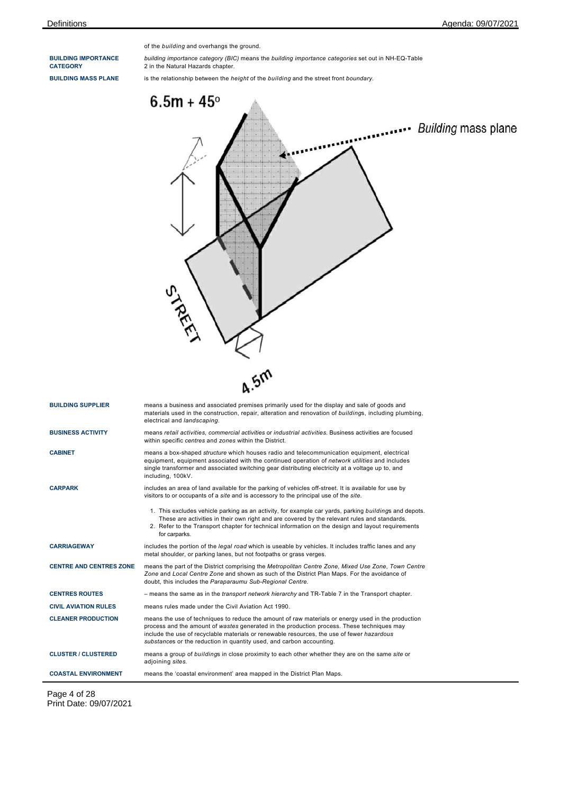**BUILDING IMPORTANCE CATEGORY**

of the *building* and overhangs the ground.

*building importance category (BIC)* means the *building importance categories* set out in NH-EQ-Table 2 in the Natural Hazards chapter.

**BUILDING MASS PLANE** is the relationship between the *height* of the *building* and the street front *boundary*.

| STREET<br><b>4.5M</b><br><b>BUILDING SUPPLIER</b><br>means a business and associated premises primarily used for the display and sale of goods and<br>materials used in the construction, repair, alteration and renovation of buildings, including plumbing,<br>electrical and landscaping.<br><b>BUSINESS ACTIVITY</b><br>means retail activities, commercial activities or industrial activities. Business activities are focused<br>within specific centres and zones within the District.<br><b>CABINET</b><br>means a box-shaped <i>structure</i> which houses radio and telecommunication equipment, electrical<br>equipment, equipment associated with the continued operation of network utilities and includes<br>single transformer and associated switching gear distributing electricity at a voltage up to, and<br>including, 100kV.<br><b>CARPARK</b><br>includes an area of land available for the parking of vehicles off-street. It is available for use by<br>visitors to or occupants of a site and is accessory to the principal use of the site.<br>1. This excludes vehicle parking as an activity, for example car yards, parking buildings and depots.<br>These are activities in their own right and are covered by the relevant rules and standards.<br>2. Refer to the Transport chapter for technical information on the design and layout requirements<br>for carparks.<br><b>CARRIAGEWAY</b><br>includes the portion of the <i>legal road</i> which is useable by vehicles. It includes traffic lanes and any<br>metal shoulder, or parking lanes, but not footpaths or grass verges.<br><b>CENTRE AND CENTRES ZONE</b><br>means the part of the District comprising the Metropolitan Centre Zone, Mixed Use Zone, Town Centre<br>Zone and Local Centre Zone and shown as such of the District Plan Maps. For the avoidance of<br>doubt, this includes the Paraparaumu Sub-Regional Centre.<br><b>CENTRES ROUTES</b><br>- means the same as in the transport network hierarchy and TR-Table 7 in the Transport chapter.<br><b>CIVIL AVIATION RULES</b><br>means rules made under the Civil Aviation Act 1990.<br><b>CLEANER PRODUCTION</b><br>means the use of techniques to reduce the amount of raw materials or energy used in the production<br>process and the amount of wastes generated in the production process. These techniques may<br>include the use of recyclable materials or renewable resources, the use of fewer hazardous<br>substances or the reduction in quantity used, and carbon accounting.<br><b>CLUSTER / CLUSTERED</b><br>means a group of buildings in close proximity to each other whether they are on the same site or<br>adjoining sites.<br><b>COASTAL ENVIRONMENT</b><br>means the 'coastal environment' area mapped in the District Plan Maps. | $6.5m + 45^{\circ}$<br><b>Building mass plane</b> |
|-------------------------------------------------------------------------------------------------------------------------------------------------------------------------------------------------------------------------------------------------------------------------------------------------------------------------------------------------------------------------------------------------------------------------------------------------------------------------------------------------------------------------------------------------------------------------------------------------------------------------------------------------------------------------------------------------------------------------------------------------------------------------------------------------------------------------------------------------------------------------------------------------------------------------------------------------------------------------------------------------------------------------------------------------------------------------------------------------------------------------------------------------------------------------------------------------------------------------------------------------------------------------------------------------------------------------------------------------------------------------------------------------------------------------------------------------------------------------------------------------------------------------------------------------------------------------------------------------------------------------------------------------------------------------------------------------------------------------------------------------------------------------------------------------------------------------------------------------------------------------------------------------------------------------------------------------------------------------------------------------------------------------------------------------------------------------------------------------------------------------------------------------------------------------------------------------------------------------------------------------------------------------------------------------------------------------------------------------------------------------------------------------------------------------------------------------------------------------------------------------------------------------------------------------------------------------------------------------------------------------------------------------------------------------------------------------------------------------------------------------------------------------------------------------------------------|---------------------------------------------------|
|                                                                                                                                                                                                                                                                                                                                                                                                                                                                                                                                                                                                                                                                                                                                                                                                                                                                                                                                                                                                                                                                                                                                                                                                                                                                                                                                                                                                                                                                                                                                                                                                                                                                                                                                                                                                                                                                                                                                                                                                                                                                                                                                                                                                                                                                                                                                                                                                                                                                                                                                                                                                                                                                                                                                                                                                                   |                                                   |
|                                                                                                                                                                                                                                                                                                                                                                                                                                                                                                                                                                                                                                                                                                                                                                                                                                                                                                                                                                                                                                                                                                                                                                                                                                                                                                                                                                                                                                                                                                                                                                                                                                                                                                                                                                                                                                                                                                                                                                                                                                                                                                                                                                                                                                                                                                                                                                                                                                                                                                                                                                                                                                                                                                                                                                                                                   |                                                   |
|                                                                                                                                                                                                                                                                                                                                                                                                                                                                                                                                                                                                                                                                                                                                                                                                                                                                                                                                                                                                                                                                                                                                                                                                                                                                                                                                                                                                                                                                                                                                                                                                                                                                                                                                                                                                                                                                                                                                                                                                                                                                                                                                                                                                                                                                                                                                                                                                                                                                                                                                                                                                                                                                                                                                                                                                                   |                                                   |
|                                                                                                                                                                                                                                                                                                                                                                                                                                                                                                                                                                                                                                                                                                                                                                                                                                                                                                                                                                                                                                                                                                                                                                                                                                                                                                                                                                                                                                                                                                                                                                                                                                                                                                                                                                                                                                                                                                                                                                                                                                                                                                                                                                                                                                                                                                                                                                                                                                                                                                                                                                                                                                                                                                                                                                                                                   |                                                   |
|                                                                                                                                                                                                                                                                                                                                                                                                                                                                                                                                                                                                                                                                                                                                                                                                                                                                                                                                                                                                                                                                                                                                                                                                                                                                                                                                                                                                                                                                                                                                                                                                                                                                                                                                                                                                                                                                                                                                                                                                                                                                                                                                                                                                                                                                                                                                                                                                                                                                                                                                                                                                                                                                                                                                                                                                                   |                                                   |
|                                                                                                                                                                                                                                                                                                                                                                                                                                                                                                                                                                                                                                                                                                                                                                                                                                                                                                                                                                                                                                                                                                                                                                                                                                                                                                                                                                                                                                                                                                                                                                                                                                                                                                                                                                                                                                                                                                                                                                                                                                                                                                                                                                                                                                                                                                                                                                                                                                                                                                                                                                                                                                                                                                                                                                                                                   |                                                   |
|                                                                                                                                                                                                                                                                                                                                                                                                                                                                                                                                                                                                                                                                                                                                                                                                                                                                                                                                                                                                                                                                                                                                                                                                                                                                                                                                                                                                                                                                                                                                                                                                                                                                                                                                                                                                                                                                                                                                                                                                                                                                                                                                                                                                                                                                                                                                                                                                                                                                                                                                                                                                                                                                                                                                                                                                                   |                                                   |
|                                                                                                                                                                                                                                                                                                                                                                                                                                                                                                                                                                                                                                                                                                                                                                                                                                                                                                                                                                                                                                                                                                                                                                                                                                                                                                                                                                                                                                                                                                                                                                                                                                                                                                                                                                                                                                                                                                                                                                                                                                                                                                                                                                                                                                                                                                                                                                                                                                                                                                                                                                                                                                                                                                                                                                                                                   |                                                   |
|                                                                                                                                                                                                                                                                                                                                                                                                                                                                                                                                                                                                                                                                                                                                                                                                                                                                                                                                                                                                                                                                                                                                                                                                                                                                                                                                                                                                                                                                                                                                                                                                                                                                                                                                                                                                                                                                                                                                                                                                                                                                                                                                                                                                                                                                                                                                                                                                                                                                                                                                                                                                                                                                                                                                                                                                                   |                                                   |
|                                                                                                                                                                                                                                                                                                                                                                                                                                                                                                                                                                                                                                                                                                                                                                                                                                                                                                                                                                                                                                                                                                                                                                                                                                                                                                                                                                                                                                                                                                                                                                                                                                                                                                                                                                                                                                                                                                                                                                                                                                                                                                                                                                                                                                                                                                                                                                                                                                                                                                                                                                                                                                                                                                                                                                                                                   |                                                   |
|                                                                                                                                                                                                                                                                                                                                                                                                                                                                                                                                                                                                                                                                                                                                                                                                                                                                                                                                                                                                                                                                                                                                                                                                                                                                                                                                                                                                                                                                                                                                                                                                                                                                                                                                                                                                                                                                                                                                                                                                                                                                                                                                                                                                                                                                                                                                                                                                                                                                                                                                                                                                                                                                                                                                                                                                                   |                                                   |
|                                                                                                                                                                                                                                                                                                                                                                                                                                                                                                                                                                                                                                                                                                                                                                                                                                                                                                                                                                                                                                                                                                                                                                                                                                                                                                                                                                                                                                                                                                                                                                                                                                                                                                                                                                                                                                                                                                                                                                                                                                                                                                                                                                                                                                                                                                                                                                                                                                                                                                                                                                                                                                                                                                                                                                                                                   |                                                   |
|                                                                                                                                                                                                                                                                                                                                                                                                                                                                                                                                                                                                                                                                                                                                                                                                                                                                                                                                                                                                                                                                                                                                                                                                                                                                                                                                                                                                                                                                                                                                                                                                                                                                                                                                                                                                                                                                                                                                                                                                                                                                                                                                                                                                                                                                                                                                                                                                                                                                                                                                                                                                                                                                                                                                                                                                                   |                                                   |

Page 4 of 28 Print Date: 09/07/2021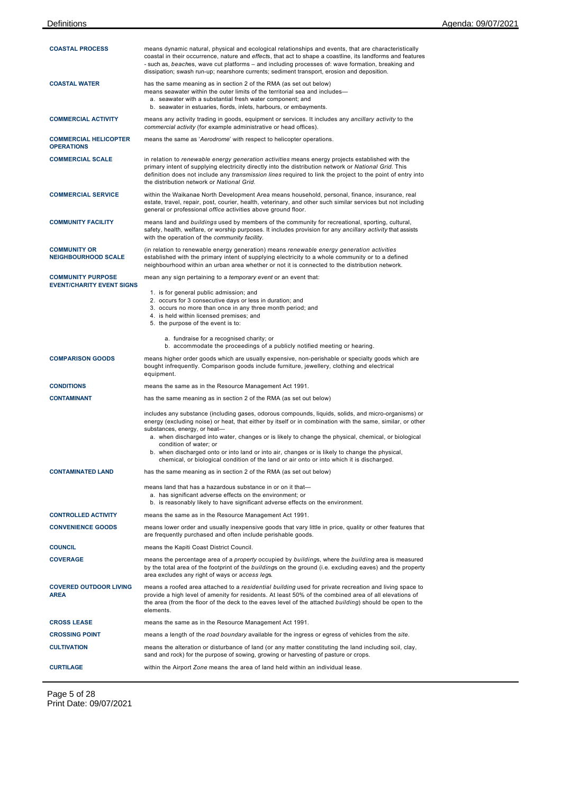| <b>COASTAL PROCESS</b>                                       | means dynamic natural, physical and ecological relationships and events, that are characteristically<br>coastal in their occurrence, nature and effects, that act to shape a coastline, its landforms and features<br>- such as, beaches, wave cut platforms – and including processes of: wave formation, breaking and<br>dissipation; swash run-up; nearshore currents; sediment transport, erosion and deposition.                                                                                                                                                              |
|--------------------------------------------------------------|------------------------------------------------------------------------------------------------------------------------------------------------------------------------------------------------------------------------------------------------------------------------------------------------------------------------------------------------------------------------------------------------------------------------------------------------------------------------------------------------------------------------------------------------------------------------------------|
| <b>COASTAL WATER</b>                                         | has the same meaning as in section 2 of the RMA (as set out below)<br>means seawater within the outer limits of the territorial sea and includes—<br>a. seawater with a substantial fresh water component; and<br>b. seawater in estuaries, fiords, inlets, harbours, or embayments.                                                                                                                                                                                                                                                                                               |
| <b>COMMERCIAL ACTIVITY</b>                                   | means any activity trading in goods, equipment or services. It includes any ancillary activity to the<br>commercial activity (for example administrative or head offices).                                                                                                                                                                                                                                                                                                                                                                                                         |
| <b>COMMERCIAL HELICOPTER</b><br><b>OPERATIONS</b>            | means the same as 'Aerodrome' with respect to helicopter operations.                                                                                                                                                                                                                                                                                                                                                                                                                                                                                                               |
| <b>COMMERCIAL SCALE</b>                                      | in relation to renewable energy generation activities means energy projects established with the<br>primary intent of supplying electricity directly into the distribution network or National Grid. This<br>definition does not include any <i>transmission lines</i> required to link the project to the point of entry into<br>the distribution network or National Grid.                                                                                                                                                                                                       |
| <b>COMMERCIAL SERVICE</b>                                    | within the Waikanae North Development Area means household, personal, finance, insurance, real<br>estate, travel, repair, post, courier, health, veterinary, and other such similar services but not including<br>general or professional office activities above ground floor.                                                                                                                                                                                                                                                                                                    |
| <b>COMMUNITY FACILITY</b>                                    | means land and buildings used by members of the community for recreational, sporting, cultural,<br>safety, health, welfare, or worship purposes. It includes provision for any ancillary activity that assists<br>with the operation of the community facility.                                                                                                                                                                                                                                                                                                                    |
| <b>COMMUNITY OR</b><br><b>NEIGHBOURHOOD SCALE</b>            | (in relation to renewable energy generation) means renewable energy generation activities<br>established with the primary intent of supplying electricity to a whole community or to a defined<br>neighbourhood within an urban area whether or not it is connected to the distribution network.                                                                                                                                                                                                                                                                                   |
| <b>COMMUNITY PURPOSE</b><br><b>EVENT/CHARITY EVENT SIGNS</b> | mean any sign pertaining to a <i>temporary event</i> or an event that:                                                                                                                                                                                                                                                                                                                                                                                                                                                                                                             |
|                                                              | 1. is for general public admission; and                                                                                                                                                                                                                                                                                                                                                                                                                                                                                                                                            |
|                                                              | 2. occurs for 3 consecutive days or less in duration; and<br>3. occurs no more than once in any three month period; and                                                                                                                                                                                                                                                                                                                                                                                                                                                            |
|                                                              | 4. is held within licensed premises; and<br>5. the purpose of the event is to:                                                                                                                                                                                                                                                                                                                                                                                                                                                                                                     |
|                                                              | a. fundraise for a recognised charity; or<br>b. accommodate the proceedings of a publicly notified meeting or hearing.                                                                                                                                                                                                                                                                                                                                                                                                                                                             |
| <b>COMPARISON GOODS</b>                                      | means higher order goods which are usually expensive, non-perishable or specialty goods which are<br>bought infrequently. Comparison goods include furniture, jewellery, clothing and electrical<br>equipment.                                                                                                                                                                                                                                                                                                                                                                     |
| <b>CONDITIONS</b>                                            | means the same as in the Resource Management Act 1991.                                                                                                                                                                                                                                                                                                                                                                                                                                                                                                                             |
| <b>CONTAMINANT</b>                                           | has the same meaning as in section 2 of the RMA (as set out below)                                                                                                                                                                                                                                                                                                                                                                                                                                                                                                                 |
|                                                              | includes any substance (including gases, odorous compounds, liquids, solids, and micro-organisms) or<br>energy (excluding noise) or heat, that either by itself or in combination with the same, similar, or other<br>substances, energy, or heat-<br>a. when discharged into water, changes or is likely to change the physical, chemical, or biological<br>condition of water; or<br>b. when discharged onto or into land or into air, changes or is likely to change the physical,<br>chemical, or biological condition of the land or air onto or into which it is discharged. |
| <b>CONTAMINATED LAND</b>                                     | has the same meaning as in section 2 of the RMA (as set out below)                                                                                                                                                                                                                                                                                                                                                                                                                                                                                                                 |
|                                                              | means land that has a hazardous substance in or on it that-<br>a. has significant adverse effects on the environment; or<br>b. is reasonably likely to have significant adverse effects on the environment.                                                                                                                                                                                                                                                                                                                                                                        |
| <b>CONTROLLED ACTIVITY</b>                                   | means the same as in the Resource Management Act 1991.                                                                                                                                                                                                                                                                                                                                                                                                                                                                                                                             |
| <b>CONVENIENCE GOODS</b>                                     | means lower order and usually inexpensive goods that vary little in price, quality or other features that<br>are frequently purchased and often include perishable goods.                                                                                                                                                                                                                                                                                                                                                                                                          |
| <b>COUNCIL</b>                                               | means the Kapiti Coast District Council.                                                                                                                                                                                                                                                                                                                                                                                                                                                                                                                                           |
| <b>COVERAGE</b>                                              | means the percentage area of a <i>property</i> occupied by <i>buildings</i> , where the <i>building</i> area is measured<br>by the total area of the footprint of the buildings on the ground (i.e. excluding eaves) and the property<br>area excludes any right of ways or access legs.                                                                                                                                                                                                                                                                                           |
| <b>COVERED OUTDOOR LIVING</b><br><b>AREA</b>                 | means a roofed area attached to a residential building used for private recreation and living space to<br>provide a high level of amenity for residents. At least 50% of the combined area of all elevations of<br>the area (from the floor of the deck to the eaves level of the attached building) should be open to the<br>elements.                                                                                                                                                                                                                                            |
| <b>CROSS LEASE</b>                                           | means the same as in the Resource Management Act 1991.                                                                                                                                                                                                                                                                                                                                                                                                                                                                                                                             |
| <b>CROSSING POINT</b>                                        | means a length of the road boundary available for the ingress or egress of vehicles from the site.                                                                                                                                                                                                                                                                                                                                                                                                                                                                                 |
| <b>CULTIVATION</b>                                           | means the alteration or disturbance of land (or any matter constituting the land including soil, clay,<br>sand and rock) for the purpose of sowing, growing or harvesting of pasture or crops.                                                                                                                                                                                                                                                                                                                                                                                     |
| <b>CURTILAGE</b>                                             | within the Airport Zone means the area of land held within an individual lease.                                                                                                                                                                                                                                                                                                                                                                                                                                                                                                    |

Page 5 of 28 Print Date: 09/07/2021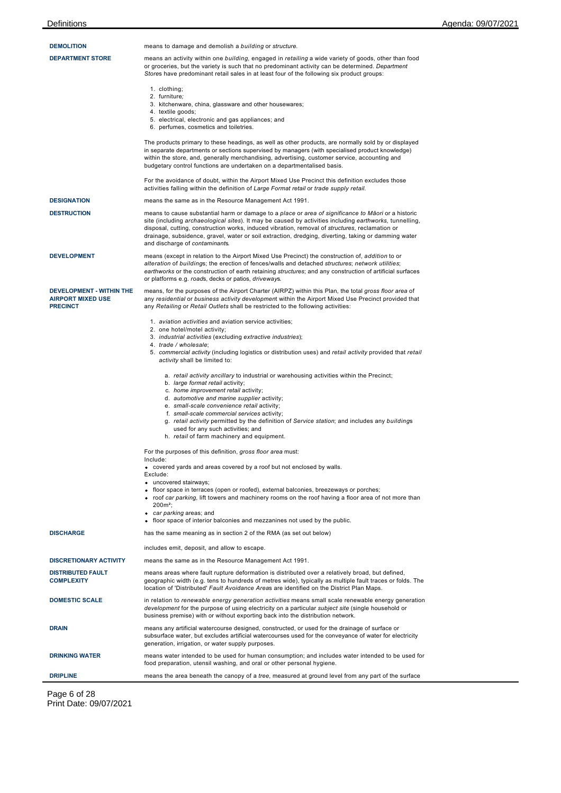| <b>DEMOLITION</b>                                                       | means to damage and demolish a building or structure.                                                                                                                                                                                                                                                                                                                                                                                                               |
|-------------------------------------------------------------------------|---------------------------------------------------------------------------------------------------------------------------------------------------------------------------------------------------------------------------------------------------------------------------------------------------------------------------------------------------------------------------------------------------------------------------------------------------------------------|
| <b>DEPARTMENT STORE</b>                                                 | means an activity within one building, engaged in retailing a wide variety of goods, other than food<br>or groceries, but the variety is such that no predominant activity can be determined. Department<br>Stores have predominant retail sales in at least four of the following six product groups:                                                                                                                                                              |
|                                                                         | 1. clothing;<br>2. furniture:                                                                                                                                                                                                                                                                                                                                                                                                                                       |
|                                                                         | 3. kitchenware, china, glassware and other housewares;<br>4. textile goods;                                                                                                                                                                                                                                                                                                                                                                                         |
|                                                                         | 5. electrical, electronic and gas appliances; and<br>6. perfumes, cosmetics and toiletries.                                                                                                                                                                                                                                                                                                                                                                         |
|                                                                         | The products primary to these headings, as well as other products, are normally sold by or displayed<br>in separate departments or sections supervised by managers (with specialised product knowledge)<br>within the store, and, generally merchandising, advertising, customer service, accounting and<br>budgetary control functions are undertaken on a departmentalised basis.                                                                                 |
|                                                                         | For the avoidance of doubt, within the Airport Mixed Use Precinct this definition excludes those<br>activities falling within the definition of Large Format retail or trade supply retail.                                                                                                                                                                                                                                                                         |
| <b>DESIGNATION</b>                                                      | means the same as in the Resource Management Act 1991.                                                                                                                                                                                                                                                                                                                                                                                                              |
| <b>DESTRUCTION</b>                                                      | means to cause substantial harm or damage to a place or area of significance to Maori or a historic<br>site (including archaeological sites). It may be caused by activities including earthworks, tunnelling,<br>disposal, cutting, construction works, induced vibration, removal of <i>structures</i> , reclamation or<br>drainage, subsidence, gravel, water or soil extraction, dredging, diverting, taking or damming water<br>and discharge of contaminants. |
| <b>DEVELOPMENT</b>                                                      | means (except in relation to the Airport Mixed Use Precinct) the construction of, addition to or<br>alteration of buildings; the erection of fences/walls and detached structures; network utilities;<br>earthworks or the construction of earth retaining structures; and any construction of artificial surfaces<br>or platforms e.g. roads, decks or patios, driveways.                                                                                          |
| DEVELOPMENT - WITHIN THE<br><b>AIRPORT MIXED USE</b><br><b>PRECINCT</b> | means, for the purposes of the Airport Charter (AIRPZ) within this Plan, the total gross floor area of<br>any residential or business activity development within the Airport Mixed Use Precinct provided that<br>any Retailing or Retail Outlets shall be restricted to the following activities:                                                                                                                                                                  |
|                                                                         | 1. <i>aviation activities</i> and aviation service activities;                                                                                                                                                                                                                                                                                                                                                                                                      |
|                                                                         | 2. one hotel/motel activity;<br>3. industrial activities (excluding extractive industries);                                                                                                                                                                                                                                                                                                                                                                         |
|                                                                         | 4. trade / wholesale;<br>5. commercial activity (including logistics or distribution uses) and retail activity provided that retail<br>activity shall be limited to:                                                                                                                                                                                                                                                                                                |
|                                                                         | a. retail activity ancillary to industrial or warehousing activities within the Precinct;<br>b. large format retail activity;<br>c. home improvement retail activity;                                                                                                                                                                                                                                                                                               |
|                                                                         | d. automotive and marine supplier activity;                                                                                                                                                                                                                                                                                                                                                                                                                         |
|                                                                         | e. small-scale convenience retail activity;<br>f. small-scale commercial services activity;                                                                                                                                                                                                                                                                                                                                                                         |
|                                                                         | g. retail activity permitted by the definition of Service station; and includes any buildings<br>used for any such activities; and<br>h. retail of farm machinery and equipment.                                                                                                                                                                                                                                                                                    |
|                                                                         | For the purposes of this definition, gross floor area must:                                                                                                                                                                                                                                                                                                                                                                                                         |
|                                                                         | Include:<br>• covered yards and areas covered by a roof but not enclosed by walls.<br>Exclude:                                                                                                                                                                                                                                                                                                                                                                      |
|                                                                         | • uncovered stairways;<br>• floor space in terraces (open or roofed), external balconies, breezeways or porches;<br>• roof car parking, lift towers and machinery rooms on the roof having a floor area of not more than<br>$200m^2$ ;<br>• car parking areas; and                                                                                                                                                                                                  |
|                                                                         | • floor space of interior balconies and mezzanines not used by the public.                                                                                                                                                                                                                                                                                                                                                                                          |
| <b>DISCHARGE</b>                                                        | has the same meaning as in section 2 of the RMA (as set out below)                                                                                                                                                                                                                                                                                                                                                                                                  |
|                                                                         | includes emit, deposit, and allow to escape.                                                                                                                                                                                                                                                                                                                                                                                                                        |
| <b>DISCRETIONARY ACTIVITY</b>                                           | means the same as in the Resource Management Act 1991.                                                                                                                                                                                                                                                                                                                                                                                                              |
| <b>DISTRIBUTED FAULT</b><br><b>COMPLEXITY</b>                           | means areas where fault rupture deformation is distributed over a relatively broad, but defined,<br>geographic width (e.g. tens to hundreds of metres wide), typically as multiple fault traces or folds. The<br>location of 'Distributed' Fault Avoidance Areas are identified on the District Plan Maps.                                                                                                                                                          |
| <b>DOMESTIC SCALE</b>                                                   | in relation to renewable energy generation activities means small scale renewable energy generation<br>development for the purpose of using electricity on a particular subject site (single household or<br>business premise) with or without exporting back into the distribution network.                                                                                                                                                                        |
| <b>DRAIN</b>                                                            | means any artificial watercourse designed, constructed, or used for the drainage of surface or<br>subsurface water, but excludes artificial watercourses used for the conveyance of water for electricity<br>generation, irrigation, or water supply purposes.                                                                                                                                                                                                      |
| <b>DRINKING WATER</b>                                                   | means water intended to be used for human consumption; and includes water intended to be used for<br>food preparation, utensil washing, and oral or other personal hygiene.                                                                                                                                                                                                                                                                                         |
| <b>DRIPLINE</b>                                                         | means the area beneath the canopy of a tree, measured at ground level from any part of the surface                                                                                                                                                                                                                                                                                                                                                                  |

Page 6 of 28 Print Date: 09/07/2021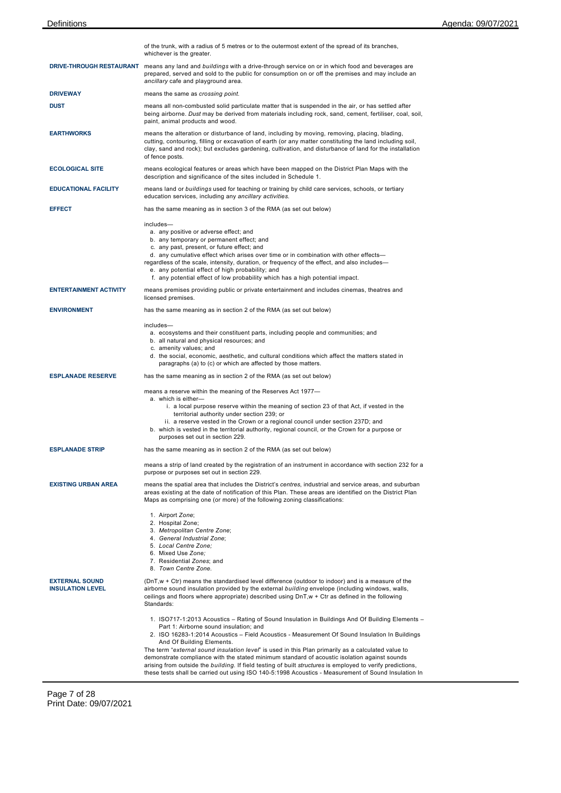|                                                  | of the trunk, with a radius of 5 metres or to the outermost extent of the spread of its branches,<br>whichever is the greater.                                                                                                                                                                                                                                                                                                                                                                                                                                                                                                                                                                       |
|--------------------------------------------------|------------------------------------------------------------------------------------------------------------------------------------------------------------------------------------------------------------------------------------------------------------------------------------------------------------------------------------------------------------------------------------------------------------------------------------------------------------------------------------------------------------------------------------------------------------------------------------------------------------------------------------------------------------------------------------------------------|
|                                                  | DRIVE-THROUGH RESTAURANT means any land and buildings with a drive-through service on or in which food and beverages are<br>prepared, served and sold to the public for consumption on or off the premises and may include an<br>ancillary cafe and playground area.                                                                                                                                                                                                                                                                                                                                                                                                                                 |
| <b>DRIVEWAY</b>                                  | means the same as crossing point.                                                                                                                                                                                                                                                                                                                                                                                                                                                                                                                                                                                                                                                                    |
| <b>DUST</b>                                      | means all non-combusted solid particulate matter that is suspended in the air, or has settled after<br>being airborne. Dust may be derived from materials including rock, sand, cement, fertiliser, coal, soil,<br>paint, animal products and wood.                                                                                                                                                                                                                                                                                                                                                                                                                                                  |
| <b>EARTHWORKS</b>                                | means the alteration or disturbance of land, including by moving, removing, placing, blading,<br>cutting, contouring, filling or excavation of earth (or any matter constituting the land including soil,<br>clay, sand and rock); but excludes gardening, cultivation, and disturbance of land for the installation<br>of fence posts.                                                                                                                                                                                                                                                                                                                                                              |
| <b>ECOLOGICAL SITE</b>                           | means ecological features or areas which have been mapped on the District Plan Maps with the<br>description and significance of the sites included in Schedule 1.                                                                                                                                                                                                                                                                                                                                                                                                                                                                                                                                    |
| <b>EDUCATIONAL FACILITY</b>                      | means land or buildings used for teaching or training by child care services, schools, or tertiary<br>education services, including any ancillary activities.                                                                                                                                                                                                                                                                                                                                                                                                                                                                                                                                        |
| <b>EFFECT</b>                                    | has the same meaning as in section 3 of the RMA (as set out below)                                                                                                                                                                                                                                                                                                                                                                                                                                                                                                                                                                                                                                   |
|                                                  | includes-<br>a. any positive or adverse effect; and<br>b. any temporary or permanent effect; and<br>c. any past, present, or future effect; and<br>d. any cumulative effect which arises over time or in combination with other effects—<br>regardless of the scale, intensity, duration, or frequency of the effect, and also includes-<br>e. any potential effect of high probability; and<br>f. any potential effect of low probability which has a high potential impact.                                                                                                                                                                                                                        |
| <b>ENTERTAINMENT ACTIVITY</b>                    | means premises providing public or private entertainment and includes cinemas, theatres and<br>licensed premises.                                                                                                                                                                                                                                                                                                                                                                                                                                                                                                                                                                                    |
| <b>ENVIRONMENT</b>                               | has the same meaning as in section 2 of the RMA (as set out below)                                                                                                                                                                                                                                                                                                                                                                                                                                                                                                                                                                                                                                   |
|                                                  | includes-<br>a. ecosystems and their constituent parts, including people and communities; and<br>b. all natural and physical resources; and<br>c. amenity values; and<br>d. the social, economic, aesthetic, and cultural conditions which affect the matters stated in<br>paragraphs (a) to (c) or which are affected by those matters.                                                                                                                                                                                                                                                                                                                                                             |
| <b>ESPLANADE RESERVE</b>                         | has the same meaning as in section 2 of the RMA (as set out below)                                                                                                                                                                                                                                                                                                                                                                                                                                                                                                                                                                                                                                   |
|                                                  | means a reserve within the meaning of the Reserves Act 1977-<br>a. which is either-<br>i. a local purpose reserve within the meaning of section 23 of that Act, if vested in the<br>territorial authority under section 239; or<br>ii. a reserve vested in the Crown or a regional council under section 237D; and<br>b. which is vested in the territorial authority, regional council, or the Crown for a purpose or<br>purposes set out in section 229.                                                                                                                                                                                                                                           |
| <b>ESPLANADE STRIP</b>                           | has the same meaning as in section 2 of the RMA (as set out below)                                                                                                                                                                                                                                                                                                                                                                                                                                                                                                                                                                                                                                   |
|                                                  | means a strip of land created by the registration of an instrument in accordance with section 232 for a<br>purpose or purposes set out in section 229.                                                                                                                                                                                                                                                                                                                                                                                                                                                                                                                                               |
| <b>EXISTING URBAN AREA</b>                       | means the spatial area that includes the District's centres, industrial and service areas, and suburban<br>areas existing at the date of notification of this Plan. These areas are identified on the District Plan<br>Maps as comprising one (or more) of the following zoning classifications:                                                                                                                                                                                                                                                                                                                                                                                                     |
|                                                  | 1. Airport Zone;<br>2. Hospital Zone;<br>3. Metropolitan Centre Zone;<br>4. General Industrial Zone;<br>5. Local Centre Zone;<br>6. Mixed Use Zone;<br>7. Residential Zones: and<br>8. Town Centre Zone.                                                                                                                                                                                                                                                                                                                                                                                                                                                                                             |
| <b>EXTERNAL SOUND</b><br><b>INSULATION LEVEL</b> | (DnT,w + Ctr) means the standardised level difference (outdoor to indoor) and is a measure of the<br>airborne sound insulation provided by the external building envelope (including windows, walls,<br>ceilings and floors where appropriate) described using $DnT, w + Ctr$ as defined in the following<br>Standards:                                                                                                                                                                                                                                                                                                                                                                              |
|                                                  | 1. ISO717-1:2013 Acoustics – Rating of Sound Insulation in Buildings And Of Building Elements –<br>Part 1: Airborne sound insulation; and<br>2. ISO 16283-1:2014 Acoustics – Field Acoustics - Measurement Of Sound Insulation In Buildings<br>And Of Building Elements.<br>The term "external sound insulation level" is used in this Plan primarily as a calculated value to<br>demonstrate compliance with the stated minimum standard of acoustic isolation against sounds<br>arising from outside the building. If field testing of built structures is employed to verify predictions,<br>these tests shall be carried out using ISO 140-5:1998 Acoustics - Measurement of Sound Insulation In |

 $\overline{\phantom{a}}$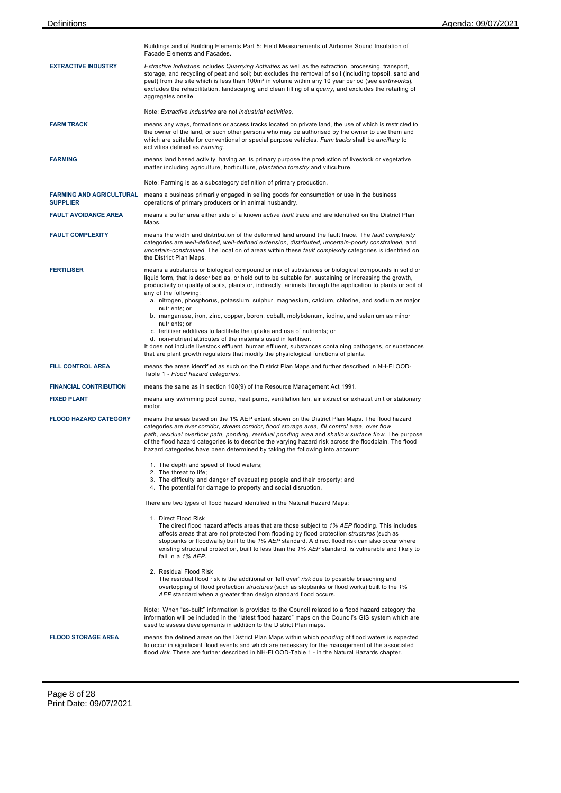|                                                    | Buildings and of Building Elements Part 5: Field Measurements of Airborne Sound Insulation of<br>Facade Elements and Facades.                                                                                                                                                                                                                                                                                                                                                                                                                                                                                                                                                                                                            |
|----------------------------------------------------|------------------------------------------------------------------------------------------------------------------------------------------------------------------------------------------------------------------------------------------------------------------------------------------------------------------------------------------------------------------------------------------------------------------------------------------------------------------------------------------------------------------------------------------------------------------------------------------------------------------------------------------------------------------------------------------------------------------------------------------|
| <b>EXTRACTIVE INDUSTRY</b>                         | Extractive Industries includes Quarrying Activities as well as the extraction, processing, transport,<br>storage, and recycling of peat and soil; but excludes the removal of soil (including topsoil, sand and<br>peat) from the site which is less than 100m <sup>3</sup> in volume within any 10 year period (see earthworks),<br>excludes the rehabilitation, landscaping and clean filling of a quarry, and excludes the retailing of<br>aggregates onsite.                                                                                                                                                                                                                                                                         |
|                                                    | Note: Extractive Industries are not industrial activities.                                                                                                                                                                                                                                                                                                                                                                                                                                                                                                                                                                                                                                                                               |
| <b>FARM TRACK</b>                                  | means any ways, formations or access tracks located on private land, the use of which is restricted to<br>the owner of the land, or such other persons who may be authorised by the owner to use them and<br>which are suitable for conventional or special purpose vehicles. Farm tracks shall be ancillary to<br>activities defined as Farming.                                                                                                                                                                                                                                                                                                                                                                                        |
| <b>FARMING</b>                                     | means land based activity, having as its primary purpose the production of livestock or vegetative<br>matter including agriculture, horticulture, plantation forestry and viticulture.                                                                                                                                                                                                                                                                                                                                                                                                                                                                                                                                                   |
|                                                    | Note: Farming is as a subcategory definition of primary production.                                                                                                                                                                                                                                                                                                                                                                                                                                                                                                                                                                                                                                                                      |
| <b>FARMING AND AGRICULTURAL</b><br><b>SUPPLIER</b> | means a business primarily engaged in selling goods for consumption or use in the business<br>operations of primary producers or in animal husbandry.                                                                                                                                                                                                                                                                                                                                                                                                                                                                                                                                                                                    |
| <b>FAULT AVOIDANCE AREA</b>                        | means a buffer area either side of a known active fault trace and are identified on the District Plan<br>Maps.                                                                                                                                                                                                                                                                                                                                                                                                                                                                                                                                                                                                                           |
| <b>FAULT COMPLEXITY</b>                            | means the width and distribution of the deformed land around the fault trace. The fault complexity<br>categories are well-defined, well-defined extension, distributed, uncertain-poorly constrained, and<br>uncertain-constrained. The location of areas within these fault complexity categories is identified on<br>the District Plan Maps.                                                                                                                                                                                                                                                                                                                                                                                           |
| <b>FERTILISER</b>                                  | means a substance or biological compound or mix of substances or biological compounds in solid or<br>liquid form, that is described as, or held out to be suitable for, sustaining or increasing the growth,<br>productivity or quality of soils, plants or, indirectly, animals through the application to plants or soil of<br>any of the following:<br>a. nitrogen, phosphorus, potassium, sulphur, magnesium, calcium, chlorine, and sodium as major<br>nutrients; or<br>b. manganese, iron, zinc, copper, boron, cobalt, molybdenum, iodine, and selenium as minor<br>nutrients; or<br>c. fertiliser additives to facilitate the uptake and use of nutrients; or<br>d. non-nutrient attributes of the materials used in fertiliser. |
|                                                    | It does not include livestock effluent, human effluent, substances containing pathogens, or substances<br>that are plant growth regulators that modify the physiological functions of plants.                                                                                                                                                                                                                                                                                                                                                                                                                                                                                                                                            |
| <b>FILL CONTROL AREA</b>                           | means the areas identified as such on the District Plan Maps and further described in NH-FLOOD-<br>Table 1 - Flood hazard categories.                                                                                                                                                                                                                                                                                                                                                                                                                                                                                                                                                                                                    |
| <b>FINANCIAL CONTRIBUTION</b>                      | means the same as in section 108(9) of the Resource Management Act 1991.                                                                                                                                                                                                                                                                                                                                                                                                                                                                                                                                                                                                                                                                 |
| <b>FIXED PLANT</b>                                 | means any swimming pool pump, heat pump, ventilation fan, air extract or exhaust unit or stationary<br>motor.                                                                                                                                                                                                                                                                                                                                                                                                                                                                                                                                                                                                                            |
| <b>FLOOD HAZARD CATEGORY</b>                       | means the areas based on the 1% AEP extent shown on the District Plan Maps. The flood hazard<br>categories are river corridor, stream corridor, flood storage area, fill control area, over flow<br>path, residual overflow path, ponding, residual ponding area and shallow surface flow. The purpose<br>of the flood hazard categories is to describe the varying hazard risk across the floodplain. The flood<br>hazard categories have been determined by taking the following into account:                                                                                                                                                                                                                                         |
|                                                    | 1. The depth and speed of flood waters;                                                                                                                                                                                                                                                                                                                                                                                                                                                                                                                                                                                                                                                                                                  |
|                                                    | 2. The threat to life;<br>3. The difficulty and danger of evacuating people and their property; and<br>4. The potential for damage to property and social disruption.                                                                                                                                                                                                                                                                                                                                                                                                                                                                                                                                                                    |
|                                                    | There are two types of flood hazard identified in the Natural Hazard Maps:                                                                                                                                                                                                                                                                                                                                                                                                                                                                                                                                                                                                                                                               |
|                                                    | 1. Direct Flood Risk<br>The direct flood hazard affects areas that are those subject to 1% AEP flooding. This includes<br>affects areas that are not protected from flooding by flood protection structures (such as<br>stopbanks or floodwalls) built to the 1% AEP standard. A direct flood risk can also occur where<br>existing structural protection, built to less than the 1% AEP standard, is vulnerable and likely to<br>fail in a 1% AEP.                                                                                                                                                                                                                                                                                      |
|                                                    | 2. Residual Flood Risk<br>The residual flood risk is the additional or 'left over' risk due to possible breaching and<br>overtopping of flood protection <i>structures</i> (such as stopbanks or flood works) built to the 1%<br>AEP standard when a greater than design standard flood occurs.                                                                                                                                                                                                                                                                                                                                                                                                                                          |
|                                                    | Note: When "as-built" information is provided to the Council related to a flood hazard category the<br>information will be included in the "latest flood hazard" maps on the Council's GIS system which are<br>used to assess developments in addition to the District Plan maps.                                                                                                                                                                                                                                                                                                                                                                                                                                                        |
| <b>FLOOD STORAGE AREA</b>                          | means the defined areas on the District Plan Maps within which ponding of flood waters is expected<br>to occur in significant flood events and which are necessary for the management of the associated<br>flood risk. These are further described in NH-FLOOD-Table 1 - in the Natural Hazards chapter.                                                                                                                                                                                                                                                                                                                                                                                                                                 |
|                                                    |                                                                                                                                                                                                                                                                                                                                                                                                                                                                                                                                                                                                                                                                                                                                          |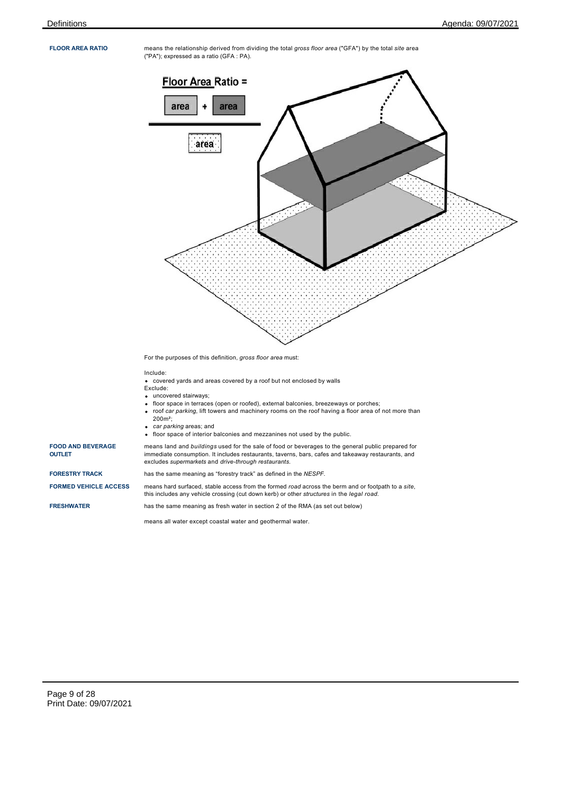**FLOOR AREA RATIO** means the relationship derived from dividing the total *gross floor area* ("GFA") by the total *site* area ("PA"); expressed as a ratio (GFA : PA).



For the purposes of this definition, *gross floor area* must:

## Include:

- covered yards and areas covered by a roof but not enclosed by walls
- Exclude:
- uncovered stairways;
- floor space in terraces (open or roofed), external balconies, breezeways or porches;  $\mathbf{r}$
- roof *car parking*, lift towers and machinery rooms on the roof having a floor area of not more than 200m²;
- *car parking* areas; and  $\bullet$
- floor space of interior balconies and mezzanines not used by the public.

means land and *buildings* used for the sale of food or beverages to the general public prepared for immediate consumption. It includes restaurants, taverns, bars, cafes and takeaway restaurants, and excludes *supermarkets* and *drive-through restaurants*.

**FORESTRY TRACK** has the same meaning as "forestry track" as defined in the *NESPF*.

**FORMED VEHICLE ACCESS** means hard surfaced, stable access from the formed *road* across the berm and or footpath to a *site*, this includes any vehicle crossing (cut down kerb) or other *structures* in the *legal road*.

**OUTLET**

**FOOD AND BEVERAGE**

**FRESHWATER** has the same meaning as fresh water in section 2 of the RMA (as set out below)

means all water except coastal water and geothermal water.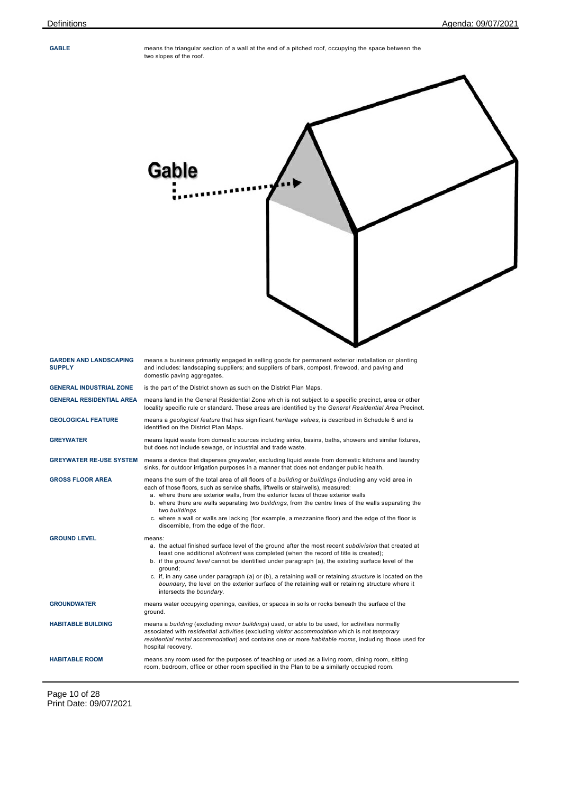**GABLE** means the triangular section of a wall at the end of a pitched roof, occupying the space between the two slopes of the roof.

|                                                | Gable                                                                                                                                                                                                                                                                                                                                                                                                                                                                                                                                                                             |
|------------------------------------------------|-----------------------------------------------------------------------------------------------------------------------------------------------------------------------------------------------------------------------------------------------------------------------------------------------------------------------------------------------------------------------------------------------------------------------------------------------------------------------------------------------------------------------------------------------------------------------------------|
| <b>GARDEN AND LANDSCAPING</b><br><b>SUPPLY</b> | means a business primarily engaged in selling goods for permanent exterior installation or planting<br>and includes: landscaping suppliers; and suppliers of bark, compost, firewood, and paving and<br>domestic paving aggregates.                                                                                                                                                                                                                                                                                                                                               |
| <b>GENERAL INDUSTRIAL ZONE</b>                 | is the part of the District shown as such on the District Plan Maps.                                                                                                                                                                                                                                                                                                                                                                                                                                                                                                              |
| <b>GENERAL RESIDENTIAL AREA</b>                | means land in the General Residential Zone which is not subject to a specific precinct, area or other<br>locality specific rule or standard. These areas are identified by the General Residential Area Precinct.                                                                                                                                                                                                                                                                                                                                                                 |
| <b>GEOLOGICAL FEATURE</b>                      | means a geological feature that has significant heritage values, is described in Schedule 6 and is<br>identified on the District Plan Maps.                                                                                                                                                                                                                                                                                                                                                                                                                                       |
| <b>GREYWATER</b>                               | means liquid waste from domestic sources including sinks, basins, baths, showers and similar fixtures,<br>but does not include sewage, or industrial and trade waste.                                                                                                                                                                                                                                                                                                                                                                                                             |
| <b>GREYWATER RE-USE SYSTEM</b>                 | means a device that disperses greywater, excluding liquid waste from domestic kitchens and laundry<br>sinks, for outdoor irrigation purposes in a manner that does not endanger public health.                                                                                                                                                                                                                                                                                                                                                                                    |
| <b>GROSS FLOOR AREA</b>                        | means the sum of the total area of all floors of a building or buildings (including any void area in<br>each of those floors, such as service shafts, liftwells or stairwells), measured:<br>a. where there are exterior walls, from the exterior faces of those exterior walls<br>b. where there are walls separating two buildings, from the centre lines of the walls separating the<br>two buildings<br>c. where a wall or walls are lacking (for example, a mezzanine floor) and the edge of the floor is<br>discernible, from the edge of the floor.                        |
| <b>GROUND LEVEL</b>                            | means:<br>a. the actual finished surface level of the ground after the most recent <i>subdivision</i> that created at<br>least one additional allotment was completed (when the record of title is created);<br>b. if the ground level cannot be identified under paragraph (a), the existing surface level of the<br>ground;<br>c. if, in any case under paragraph (a) or (b), a retaining wall or retaining <i>structure</i> is located on the<br>boundary, the level on the exterior surface of the retaining wall or retaining structure where it<br>intersects the boundary. |
| <b>GROUNDWATER</b>                             | means water occupying openings, cavities, or spaces in soils or rocks beneath the surface of the<br>ground.                                                                                                                                                                                                                                                                                                                                                                                                                                                                       |
| <b>HABITABLE BUILDING</b>                      | means a building (excluding minor buildings) used, or able to be used, for activities normally<br>associated with residential activities (excluding visitor accommodation which is not temporary<br>residential rental accommodation) and contains one or more habitable rooms, including those used for<br>hospital recovery.                                                                                                                                                                                                                                                    |
| <b>HABITABLE ROOM</b>                          | means any room used for the purposes of teaching or used as a living room, dining room, sitting<br>room, bedroom, office or other room specified in the Plan to be a similarly occupied room.                                                                                                                                                                                                                                                                                                                                                                                     |

 $\overline{\phantom{a}}$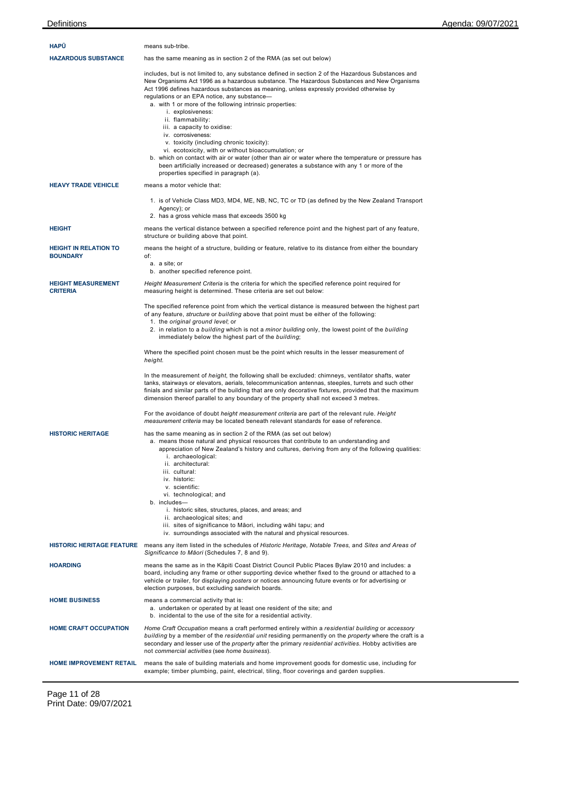| <b>HAPU</b>                                     | means sub-tribe.                                                                                                                                                                                                                                                                                                                                                                                                                                                                                                                                                                                                                                                                                                                                                                                                                                                                                                                                                                                                                                                                                                                                                                                                                                                                                                                                                                                                                                                                                                                                  |
|-------------------------------------------------|---------------------------------------------------------------------------------------------------------------------------------------------------------------------------------------------------------------------------------------------------------------------------------------------------------------------------------------------------------------------------------------------------------------------------------------------------------------------------------------------------------------------------------------------------------------------------------------------------------------------------------------------------------------------------------------------------------------------------------------------------------------------------------------------------------------------------------------------------------------------------------------------------------------------------------------------------------------------------------------------------------------------------------------------------------------------------------------------------------------------------------------------------------------------------------------------------------------------------------------------------------------------------------------------------------------------------------------------------------------------------------------------------------------------------------------------------------------------------------------------------------------------------------------------------|
| <b>HAZARDOUS SUBSTANCE</b>                      | has the same meaning as in section 2 of the RMA (as set out below)                                                                                                                                                                                                                                                                                                                                                                                                                                                                                                                                                                                                                                                                                                                                                                                                                                                                                                                                                                                                                                                                                                                                                                                                                                                                                                                                                                                                                                                                                |
|                                                 | includes, but is not limited to, any substance defined in section 2 of the Hazardous Substances and<br>New Organisms Act 1996 as a hazardous substance. The Hazardous Substances and New Organisms<br>Act 1996 defines hazardous substances as meaning, unless expressly provided otherwise by<br>regulations or an EPA notice, any substance-<br>a. with 1 or more of the following intrinsic properties:<br>i. explosiveness:<br>ii. flammability:<br>iii. a capacity to oxidise:<br>iv. corrosiveness:<br>v. toxicity (including chronic toxicity):<br>vi. ecotoxicity, with or without bioaccumulation; or<br>b. which on contact with air or water (other than air or water where the temperature or pressure has<br>been artificially increased or decreased) generates a substance with any 1 or more of the<br>properties specified in paragraph (a).                                                                                                                                                                                                                                                                                                                                                                                                                                                                                                                                                                                                                                                                                     |
| <b>HEAVY TRADE VEHICLE</b>                      | means a motor vehicle that:                                                                                                                                                                                                                                                                                                                                                                                                                                                                                                                                                                                                                                                                                                                                                                                                                                                                                                                                                                                                                                                                                                                                                                                                                                                                                                                                                                                                                                                                                                                       |
|                                                 | 1. is of Vehicle Class MD3, MD4, ME, NB, NC, TC or TD (as defined by the New Zealand Transport<br>Agency); or<br>2. has a gross vehicle mass that exceeds 3500 kg                                                                                                                                                                                                                                                                                                                                                                                                                                                                                                                                                                                                                                                                                                                                                                                                                                                                                                                                                                                                                                                                                                                                                                                                                                                                                                                                                                                 |
| <b>HEIGHT</b>                                   | means the vertical distance between a specified reference point and the highest part of any feature,<br>structure or building above that point.                                                                                                                                                                                                                                                                                                                                                                                                                                                                                                                                                                                                                                                                                                                                                                                                                                                                                                                                                                                                                                                                                                                                                                                                                                                                                                                                                                                                   |
| <b>HEIGHT IN RELATION TO</b><br><b>BOUNDARY</b> | means the height of a structure, building or feature, relative to its distance from either the boundary<br>of:<br>a. a site; or                                                                                                                                                                                                                                                                                                                                                                                                                                                                                                                                                                                                                                                                                                                                                                                                                                                                                                                                                                                                                                                                                                                                                                                                                                                                                                                                                                                                                   |
|                                                 | b. another specified reference point.                                                                                                                                                                                                                                                                                                                                                                                                                                                                                                                                                                                                                                                                                                                                                                                                                                                                                                                                                                                                                                                                                                                                                                                                                                                                                                                                                                                                                                                                                                             |
| <b>HEIGHT MEASUREMENT</b><br><b>CRITERIA</b>    | Height Measurement Criteria is the criteria for which the specified reference point required for<br>measuring height is determined. These criteria are set out below:                                                                                                                                                                                                                                                                                                                                                                                                                                                                                                                                                                                                                                                                                                                                                                                                                                                                                                                                                                                                                                                                                                                                                                                                                                                                                                                                                                             |
| <b>HISTORIC HERITAGE</b>                        | The specified reference point from which the vertical distance is measured between the highest part<br>of any feature, <i>structure</i> or building above that point must be either of the following:<br>1. the original ground level; or<br>2. in relation to a building which is not a minor building only, the lowest point of the building<br>immediately below the highest part of the building;<br>Where the specified point chosen must be the point which results in the lesser measurement of<br>height.<br>In the measurement of <i>height</i> , the following shall be excluded: chimneys, ventilator shafts, water<br>tanks, stairways or elevators, aerials, telecommunication antennas, steeples, turrets and such other<br>finials and similar parts of the building that are only decorative fixtures, provided that the maximum<br>dimension thereof parallel to any boundary of the property shall not exceed 3 metres.<br>For the avoidance of doubt height measurement criteria are part of the relevant rule. Height<br>measurement criteria may be located beneath relevant standards for ease of reference.<br>has the same meaning as in section 2 of the RMA (as set out below)<br>a. means those natural and physical resources that contribute to an understanding and<br>appreciation of New Zealand's history and cultures, deriving from any of the following qualities:<br>i. archaeological:<br>ii. architectural:<br>iii. cultural:<br>iv. historic:<br>v. scientific:<br>vi. technological; and<br>b. includes- |
|                                                 | i. historic sites, structures, places, and areas; and<br>ii. archaeological sites; and<br>iii. sites of significance to Māori, including wāhi tapu; and<br>iv. surroundings associated with the natural and physical resources.                                                                                                                                                                                                                                                                                                                                                                                                                                                                                                                                                                                                                                                                                                                                                                                                                                                                                                                                                                                                                                                                                                                                                                                                                                                                                                                   |
| <b>HISTORIC HERITAGE FEATURE</b>                | means any item listed in the schedules of Historic Heritage, Notable Trees, and Sites and Areas of<br>Significance to Māori (Schedules 7, 8 and 9).                                                                                                                                                                                                                                                                                                                                                                                                                                                                                                                                                                                                                                                                                                                                                                                                                                                                                                                                                                                                                                                                                                                                                                                                                                                                                                                                                                                               |
| <b>HOARDING</b>                                 | means the same as in the Kāpiti Coast District Council Public Places Bylaw 2010 and includes: a<br>board, including any frame or other supporting device whether fixed to the ground or attached to a<br>vehicle or trailer, for displaying posters or notices announcing future events or for advertising or<br>election purposes, but excluding sandwich boards.                                                                                                                                                                                                                                                                                                                                                                                                                                                                                                                                                                                                                                                                                                                                                                                                                                                                                                                                                                                                                                                                                                                                                                                |
| <b>HOME BUSINESS</b>                            | means a commercial activity that is:<br>a. undertaken or operated by at least one resident of the site; and<br>b. incidental to the use of the site for a residential activity.                                                                                                                                                                                                                                                                                                                                                                                                                                                                                                                                                                                                                                                                                                                                                                                                                                                                                                                                                                                                                                                                                                                                                                                                                                                                                                                                                                   |
| <b>HOME CRAFT OCCUPATION</b>                    | Home Craft Occupation means a craft performed entirely within a residential building or accessory<br>building by a member of the residential unit residing permanently on the property where the craft is a<br>secondary and lesser use of the <i>property</i> after the primary residential activities. Hobby activities are<br>not commercial activities (see home business).                                                                                                                                                                                                                                                                                                                                                                                                                                                                                                                                                                                                                                                                                                                                                                                                                                                                                                                                                                                                                                                                                                                                                                   |
| <b>HOME IMPROVEMENT RETAIL</b>                  | means the sale of building materials and home improvement goods for domestic use, including for<br>example; timber plumbing, paint, electrical, tiling, floor coverings and garden supplies.                                                                                                                                                                                                                                                                                                                                                                                                                                                                                                                                                                                                                                                                                                                                                                                                                                                                                                                                                                                                                                                                                                                                                                                                                                                                                                                                                      |

Page 11 of 28 Print Date: 09/07/2021

 $\overline{a}$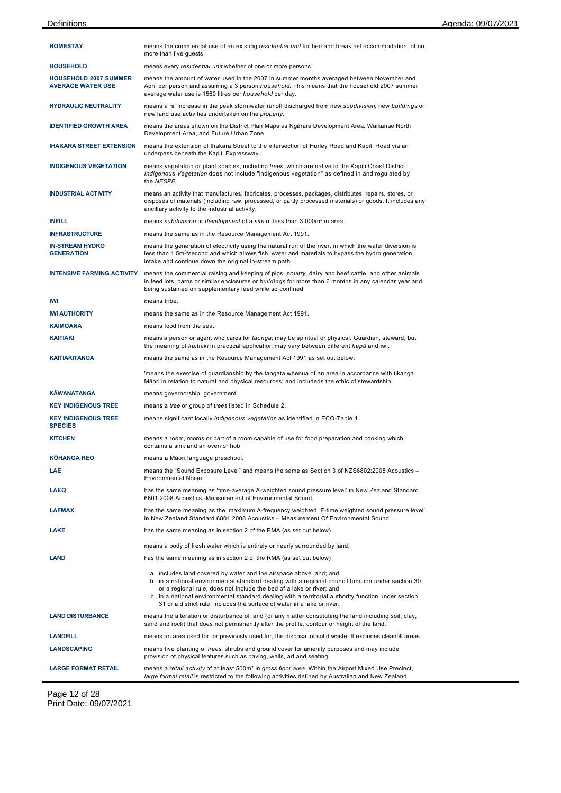| <b>HOMESTAY</b>                                          | means the commercial use of an existing residential unit for bed and breakfast accommodation, of no<br>more than five quests.                                                                                                                                                                                                                                                                                                      |
|----------------------------------------------------------|------------------------------------------------------------------------------------------------------------------------------------------------------------------------------------------------------------------------------------------------------------------------------------------------------------------------------------------------------------------------------------------------------------------------------------|
| <b>HOUSEHOLD</b>                                         | means every residential unit whether of one or more persons.                                                                                                                                                                                                                                                                                                                                                                       |
| <b>HOUSEHOLD 2007 SUMMER</b><br><b>AVERAGE WATER USE</b> | means the amount of water used in the 2007 in summer months averaged between November and<br>April per person and assuming a 3 person <i>household</i> . This means that the household 2007 summer<br>average water use is 1560 litres per household per day.                                                                                                                                                                      |
| <b>HYDRAULIC NEUTRALITY</b>                              | means a nil increase in the peak stormwater runoff discharged from new subdivision, new buildings or<br>new land use activities undertaken on the property.                                                                                                                                                                                                                                                                        |
| <b>IDENTIFIED GROWTH AREA</b>                            | means the areas shown on the District Plan Maps as Ngārara Development Area, Waikanae North<br>Development Area, and Future Urban Zone.                                                                                                                                                                                                                                                                                            |
| <b>IHAKARA STREET EXTENSION</b>                          | means the extension of Ihakara Street to the intersection of Hurley Road and Kapiti Road via an<br>underpass beneath the Kapiti Expressway.                                                                                                                                                                                                                                                                                        |
| <b>INDIGENOUS VEGETATION</b>                             | means vegetation or plant species, including trees, which are native to the Kapiti Coast District.<br>Indigenous Vegetation does not include "indigenous vegetation" as defined in and regulated by<br>the NESPF.                                                                                                                                                                                                                  |
| <b>INDUSTRIAL ACTIVITY</b>                               | means an activity that manufactures, fabricates, processes, packages, distributes, repairs, stores, or<br>disposes of materials (including raw, processed, or partly processed materials) or goods. It includes any<br>ancillary activity to the industrial activity.                                                                                                                                                              |
| <b>INFILL</b>                                            | means subdivision or development of a site of less than 3,000m <sup>2</sup> in area.                                                                                                                                                                                                                                                                                                                                               |
| <b>INFRASTRUCTURE</b>                                    | means the same as in the Resource Management Act 1991.                                                                                                                                                                                                                                                                                                                                                                             |
| <b>IN-STREAM HYDRO</b><br><b>GENERATION</b>              | means the generation of electricity using the natural run of the river, in which the water diversion is<br>less than 1.5m <sup>3</sup> /second and which allows fish, water and materials to bypass the hydro generation<br>intake and continue down the original in-stream path.                                                                                                                                                  |
| <b>INTENSIVE FARMING ACTIVITY</b>                        | means the commercial raising and keeping of pigs, poultry, dairy and beef cattle, and other animals<br>in feed lots, barns or similar enclosures or buildings for more than 6 months in any calendar year and<br>being sustained on supplementary feed while so confined.                                                                                                                                                          |
| IWI                                                      | means tribe.                                                                                                                                                                                                                                                                                                                                                                                                                       |
| <b>IWI AUTHORITY</b>                                     | means the same as in the Resource Management Act 1991.                                                                                                                                                                                                                                                                                                                                                                             |
| <b>KAIMOANA</b>                                          | means food from the sea.                                                                                                                                                                                                                                                                                                                                                                                                           |
| <b>KAITIAKI</b>                                          | means a person or agent who cares for taonga; may be spiritual or physical. Guardian, steward, but<br>the meaning of kaitiaki in practical application may vary between different hapu and iwi.                                                                                                                                                                                                                                    |
| <b>KAITIAKITANGA</b>                                     | means the same as in the Resource Management Act 1991 as set out below:                                                                                                                                                                                                                                                                                                                                                            |
|                                                          | 'means the exercise of guardianship by the tangata whenua of an area in accordance with tikanga<br>Māori in relation to natural and physical resources; and includeds the ethic of stewardship.                                                                                                                                                                                                                                    |
| <b>KÄWANATANGA</b>                                       | means governorship, government.                                                                                                                                                                                                                                                                                                                                                                                                    |
| <b>KEY INDIGENOUS TREE</b>                               | means a tree or group of trees listed in Schedule 2.                                                                                                                                                                                                                                                                                                                                                                               |
| <b>KEY INDIGENOUS TREE</b><br><b>SPECIES</b>             | means significant locally indigenous vegetation as identified in ECO-Table 1                                                                                                                                                                                                                                                                                                                                                       |
| <b>KITCHEN</b>                                           | means a room, rooms or part of a room capable of use for food preparation and cooking which<br>contains a sink and an oven or hob.                                                                                                                                                                                                                                                                                                 |
| <b>KÖHANGA REO</b>                                       | means a Māori language preschool.                                                                                                                                                                                                                                                                                                                                                                                                  |
| <b>LAE</b>                                               | means the "Sound Exposure Level" and means the same as Section 3 of NZS6802:2008 Acoustics -<br>Environmental Noise.                                                                                                                                                                                                                                                                                                               |
| <b>LAEQ</b>                                              | has the same meaning as 'time-average A-weighted sound pressure level' in New Zealand Standard<br>6801:2008 Acoustics -Measurement of Environmental Sound.                                                                                                                                                                                                                                                                         |
| <b>LAFMAX</b>                                            | has the same meaning as the 'maximum A-frequency weighted, F-time weighted sound pressure level'<br>in New Zealand Standard 6801:2008 Acoustics - Measurement Of Environmental Sound.                                                                                                                                                                                                                                              |
| LAKE                                                     | has the same meaning as in section 2 of the RMA (as set out below)                                                                                                                                                                                                                                                                                                                                                                 |
|                                                          | means a body of fresh water which is entirely or nearly surrounded by land.                                                                                                                                                                                                                                                                                                                                                        |
| <b>LAND</b>                                              | has the same meaning as in section 2 of the RMA (as set out below)                                                                                                                                                                                                                                                                                                                                                                 |
|                                                          | a. includes land covered by water and the airspace above land; and<br>b. in a national environmental standard dealing with a regional council function under section 30<br>or a regional rule, does not include the bed of a lake or river; and<br>c. in a national environmental standard dealing with a territorial authority function under section<br>31 or a district rule, includes the surface of water in a lake or river. |
| <b>LAND DISTURBANCE</b>                                  | means the alteration or disturbance of land (or any matter constituting the land including soil, clay,<br>sand and rock) that does not permanently alter the profile, contour or height of the land.                                                                                                                                                                                                                               |
| <b>LANDFILL</b>                                          | means an area used for, or previously used for, the disposal of solid waste. It excludes cleanfill areas.                                                                                                                                                                                                                                                                                                                          |
| <b>LANDSCAPING</b>                                       | means live planting of trees, shrubs and ground cover for amenity purposes and may include<br>provision of physical features such as paving, walls, art and seating.                                                                                                                                                                                                                                                               |
| <b>LARGE FORMAT RETAIL</b>                               | means a retail activity of at least 500m <sup>2</sup> in gross floor area. Within the Airport Mixed Use Precinct,<br>large format retail is restricted to the following activities defined by Australian and New Zealand                                                                                                                                                                                                           |

Page 12 of 28 Print Date: 09/07/2021

 $\overline{a}$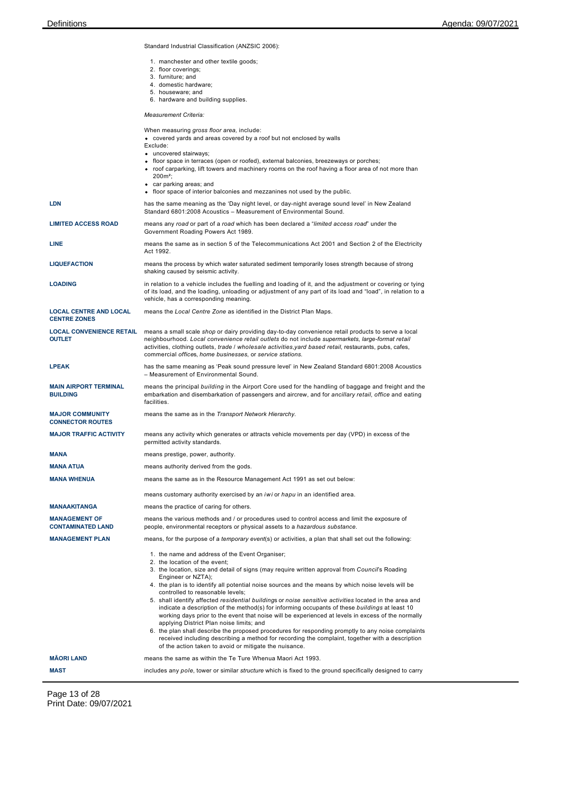Standard Industrial Classification (ANZSIC 2006):

- 1. manchester and other textile goods;
- 2. floor coverings;
- 3. furniture; and
- 4. domestic hardware; 5. houseware; and
- 6. hardware and building supplies.

*Measurement Criteria:*

|                                                      | <i>Measurement</i> Chiena                                                                                                                                                                                                                                                                                                                                                                                                                                                                                                                                                                                                                                                                                                                                                                                                                                                                                                                                                           |
|------------------------------------------------------|-------------------------------------------------------------------------------------------------------------------------------------------------------------------------------------------------------------------------------------------------------------------------------------------------------------------------------------------------------------------------------------------------------------------------------------------------------------------------------------------------------------------------------------------------------------------------------------------------------------------------------------------------------------------------------------------------------------------------------------------------------------------------------------------------------------------------------------------------------------------------------------------------------------------------------------------------------------------------------------|
|                                                      | When measuring gross floor area, include:<br>• covered yards and areas covered by a roof but not enclosed by walls<br>Exclude:<br>• uncovered stairways;<br>• floor space in terraces (open or roofed), external balconies, breezeways or porches;<br>• roof carparking, lift towers and machinery rooms on the roof having a floor area of not more than<br>200m <sup>2</sup> :<br>• car parking areas; and<br>• floor space of interior balconies and mezzanines not used by the public.                                                                                                                                                                                                                                                                                                                                                                                                                                                                                          |
| LDN                                                  | has the same meaning as the 'Day night level, or day-night average sound level' in New Zealand<br>Standard 6801:2008 Acoustics - Measurement of Environmental Sound.                                                                                                                                                                                                                                                                                                                                                                                                                                                                                                                                                                                                                                                                                                                                                                                                                |
| <b>LIMITED ACCESS ROAD</b>                           | means any road or part of a road which has been declared a "limited access road" under the<br>Government Roading Powers Act 1989.                                                                                                                                                                                                                                                                                                                                                                                                                                                                                                                                                                                                                                                                                                                                                                                                                                                   |
| LINE                                                 | means the same as in section 5 of the Telecommunications Act 2001 and Section 2 of the Electricity<br>Act 1992.                                                                                                                                                                                                                                                                                                                                                                                                                                                                                                                                                                                                                                                                                                                                                                                                                                                                     |
| <b>LIQUEFACTION</b>                                  | means the process by which water saturated sediment temporarily loses strength because of strong<br>shaking caused by seismic activity.                                                                                                                                                                                                                                                                                                                                                                                                                                                                                                                                                                                                                                                                                                                                                                                                                                             |
| <b>LOADING</b>                                       | in relation to a vehicle includes the fuelling and loading of it, and the adjustment or covering or tying<br>of its load, and the loading, unloading or adjustment of any part of its load and "load", in relation to a<br>vehicle, has a corresponding meaning.                                                                                                                                                                                                                                                                                                                                                                                                                                                                                                                                                                                                                                                                                                                    |
| <b>LOCAL CENTRE AND LOCAL</b><br><b>CENTRE ZONES</b> | means the Local Centre Zone as identified in the District Plan Maps.                                                                                                                                                                                                                                                                                                                                                                                                                                                                                                                                                                                                                                                                                                                                                                                                                                                                                                                |
| <b>LOCAL CONVENIENCE RETAIL</b><br><b>OUTLET</b>     | means a small scale shop or dairy providing day-to-day convenience retail products to serve a local<br>neighbourhood. Local convenience retail outlets do not include supermarkets, large-format retail<br>activities, clothing outlets, trade / wholesale activities, yard based retail, restaurants, pubs, cafes,<br>commercial offices, home businesses, or service stations.                                                                                                                                                                                                                                                                                                                                                                                                                                                                                                                                                                                                    |
| <b>LPEAK</b>                                         | has the same meaning as 'Peak sound pressure level' in New Zealand Standard 6801:2008 Acoustics<br>- Measurement of Environmental Sound.                                                                                                                                                                                                                                                                                                                                                                                                                                                                                                                                                                                                                                                                                                                                                                                                                                            |
| <b>MAIN AIRPORT TERMINAL</b><br><b>BUILDING</b>      | means the principal building in the Airport Core used for the handling of baggage and freight and the<br>embarkation and disembarkation of passengers and aircrew, and for ancillary retail, office and eating<br>facilities.                                                                                                                                                                                                                                                                                                                                                                                                                                                                                                                                                                                                                                                                                                                                                       |
| <b>MAJOR COMMUNITY</b><br><b>CONNECTOR ROUTES</b>    | means the same as in the Transport Network Hierarchy.                                                                                                                                                                                                                                                                                                                                                                                                                                                                                                                                                                                                                                                                                                                                                                                                                                                                                                                               |
| <b>MAJOR TRAFFIC ACTIVITY</b>                        | means any activity which generates or attracts vehicle movements per day (VPD) in excess of the<br>permitted activity standards.                                                                                                                                                                                                                                                                                                                                                                                                                                                                                                                                                                                                                                                                                                                                                                                                                                                    |
| MANA                                                 | means prestige, power, authority.                                                                                                                                                                                                                                                                                                                                                                                                                                                                                                                                                                                                                                                                                                                                                                                                                                                                                                                                                   |
| <b>MANA ATUA</b>                                     | means authority derived from the gods.                                                                                                                                                                                                                                                                                                                                                                                                                                                                                                                                                                                                                                                                                                                                                                                                                                                                                                                                              |
| <b>MANA WHENUA</b>                                   | means the same as in the Resource Management Act 1991 as set out below:                                                                                                                                                                                                                                                                                                                                                                                                                                                                                                                                                                                                                                                                                                                                                                                                                                                                                                             |
|                                                      | means customary authority exercised by an <i>iwi</i> or <i>hapu</i> in an identified area.                                                                                                                                                                                                                                                                                                                                                                                                                                                                                                                                                                                                                                                                                                                                                                                                                                                                                          |
| <b>MANAAKITANGA</b>                                  | means the practice of caring for others.                                                                                                                                                                                                                                                                                                                                                                                                                                                                                                                                                                                                                                                                                                                                                                                                                                                                                                                                            |
| <b>MANAGEMENT OF</b><br><b>CONTAMINATED LAND</b>     | means the various methods and / or procedures used to control access and limit the exposure of<br>people, environmental receptors or physical assets to a hazardous substance.                                                                                                                                                                                                                                                                                                                                                                                                                                                                                                                                                                                                                                                                                                                                                                                                      |
| <b>MANAGEMENT PLAN</b>                               | means, for the purpose of a temporary event(s) or activities, a plan that shall set out the following:                                                                                                                                                                                                                                                                                                                                                                                                                                                                                                                                                                                                                                                                                                                                                                                                                                                                              |
|                                                      | 1. the name and address of the Event Organiser;<br>2. the location of the event;<br>3. the location, size and detail of signs (may require written approval from Council's Roading<br>Engineer or NZTA);<br>4. the plan is to identify all potential noise sources and the means by which noise levels will be<br>controlled to reasonable levels;<br>5. shall identify affected residential buildings or noise sensitive activities located in the area and<br>indicate a description of the method(s) for informing occupants of these buildings at least 10<br>working days prior to the event that noise will be experienced at levels in excess of the normally<br>applying District Plan noise limits; and<br>6. the plan shall describe the proposed procedures for responding promptly to any noise complaints<br>received including describing a method for recording the complaint, together with a description<br>of the action taken to avoid or mitigate the nuisance. |
| <b>MAORI LAND</b>                                    | means the same as within the Te Ture Whenua Maori Act 1993.                                                                                                                                                                                                                                                                                                                                                                                                                                                                                                                                                                                                                                                                                                                                                                                                                                                                                                                         |
| MAST                                                 | includes any pole, tower or similar <i>structure</i> which is fixed to the ground specifically designed to carry                                                                                                                                                                                                                                                                                                                                                                                                                                                                                                                                                                                                                                                                                                                                                                                                                                                                    |

Page 13 of 28 Print Date: 09/07/2021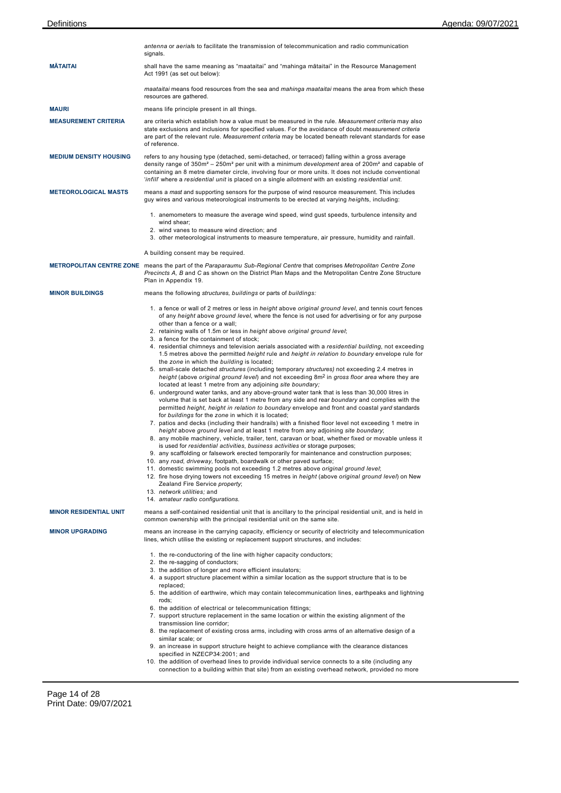|                               | antenna or aerials to facilitate the transmission of telecommunication and radio communication<br>signals.                                                                                                                                                                                                                                                                                                                                                                                                                                                                                                                                                                                                                                                                                                                                                                                                                                                                                                                                                                                                                                                                                                                                                                                                                                                                                                                                                                                                                                                                                                                                                                                                                                                                                                                                                                                                                                                                                                                                                                                                                                                       |
|-------------------------------|------------------------------------------------------------------------------------------------------------------------------------------------------------------------------------------------------------------------------------------------------------------------------------------------------------------------------------------------------------------------------------------------------------------------------------------------------------------------------------------------------------------------------------------------------------------------------------------------------------------------------------------------------------------------------------------------------------------------------------------------------------------------------------------------------------------------------------------------------------------------------------------------------------------------------------------------------------------------------------------------------------------------------------------------------------------------------------------------------------------------------------------------------------------------------------------------------------------------------------------------------------------------------------------------------------------------------------------------------------------------------------------------------------------------------------------------------------------------------------------------------------------------------------------------------------------------------------------------------------------------------------------------------------------------------------------------------------------------------------------------------------------------------------------------------------------------------------------------------------------------------------------------------------------------------------------------------------------------------------------------------------------------------------------------------------------------------------------------------------------------------------------------------------------|
| <b>MATAITAI</b>               | shall have the same meaning as "maataitai" and "mahinga mātaitai" in the Resource Management<br>Act 1991 (as set out below):                                                                                                                                                                                                                                                                                                                                                                                                                                                                                                                                                                                                                                                                                                                                                                                                                                                                                                                                                                                                                                                                                                                                                                                                                                                                                                                                                                                                                                                                                                                                                                                                                                                                                                                                                                                                                                                                                                                                                                                                                                     |
|                               | maataitai means food resources from the sea and mahinga maataitai means the area from which these<br>resources are gathered.                                                                                                                                                                                                                                                                                                                                                                                                                                                                                                                                                                                                                                                                                                                                                                                                                                                                                                                                                                                                                                                                                                                                                                                                                                                                                                                                                                                                                                                                                                                                                                                                                                                                                                                                                                                                                                                                                                                                                                                                                                     |
| <b>MAURI</b>                  | means life principle present in all things.                                                                                                                                                                                                                                                                                                                                                                                                                                                                                                                                                                                                                                                                                                                                                                                                                                                                                                                                                                                                                                                                                                                                                                                                                                                                                                                                                                                                                                                                                                                                                                                                                                                                                                                                                                                                                                                                                                                                                                                                                                                                                                                      |
| <b>MEASUREMENT CRITERIA</b>   | are criteria which establish how a value must be measured in the rule. Measurement criteria may also<br>state exclusions and inclusions for specified values. For the avoidance of doubt measurement criteria<br>are part of the relevant rule. Measurement criteria may be located beneath relevant standards for ease<br>of reference.                                                                                                                                                                                                                                                                                                                                                                                                                                                                                                                                                                                                                                                                                                                                                                                                                                                                                                                                                                                                                                                                                                                                                                                                                                                                                                                                                                                                                                                                                                                                                                                                                                                                                                                                                                                                                         |
| <b>MEDIUM DENSITY HOUSING</b> | refers to any housing type (detached, semi-detached, or terraced) falling within a gross average<br>density range of $350m^2 - 250m^2$ per unit with a minimum development area of $200m^2$ and capable of<br>containing an 8 metre diameter circle, involving four or more units. It does not include conventional<br>'infill' where a residential unit is placed on a single allotment with an existing residential unit.                                                                                                                                                                                                                                                                                                                                                                                                                                                                                                                                                                                                                                                                                                                                                                                                                                                                                                                                                                                                                                                                                                                                                                                                                                                                                                                                                                                                                                                                                                                                                                                                                                                                                                                                      |
| <b>METEOROLOGICAL MASTS</b>   | means a mast and supporting sensors for the purpose of wind resource measurement. This includes<br>guy wires and various meteorological instruments to be erected at varying heights, including:                                                                                                                                                                                                                                                                                                                                                                                                                                                                                                                                                                                                                                                                                                                                                                                                                                                                                                                                                                                                                                                                                                                                                                                                                                                                                                                                                                                                                                                                                                                                                                                                                                                                                                                                                                                                                                                                                                                                                                 |
|                               | 1. anemometers to measure the average wind speed, wind gust speeds, turbulence intensity and<br>wind shear;<br>2. wind vanes to measure wind direction; and<br>3. other meteorological instruments to measure temperature, air pressure, humidity and rainfall.                                                                                                                                                                                                                                                                                                                                                                                                                                                                                                                                                                                                                                                                                                                                                                                                                                                                                                                                                                                                                                                                                                                                                                                                                                                                                                                                                                                                                                                                                                                                                                                                                                                                                                                                                                                                                                                                                                  |
|                               | A building consent may be required.                                                                                                                                                                                                                                                                                                                                                                                                                                                                                                                                                                                                                                                                                                                                                                                                                                                                                                                                                                                                                                                                                                                                                                                                                                                                                                                                                                                                                                                                                                                                                                                                                                                                                                                                                                                                                                                                                                                                                                                                                                                                                                                              |
|                               | METROPOLITAN CENTRE ZONE means the part of the Paraparaumu Sub-Regional Centre that comprises Metropolitan Centre Zone<br>Precincts A, B and C as shown on the District Plan Maps and the Metropolitan Centre Zone Structure<br>Plan in Appendix 19.                                                                                                                                                                                                                                                                                                                                                                                                                                                                                                                                                                                                                                                                                                                                                                                                                                                                                                                                                                                                                                                                                                                                                                                                                                                                                                                                                                                                                                                                                                                                                                                                                                                                                                                                                                                                                                                                                                             |
| <b>MINOR BUILDINGS</b>        | means the following structures, buildings or parts of buildings:                                                                                                                                                                                                                                                                                                                                                                                                                                                                                                                                                                                                                                                                                                                                                                                                                                                                                                                                                                                                                                                                                                                                                                                                                                                                                                                                                                                                                                                                                                                                                                                                                                                                                                                                                                                                                                                                                                                                                                                                                                                                                                 |
|                               | 1. a fence or wall of 2 metres or less in height above original ground level, and tennis court fences<br>of any height above ground level, where the fence is not used for advertising or for any purpose<br>other than a fence or a wall;<br>2. retaining walls of 1.5m or less in height above original ground level;<br>3. a fence for the containment of stock;<br>4. residential chimneys and television aerials associated with a residential building, not exceeding<br>1.5 metres above the permitted <i>height</i> rule and <i>height in relation to boundary</i> envelope rule for<br>the zone in which the building is located;<br>5. small-scale detached <i>structures</i> (including temporary <i>structures</i> ) not exceeding 2.4 metres in<br>height (above original ground level) and not exceeding 8m <sup>2</sup> in gross floor area where they are<br>located at least 1 metre from any adjoining site boundary;<br>6. underground water tanks, and any above-ground water tank that is less than 30,000 litres in<br>volume that is set back at least 1 metre from any side and rear boundary and complies with the<br>permitted height, height in relation to boundary envelope and front and coastal yard standards<br>for buildings for the zone in which it is located;<br>7. patios and decks (including their handrails) with a finished floor level not exceeding 1 metre in<br>height above ground level and at least 1 metre from any adjoining site boundary;<br>8. any mobile machinery, vehicle, trailer, tent, caravan or boat, whether fixed or movable unless it<br>is used for residential activities, business activities or storage purposes;<br>9. any scaffolding or falsework erected temporarily for maintenance and construction purposes;<br>10. any road, driveway, footpath, boardwalk or other paved surface;<br>11. domestic swimming pools not exceeding 1.2 metres above original ground level;<br>12. fire hose drying towers not exceeding 15 metres in height (above original ground level) on New<br>Zealand Fire Service property;<br>13. network utilities; and<br>14. amateur radio configurations. |
| <b>MINOR RESIDENTIAL UNIT</b> | means a self-contained residential unit that is ancillary to the principal residential unit, and is held in<br>common ownership with the principal residential unit on the same site.                                                                                                                                                                                                                                                                                                                                                                                                                                                                                                                                                                                                                                                                                                                                                                                                                                                                                                                                                                                                                                                                                                                                                                                                                                                                                                                                                                                                                                                                                                                                                                                                                                                                                                                                                                                                                                                                                                                                                                            |
| <b>MINOR UPGRADING</b>        | means an increase in the carrying capacity, efficiency or security of electricity and telecommunication<br>lines, which utilise the existing or replacement support structures, and includes:                                                                                                                                                                                                                                                                                                                                                                                                                                                                                                                                                                                                                                                                                                                                                                                                                                                                                                                                                                                                                                                                                                                                                                                                                                                                                                                                                                                                                                                                                                                                                                                                                                                                                                                                                                                                                                                                                                                                                                    |
|                               | 1. the re-conductoring of the line with higher capacity conductors;<br>2. the re-sagging of conductors;<br>3. the addition of longer and more efficient insulators;<br>4. a support structure placement within a similar location as the support structure that is to be<br>replaced;<br>5. the addition of earthwire, which may contain telecommunication lines, earthpeaks and lightning<br>rods;<br>6. the addition of electrical or telecommunication fittings;<br>7. support structure replacement in the same location or within the existing alignment of the<br>transmission line corridor;<br>8. the replacement of existing cross arms, including with cross arms of an alternative design of a<br>similar scale; or<br>9. an increase in support structure height to achieve compliance with the clearance distances<br>specified in NZECP34:2001; and<br>10. the addition of overhead lines to provide individual service connects to a site (including any<br>connection to a building within that site) from an existing overhead network, provided no more                                                                                                                                                                                                                                                                                                                                                                                                                                                                                                                                                                                                                                                                                                                                                                                                                                                                                                                                                                                                                                                                                        |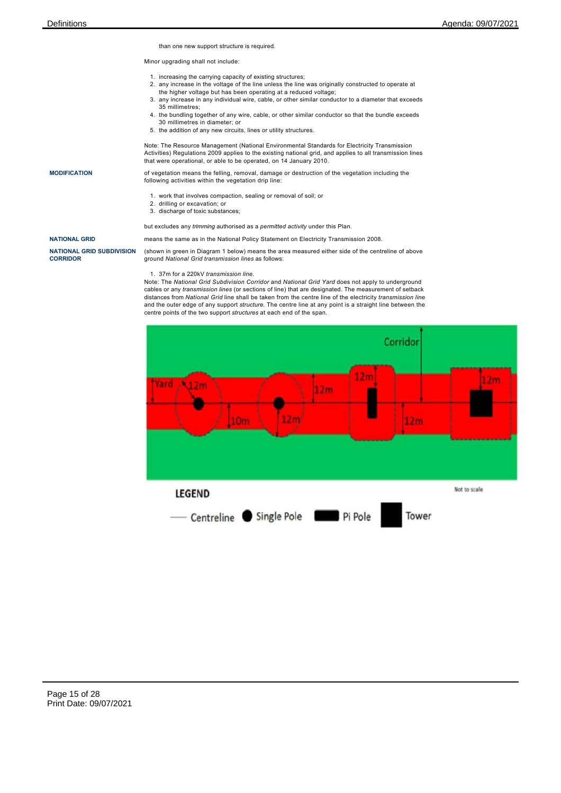than one new support structure is required.

Minor upgrading shall not include:

- 1. increasing the carrying capacity of existing structures;
- 2. any increase in the voltage of the line unless the line was originally constructed to operate at the higher voltage but has been operating at a reduced voltage;
- 3. any increase in any individual wire, cable, or other similar conductor to a diameter that exceeds 35 millimetres;
- 4. the bundling together of any wire, cable, or other similar conductor so that the bundle exceeds 30 millimetres in diameter; or
- 5. the addition of any new circuits, lines or utility structures.

Note: The Resource Management (National Environmental Standards for Electricity Transmission Activities) Regulations 2009 applies to the existing national grid, and applies to all transmission lines that were operational, or able to be operated, on 14 January 2010.

**MODIFICATION** of vegetation means the felling, removal, damage or destruction of the vegetation including the following activities within the vegetation drip line:

- 1. work that involves compaction, sealing or removal of soil; or
	- 2. drilling or excavation; or
	- 3. discharge of toxic substances;

but excludes any *trimming* authorised as a *permitted activity* under this Plan.

**NATIONAL GRID** means the same as in the National Policy Statement on Electricity Transmission 2008.

**NATIONAL GRID SUBDIVISION CORRIDOR**

(shown in green in Diagram 1 below) means the area measured either side of the centreline of above ground *National Grid transmission lines* as follows:

### 1. 37m for a 220kV *transmission line.*

Note: The *National Grid Subdivision Corridor* and *National Grid Yard* does not apply to underground cables or any *transmission lines* (or sections of line) that are designated. The measurement of setback distances from *National Grid* line shall be taken from the centre line of the electricity *transmission line* and the outer edge of any support *structure*. The centre line at any point is a straight line between the centre points of the two support *structures* at each end of the span.

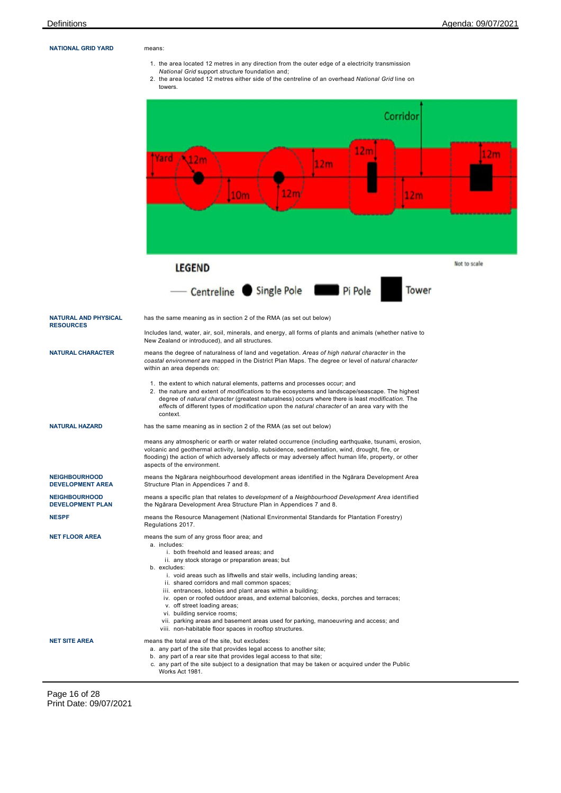### **NATIONAL GRID YARD** means:

- 1. the area located 12 metres in any direction from the outer edge of a electricity transmission
- *National Grid* support *structure* foundation and;
- 2. the area located 12 metres either side of the centreline of an overhead *National Grid* line on towers.
- Corridor  $12<sub>m</sub>$  $12<sub>m</sub>$ Yard  $12<sub>m</sub>$  $12<sub>m</sub>$  $12<sub>m</sub>$  $10<sub>m</sub>$  $12<sub>m</sub>$ Not to scale **LEGEND** - Centreline Single Pole Pi Pole Tower **NATURAL AND PHYSICAL** has the same meaning as in section 2 of the RMA (as set out below) **RESOURCES** Includes land, water, air, soil, minerals, and energy, all forms of plants and animals (whether native to New Zealand or introduced), and all structures. **NATURAL CHARACTER** means the degree of naturalness of land and vegetation. *Areas of high natural character* in the *coastal environment* are mapped in the District Plan Maps. The degree or level of *natural character* within an area depends on: 1. the extent to which natural elements, patterns and processes occur; and 2. the nature and extent of *modification*s to the ecosystems and landscape/seascape. The highest degree of *natural character* (greatest naturalness) occurs where there is least *modification*. The *effect*s of different types of *modification* upon the *natural character* of an area vary with the context. **NATURAL HAZARD** has the same meaning as in section 2 of the RMA (as set out below) means any atmospheric or earth or water related occurrence (including earthquake, tsunami, erosion, volcanic and geothermal activity, landslip, subsidence, sedimentation, wind, drought, fire, or flooding) the action of which adversely affects or may adversely affect human life, property, or other aspects of the environment. **NEIGHBOURHOOD** means the Ngārara neighbourhood development areas identified in the Ngārara Development Area **DEVELOPMENT AREA** Structure Plan in Appendices 7 and 8. **NEIGHBOURHOOD** means a specific plan that relates to *development* of a *Neighbourhood Development Area* identified **DEVELOPMENT PLAN** the Ngārara Development Area Structure Plan in Appendices 7 and 8. **NESPF** means the Resource Management (National Environmental Standards for Plantation Forestry) Regulations 2017. **NET FLOOR AREA** means the sum of any gross floor area; and a. includes: i. both freehold and leased areas; and ii. any stock storage or preparation areas; but b. excludes: i. void areas such as liftwells and stair wells, including landing areas; ii. shared corridors and mall common spaces; iii. entrances, lobbies and plant areas within a building; iv. open or roofed outdoor areas, and external balconies, decks, porches and terraces; v. off street loading areas; vi. building service rooms; vii. parking areas and basement areas used for parking, manoeuvring and access; and viii. non-habitable floor spaces in rooftop structures. **NET SITE AREA** means the total area of the site, but excludes: a. any part of the site that provides legal access to another site; b. any part of a rear site that provides legal access to that site; c. any part of the site subject to a designation that may be taken or acquired under the Public Works Act 1981.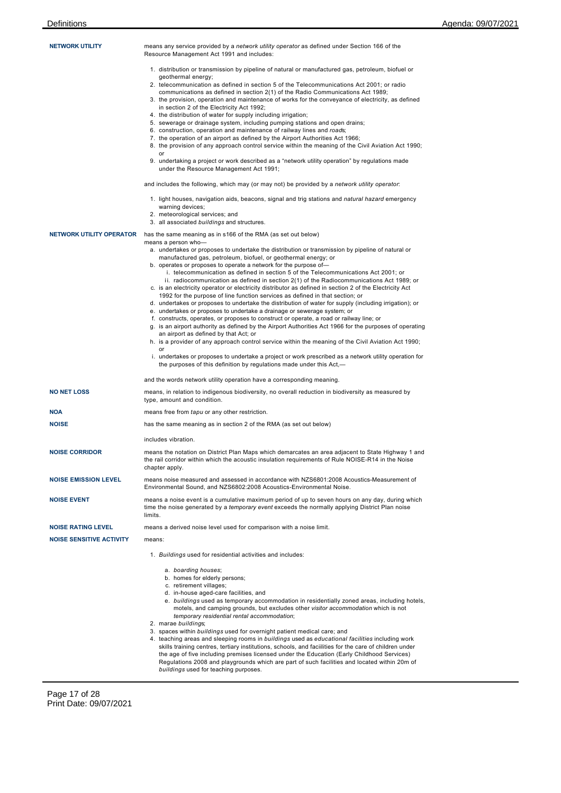| <b>NETWORK UTILITY</b>          | means any service provided by a <i>network utility operator</i> as defined under Section 166 of the<br>Resource Management Act 1991 and includes:                                                                         |
|---------------------------------|---------------------------------------------------------------------------------------------------------------------------------------------------------------------------------------------------------------------------|
|                                 | 1. distribution or transmission by pipeline of natural or manufactured gas, petroleum, biofuel or                                                                                                                         |
|                                 | geothermal energy;<br>2. telecommunication as defined in section 5 of the Telecommunications Act 2001; or radio                                                                                                           |
|                                 | communications as defined in section 2(1) of the Radio Communications Act 1989;                                                                                                                                           |
|                                 | 3. the provision, operation and maintenance of works for the conveyance of electricity, as defined<br>in section 2 of the Electricity Act 1992;                                                                           |
|                                 | 4. the distribution of water for supply including irrigation;                                                                                                                                                             |
|                                 | 5. sewerage or drainage system, including pumping stations and open drains;<br>6. construction, operation and maintenance of railway lines and roads;                                                                     |
|                                 | 7. the operation of an airport as defined by the Airport Authorities Act 1966;                                                                                                                                            |
|                                 | 8. the provision of any approach control service within the meaning of the Civil Aviation Act 1990;                                                                                                                       |
|                                 | 9. undertaking a project or work described as a "network utility operation" by regulations made<br>under the Resource Management Act 1991;                                                                                |
|                                 | and includes the following, which may (or may not) be provided by a <i>network utility operator</i> :                                                                                                                     |
|                                 | 1. light houses, navigation aids, beacons, signal and trig stations and <i>natural hazard</i> emergency                                                                                                                   |
|                                 | warning devices;<br>2. meteorological services; and                                                                                                                                                                       |
|                                 | 3. all associated buildings and structures.                                                                                                                                                                               |
| <b>NETWORK UTILITY OPERATOR</b> | has the same meaning as in s166 of the RMA (as set out below)                                                                                                                                                             |
|                                 | means a person who-<br>a. undertakes or proposes to undertake the distribution or transmission by pipeline of natural or                                                                                                  |
|                                 | manufactured gas, petroleum, biofuel, or geothermal energy; or<br>b. operates or proposes to operate a network for the purpose of-                                                                                        |
|                                 | i. telecommunication as defined in section 5 of the Telecommunications Act 2001; or                                                                                                                                       |
|                                 | ii. radiocommunication as defined in section 2(1) of the Radiocommunications Act 1989; or<br>c. is an electricity operator or electricity distributor as defined in section 2 of the Electricity Act                      |
|                                 | 1992 for the purpose of line function services as defined in that section; or                                                                                                                                             |
|                                 | d. undertakes or proposes to undertake the distribution of water for supply (including irrigation); or<br>e. undertakes or proposes to undertake a drainage or sewerage system; or                                        |
|                                 | f. constructs, operates, or proposes to construct or operate, a road or railway line; or                                                                                                                                  |
|                                 | g. is an airport authority as defined by the Airport Authorities Act 1966 for the purposes of operating<br>an airport as defined by that Act; or                                                                          |
|                                 | h. is a provider of any approach control service within the meaning of the Civil Aviation Act 1990;                                                                                                                       |
|                                 | or<br>i. undertakes or proposes to undertake a project or work prescribed as a network utility operation for                                                                                                              |
|                                 | the purposes of this definition by regulations made under this Act,-                                                                                                                                                      |
|                                 | and the words network utility operation have a corresponding meaning.                                                                                                                                                     |
| <b>NO NET LOSS</b>              | means, in relation to indigenous biodiversity, no overall reduction in biodiversity as measured by<br>type, amount and condition.                                                                                         |
| NOA                             | means free from <i>tapu</i> or any other restriction.                                                                                                                                                                     |
| <b>NOISE</b>                    | has the same meaning as in section 2 of the RMA (as set out below)                                                                                                                                                        |
|                                 | includes vibration.                                                                                                                                                                                                       |
| <b>NOISE CORRIDOR</b>           | means the notation on District Plan Maps which demarcates an area adjacent to State Highway 1 and<br>the rail corridor within which the acoustic insulation requirements of Rule NOISE-R14 in the Noise<br>chapter apply. |
| <b>NOISE EMISSION LEVEL</b>     | means noise measured and assessed in accordance with NZS6801:2008 Acoustics-Measurement of                                                                                                                                |
|                                 | Environmental Sound, and NZS6802:2008 Acoustics-Environmental Noise.                                                                                                                                                      |
| <b>NOISE EVENT</b>              | means a noise event is a cumulative maximum period of up to seven hours on any day, during which<br>time the noise generated by a <i>temporary event</i> exceeds the normally applying District Plan noise<br>limits.     |
| <b>NOISE RATING LEVEL</b>       | means a derived noise level used for comparison with a noise limit.                                                                                                                                                       |
| <b>NOISE SENSITIVE ACTIVITY</b> | means:                                                                                                                                                                                                                    |
|                                 | 1. Buildings used for residential activities and includes:                                                                                                                                                                |
|                                 | a. boarding houses;                                                                                                                                                                                                       |
|                                 | b. homes for elderly persons;<br>c. retirement villages;                                                                                                                                                                  |
|                                 | d. in-house aged-care facilities, and                                                                                                                                                                                     |
|                                 | e. buildings used as temporary accommodation in residentially zoned areas, including hotels,<br>motels, and camping grounds, but excludes other visitor accommodation which is not                                        |
|                                 | temporary residential rental accommodation;                                                                                                                                                                               |
|                                 | 2. marae buildings;<br>3. spaces within buildings used for overnight patient medical care; and                                                                                                                            |
|                                 | 4. teaching areas and sleeping rooms in buildings used as educational facilities including work                                                                                                                           |
|                                 | skills training centres, tertiary institutions, schools, and facillities for the care of children under<br>the age of five including premises licensed under the Education (Early Childhood Services)                     |
|                                 | Regulations 2008 and playgrounds which are part of such facilities and located within 20m of                                                                                                                              |

*buildings* used for teaching purposes.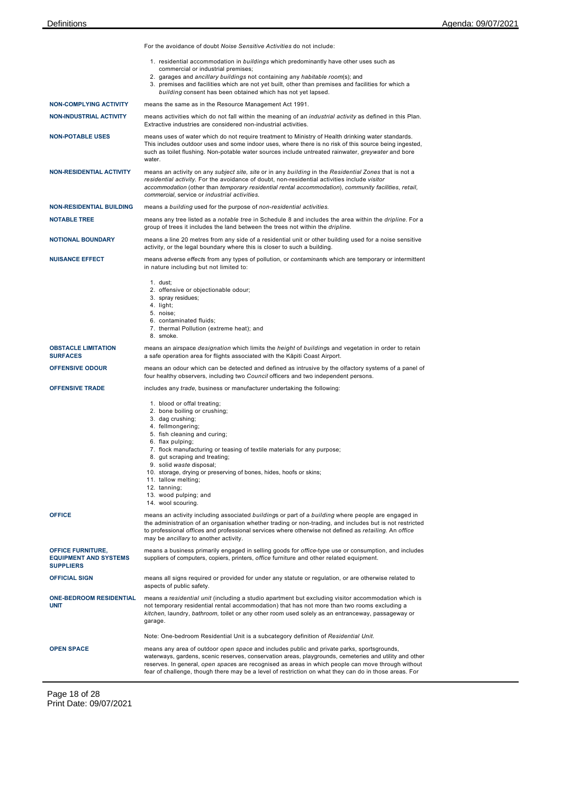|                                                                              | For the avoidance of doubt Noise Sensitive Activities do not include:                                                                                                                                                                                                                                                                                                                                                                                        |  |  |  |  |
|------------------------------------------------------------------------------|--------------------------------------------------------------------------------------------------------------------------------------------------------------------------------------------------------------------------------------------------------------------------------------------------------------------------------------------------------------------------------------------------------------------------------------------------------------|--|--|--|--|
|                                                                              | 1. residential accommodation in buildings which predominantly have other uses such as<br>commercial or industrial premises;<br>2. garages and ancillary buildings not containing any habitable room(s); and<br>3. premises and facilities which are not yet built, other than premises and facilities for which a                                                                                                                                            |  |  |  |  |
|                                                                              | building consent has been obtained which has not yet lapsed.                                                                                                                                                                                                                                                                                                                                                                                                 |  |  |  |  |
| <b>NON-COMPLYING ACTIVITY</b>                                                | means the same as in the Resource Management Act 1991.                                                                                                                                                                                                                                                                                                                                                                                                       |  |  |  |  |
| <b>NON-INDUSTRIAL ACTIVITY</b>                                               | means activities which do not fall within the meaning of an <i>industrial activity</i> as defined in this Plan.<br>Extractive industries are considered non-industrial activities.                                                                                                                                                                                                                                                                           |  |  |  |  |
| <b>NON-POTABLE USES</b>                                                      | means uses of water which do not require treatment to Ministry of Health drinking water standards.<br>This includes outdoor uses and some indoor uses, where there is no risk of this source being ingested,<br>such as toilet flushing. Non-potable water sources include untreated rainwater, <i>greywater</i> and bore<br>water.                                                                                                                          |  |  |  |  |
| <b>NON-RESIDENTIAL ACTIVITY</b>                                              | means an activity on any subject site, site or in any building in the Residential Zones that is not a<br>residential activity. For the avoidance of doubt, non-residential activities include visitor<br>accommodation (other than temporary residential rental accommodation), community facilities, retail,<br>commercial, service or industrial activities.                                                                                               |  |  |  |  |
| <b>NON-RESIDENTIAL BUILDING</b>                                              | means a building used for the purpose of non-residential activities.                                                                                                                                                                                                                                                                                                                                                                                         |  |  |  |  |
| <b>NOTABLE TREE</b>                                                          | means any tree listed as a notable tree in Schedule 8 and includes the area within the dripline. For a<br>group of trees it includes the land between the trees not within the <i>dripline</i> .                                                                                                                                                                                                                                                             |  |  |  |  |
| <b>NOTIONAL BOUNDARY</b>                                                     | means a line 20 metres from any side of a residential unit or other building used for a noise sensitive<br>activity, or the legal boundary where this is closer to such a building.                                                                                                                                                                                                                                                                          |  |  |  |  |
| <b>NUISANCE EFFECT</b>                                                       | means adverse effects from any types of pollution, or contaminants which are temporary or intermittent<br>in nature including but not limited to:                                                                                                                                                                                                                                                                                                            |  |  |  |  |
|                                                                              | $1.$ dust;<br>2. offensive or objectionable odour;<br>3. spray residues;<br>4. light;<br>5. noise;<br>6. contaminated fluids;<br>7. thermal Pollution (extreme heat); and<br>8. smoke.                                                                                                                                                                                                                                                                       |  |  |  |  |
| <b>OBSTACLE LIMITATION</b><br><b>SURFACES</b>                                | means an airspace <i>designation</i> which limits the <i>height</i> of <i>buildings</i> and vegetation in order to retain<br>a safe operation area for flights associated with the Kāpiti Coast Airport.                                                                                                                                                                                                                                                     |  |  |  |  |
| <b>OFFENSIVE ODOUR</b>                                                       | means an odour which can be detected and defined as intrusive by the olfactory systems of a panel of<br>four healthy observers, including two <i>Council</i> officers and two independent persons.                                                                                                                                                                                                                                                           |  |  |  |  |
| <b>OFFENSIVE TRADE</b>                                                       | includes any trade, business or manufacturer undertaking the following:                                                                                                                                                                                                                                                                                                                                                                                      |  |  |  |  |
|                                                                              | 1. blood or offal treating;<br>2. bone boiling or crushing;<br>3. dag crushing;<br>4. fellmongering;<br>5. fish cleaning and curing;<br>6. flax pulping;<br>7. flock manufacturing or teasing of textile materials for any purpose;<br>8. gut scraping and treating;<br>9. solid waste disposal;<br>10. storage, drying or preserving of bones, hides, hoofs or skins;<br>11. tallow melting;<br>12. tanning;<br>13. wood pulping; and<br>14. wool scouring. |  |  |  |  |
| <b>OFFICE</b>                                                                | means an activity including associated buildings or part of a building where people are engaged in<br>the administration of an organisation whether trading or non-trading, and includes but is not restricted<br>to professional offices and professional services where otherwise not defined as retailing. An office<br>may be ancillary to another activity.                                                                                             |  |  |  |  |
| <b>OFFICE FURNITURE,</b><br><b>EQUIPMENT AND SYSTEMS</b><br><b>SUPPLIERS</b> | means a business primarily engaged in selling goods for <i>office</i> -type use or consumption, and includes<br>suppliers of computers, copiers, printers, office furniture and other related equipment.                                                                                                                                                                                                                                                     |  |  |  |  |
| <b>OFFICIAL SIGN</b>                                                         | means all signs required or provided for under any statute or regulation, or are otherwise related to<br>aspects of public safety.                                                                                                                                                                                                                                                                                                                           |  |  |  |  |
| <b>ONE-BEDROOM RESIDENTIAL</b><br><b>UNIT</b>                                | means a residential unit (including a studio apartment but excluding visitor accommodation which is<br>not temporary residential rental accommodation) that has not more than two rooms excluding a<br>kitchen, laundry, bathroom, toilet or any other room used solely as an entranceway, passageway or<br>garage.                                                                                                                                          |  |  |  |  |
|                                                                              | Note: One-bedroom Residential Unit is a subcategory definition of Residential Unit.                                                                                                                                                                                                                                                                                                                                                                          |  |  |  |  |
| <b>OPEN SPACE</b>                                                            | means any area of outdoor open space and includes public and private parks, sportsgrounds,<br>waterways, gardens, scenic reserves, conservation areas, playgrounds, cemeteries and utility and other<br>reserves. In general, open spaces are recognised as areas in which people can move through without<br>fear of challenge, though there may be a level of restriction on what they can do in those areas. For                                          |  |  |  |  |

Page 18 of 28 Print Date: 09/07/2021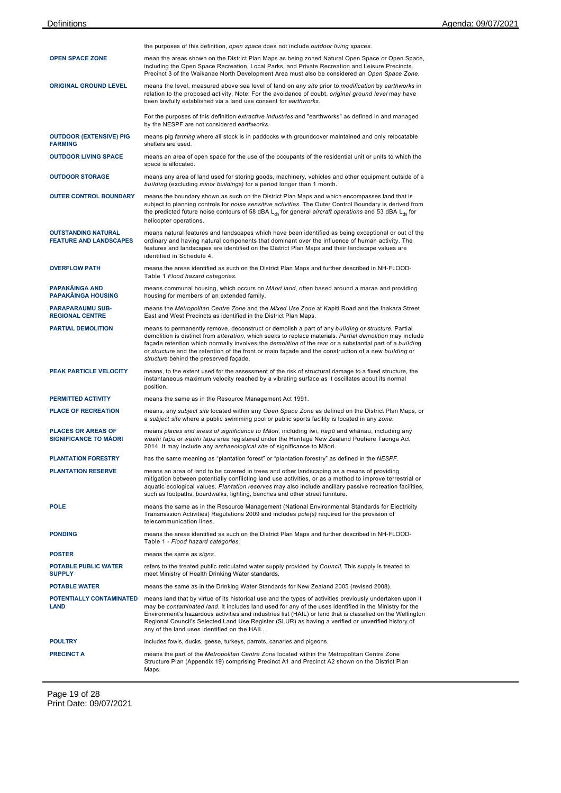|                                                             | the purposes of this definition, open space does not include outdoor living spaces.                                                                                                                                                                                                                                                                                                                                                                                                     |
|-------------------------------------------------------------|-----------------------------------------------------------------------------------------------------------------------------------------------------------------------------------------------------------------------------------------------------------------------------------------------------------------------------------------------------------------------------------------------------------------------------------------------------------------------------------------|
| <b>OPEN SPACE ZONE</b>                                      | mean the areas shown on the District Plan Maps as being zoned Natural Open Space or Open Space,<br>including the Open Space Recreation, Local Parks, and Private Recreation and Leisure Precincts.<br>Precinct 3 of the Waikanae North Development Area must also be considered an Open Space Zone.                                                                                                                                                                                     |
| <b>ORIGINAL GROUND LEVEL</b>                                | means the level, measured above sea level of land on any site prior to modification by earthworks in<br>relation to the proposed activity. Note: For the avoidance of doubt, original ground level may have<br>been lawfully established via a land use consent for earthworks.                                                                                                                                                                                                         |
|                                                             | For the purposes of this definition extractive industries and "earthworks" as defined in and managed<br>by the NESPF are not considered earthworks.                                                                                                                                                                                                                                                                                                                                     |
| <b>OUTDOOR (EXTENSIVE) PIG</b><br><b>FARMING</b>            | means pig farming where all stock is in paddocks with groundcover maintained and only relocatable<br>shelters are used.                                                                                                                                                                                                                                                                                                                                                                 |
| <b>OUTDOOR LIVING SPACE</b>                                 | means an area of open space for the use of the occupants of the residential unit or units to which the<br>space is allocated.                                                                                                                                                                                                                                                                                                                                                           |
| <b>OUTDOOR STORAGE</b>                                      | means any area of land used for storing goods, machinery, vehicles and other equipment outside of a<br>building (excluding minor buildings) for a period longer than 1 month.                                                                                                                                                                                                                                                                                                           |
| <b>OUTER CONTROL BOUNDARY</b>                               | means the boundary shown as such on the District Plan Maps and which encompasses land that is<br>subject to planning controls for noise sensitive activities. The Outer Control Boundary is derived from<br>the predicted future noise contours of 58 dBA L <sub>dn</sub> for general aircraft operations and 53 dBA L <sub>dn</sub> for<br>helicopter operations.                                                                                                                      |
| <b>OUTSTANDING NATURAL</b><br><b>FEATURE AND LANDSCAPES</b> | means natural features and landscapes which have been identified as being exceptional or out of the<br>ordinary and having natural components that dominant over the influence of human activity. The<br>features and landscapes are identified on the District Plan Maps and their landscape values are<br>identified in Schedule 4.                                                                                                                                                   |
| <b>OVERFLOW PATH</b>                                        | means the areas identified as such on the District Plan Maps and further described in NH-FLOOD-<br>Table 1 Flood hazard categories.                                                                                                                                                                                                                                                                                                                                                     |
| <b>PAPAKAINGA AND</b><br><b>PAPAKĀINGA HOUSING</b>          | means communal housing, which occurs on Maori land, often based around a marae and providing<br>housing for members of an extended family.                                                                                                                                                                                                                                                                                                                                              |
| <b>PARAPARAUMU SUB-</b><br><b>REGIONAL CENTRE</b>           | means the Metropolitan Centre Zone and the Mixed Use Zone at Kapiti Road and the Ihakara Street<br>East and West Precincts as identified in the District Plan Maps.                                                                                                                                                                                                                                                                                                                     |
| <b>PARTIAL DEMOLITION</b>                                   | means to permanently remove, deconstruct or demolish a part of any building or structure. Partial<br>demolition is distinct from alteration, which seeks to replace materials. Partial demolition may include<br>façade retention which normally involves the <i>demolition</i> of the rear or a substantial part of a building<br>or structure and the retention of the front or main façade and the construction of a new building or<br>structure behind the preserved façade.       |
| PEAK PARTICLE VELOCITY                                      | means, to the extent used for the assessment of the risk of structural damage to a fixed structure, the<br>instantaneous maximum velocity reached by a vibrating surface as it oscillates about its normal<br>position.                                                                                                                                                                                                                                                                 |
| PERMITTED ACTIVITY                                          | means the same as in the Resource Management Act 1991.                                                                                                                                                                                                                                                                                                                                                                                                                                  |
| <b>PLACE OF RECREATION</b>                                  | means, any subject site located within any Open Space Zone as defined on the District Plan Maps, or<br>a subject site where a public swimming pool or public sports facility is located in any zone.                                                                                                                                                                                                                                                                                    |
| <b>PLACES OR AREAS OF</b><br><b>SIGNIFICANCE TO MĀORI</b>   | means places and areas of significance to Māori, including iwi, hapū and whānau, including any<br>waahi tapu or waahi tapu area registered under the Heritage New Zealand Pouhere Taonga Act<br>2014. It may include any archaeological site of significance to Māori.                                                                                                                                                                                                                  |
| <b>PLANTATION FORESTRY</b>                                  | has the same meaning as "plantation forest" or "plantation forestry" as defined in the NESPF.                                                                                                                                                                                                                                                                                                                                                                                           |
| <b>PLANTATION RESERVE</b>                                   | means an area of land to be covered in trees and other landscaping as a means of providing<br>mitigation between potentially conflicting land use activities, or as a method to improve terrestrial or<br>aquatic ecological values. Plantation reserves may also include ancillary passive recreation facilities,<br>such as footpaths, boardwalks, lighting, benches and other street furniture.                                                                                      |
| <b>POLE</b>                                                 | means the same as in the Resource Management (National Environmental Standards for Electricity<br>Transmission Activities) Regulations 2009 and includes pole(s) required for the provision of<br>telecommunication lines.                                                                                                                                                                                                                                                              |
| <b>PONDING</b>                                              | means the areas identified as such on the District Plan Maps and further described in NH-FLOOD-<br>Table 1 - Flood hazard categories.                                                                                                                                                                                                                                                                                                                                                   |
| <b>POSTER</b>                                               | means the same as signs.                                                                                                                                                                                                                                                                                                                                                                                                                                                                |
| POTABLE PUBLIC WATER<br><b>SUPPLY</b>                       | refers to the treated public reticulated water supply provided by Council. This supply is treated to<br>meet Ministry of Health Drinking Water standards.                                                                                                                                                                                                                                                                                                                               |
| <b>POTABLE WATER</b>                                        | means the same as in the Drinking Water Standards for New Zealand 2005 (revised 2008).                                                                                                                                                                                                                                                                                                                                                                                                  |
| POTENTIALLY CONTAMINATED<br>LAND                            | means land that by virtue of its historical use and the types of activities previously undertaken upon it<br>may be contaminated land. It includes land used for any of the uses identified in the Ministry for the<br>Environment's hazardous activities and industries list (HAIL) or land that is classified on the Wellington<br>Regional Council's Selected Land Use Register (SLUR) as having a verified or unverified history of<br>any of the land uses identified on the HAIL. |
| <b>POULTRY</b>                                              | includes fowls, ducks, geese, turkeys, parrots, canaries and pigeons.                                                                                                                                                                                                                                                                                                                                                                                                                   |
| <b>PRECINCT A</b>                                           | means the part of the Metropolitan Centre Zone located within the Metropolitan Centre Zone<br>Structure Plan (Appendix 19) comprising Precinct A1 and Precinct A2 shown on the District Plan<br>Maps.                                                                                                                                                                                                                                                                                   |

Page 19 of 28 Print Date: 09/07/2021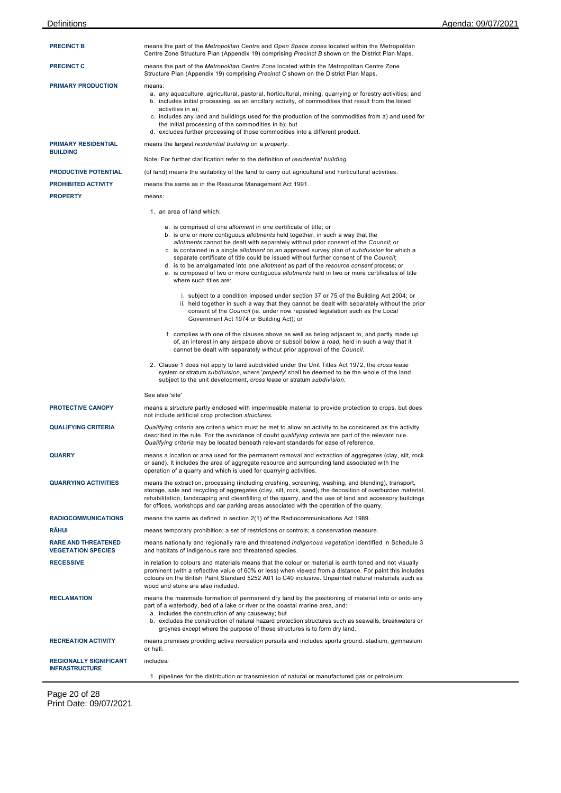| <b>PRECINCT B</b>                                       | means the part of the Metropolitan Centre and Open Space zones located within the Metropolitan<br>Centre Zone Structure Plan (Appendix 19) comprising <i>Precinct B</i> shown on the District Plan Maps.                                                                                                                                                                                                                                                                                                                                                                                                                                                     |  |  |  |
|---------------------------------------------------------|--------------------------------------------------------------------------------------------------------------------------------------------------------------------------------------------------------------------------------------------------------------------------------------------------------------------------------------------------------------------------------------------------------------------------------------------------------------------------------------------------------------------------------------------------------------------------------------------------------------------------------------------------------------|--|--|--|
| <b>PRECINCT C</b>                                       | means the part of the <i>Metropolitan Centre Zone</i> located within the Metropolitan Centre Zone<br>Structure Plan (Appendix 19) comprising <i>Precinct</i> C shown on the District Plan Maps.                                                                                                                                                                                                                                                                                                                                                                                                                                                              |  |  |  |
| <b>PRIMARY PRODUCTION</b>                               | means:<br>a. any aquaculture, agricultural, pastoral, horticultural, mining, quarrying or forestry activities; and<br>b. includes initial processing, as an ancillary activity, of commodities that result from the listed<br>activities in a);<br>c. includes any land and buildings used for the production of the commodities from a) and used for<br>the initial processing of the commodities in b); but<br>d. excludes further processing of those commodities into a different product.                                                                                                                                                               |  |  |  |
| <b>PRIMARY RESIDENTIAL</b><br><b>BUILDING</b>           | means the largest residential building on a property.                                                                                                                                                                                                                                                                                                                                                                                                                                                                                                                                                                                                        |  |  |  |
|                                                         | Note: For further clarification refer to the definition of residential building.                                                                                                                                                                                                                                                                                                                                                                                                                                                                                                                                                                             |  |  |  |
| PRODUCTIVE POTENTIAL                                    | (of land) means the suitability of the land to carry out agricultural and horticultural activities.                                                                                                                                                                                                                                                                                                                                                                                                                                                                                                                                                          |  |  |  |
| PROHIBITED ACTIVITY                                     | means the same as in the Resource Management Act 1991.                                                                                                                                                                                                                                                                                                                                                                                                                                                                                                                                                                                                       |  |  |  |
| <b>PROPERTY</b>                                         | means:                                                                                                                                                                                                                                                                                                                                                                                                                                                                                                                                                                                                                                                       |  |  |  |
|                                                         | 1. an area of land which:                                                                                                                                                                                                                                                                                                                                                                                                                                                                                                                                                                                                                                    |  |  |  |
|                                                         | a. is comprised of one allotment in one certificate of title; or<br>b. is one or more contiguous <i>allotments</i> held together, in such a way that the<br>allotments cannot be dealt with separately without prior consent of the Council; or<br>c. is contained in a single allotment on an approved survey plan of subdivision for which a<br>separate certificate of title could be issued without further consent of the Council;<br>d. is to be amalgamated into one allotment as part of the resource consent process; or<br>e. is composed of two or more contiguous allotments held in two or more certificates of title<br>where such titles are: |  |  |  |
|                                                         | i. subject to a condition imposed under section 37 or 75 of the Building Act 2004; or<br>ii. held together in such a way that they cannot be dealt with separately without the prior<br>consent of the Council (ie. under now repealed legislation such as the Local<br>Government Act 1974 or Building Act); or                                                                                                                                                                                                                                                                                                                                             |  |  |  |
|                                                         | f. complies with one of the clauses above as well as being adjacent to, and partly made up<br>of, an interest in any airspace above or subsoil below a road, held in such a way that it<br>cannot be dealt with separately without prior approval of the Council.                                                                                                                                                                                                                                                                                                                                                                                            |  |  |  |
|                                                         | 2. Clause 1 does not apply to land subdivided under the Unit Titles Act 1972, the cross lease<br>system or stratum <i>subdivision</i> , where ' <i>property</i> ' shall be deemed to be the whole of the land<br>subject to the unit development, cross lease or stratum subdivision.                                                                                                                                                                                                                                                                                                                                                                        |  |  |  |
|                                                         | See also 'site'                                                                                                                                                                                                                                                                                                                                                                                                                                                                                                                                                                                                                                              |  |  |  |
| <b>PROTECTIVE CANOPY</b>                                | means a <i>structure</i> partly enclosed with impermeable material to provide protection to crops, but does<br>not include artificial crop protection structures.                                                                                                                                                                                                                                                                                                                                                                                                                                                                                            |  |  |  |
| <b>QUALIFYING CRITERIA</b>                              | Qualifying criteria are criteria which must be met to allow an activity to be considered as the activity<br>described in the rule. For the avoidance of doubt <i>qualifying criteria</i> are part of the relevant rule.<br>Qualifying criteria may be located beneath relevant standards for ease of reference.                                                                                                                                                                                                                                                                                                                                              |  |  |  |
| <b>QUARRY</b>                                           | means a location or area used for the permanent removal and extraction of aggregates (clay, silt, rock<br>or sand). It includes the area of aggregate resource and surrounding land associated with the<br>operation of a quarry and which is used for quarrying activities.                                                                                                                                                                                                                                                                                                                                                                                 |  |  |  |
| <b>QUARRYING ACTIVITIES</b>                             | means the extraction, processing (including crushing, screening, washing, and blending), transport,<br>storage, sale and recycling of aggregates (clay, silt, rock, sand), the deposition of overburden material,<br>rehabilitation, landscaping and cleanfilling of the quarry, and the use of land and accessory buildings<br>for offices, workshops and car parking areas associated with the operation of the quarry.                                                                                                                                                                                                                                    |  |  |  |
| <b>RADIOCOMMUNICATIONS</b>                              | means the same as defined in section 2(1) of the Radiocommunications Act 1989.                                                                                                                                                                                                                                                                                                                                                                                                                                                                                                                                                                               |  |  |  |
| <b>RAHUI</b>                                            | means temporary prohibition; a set of restrictions or controls; a conservation measure.                                                                                                                                                                                                                                                                                                                                                                                                                                                                                                                                                                      |  |  |  |
| <b>RARE AND THREATENED</b><br><b>VEGETATION SPECIES</b> | means nationally and regionally rare and threatened <i>indigenous vegetation</i> identified in Schedule 3<br>and habitats of indigenous rare and threatened species.                                                                                                                                                                                                                                                                                                                                                                                                                                                                                         |  |  |  |
| <b>RECESSIVE</b>                                        | in relation to colours and materials means that the colour or material is earth toned and not visually<br>prominent (with a reflective value of 60% or less) when viewed from a distance. For paint this includes<br>colours on the British Paint Standard 5252 A01 to C40 inclusive. Unpainted natural materials such as<br>wood and stone are also included.                                                                                                                                                                                                                                                                                               |  |  |  |
| <b>RECLAMATION</b>                                      | means the manmade formation of permanent dry land by the positioning of material into or onto any<br>part of a waterbody, bed of a lake or river or the coastal marine area, and:<br>a. includes the construction of any causeway; but<br>b. excludes the construction of natural hazard protection structures such as seawalls, breakwaters or<br>groynes except where the purpose of those structures is to form dry land.                                                                                                                                                                                                                                 |  |  |  |
| <b>RECREATION ACTIVITY</b>                              | means premises providing active recreation pursuits and includes sports ground, stadium, gymnasium<br>or hall.                                                                                                                                                                                                                                                                                                                                                                                                                                                                                                                                               |  |  |  |
| <b>REGIONALLY SIGNIFICANT</b><br><b>INFRASTRUCTURE</b>  | includes:                                                                                                                                                                                                                                                                                                                                                                                                                                                                                                                                                                                                                                                    |  |  |  |
|                                                         | 1. pipelines for the distribution or transmission of natural or manufactured gas or petroleum;                                                                                                                                                                                                                                                                                                                                                                                                                                                                                                                                                               |  |  |  |

Page 20 of 28 Print Date: 09/07/2021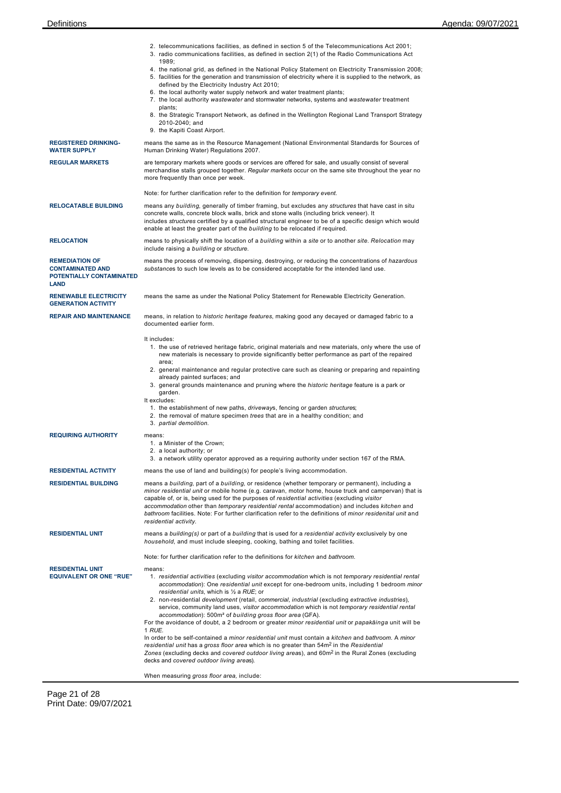|                                                                                             | 2. telecommunications facilities, as defined in section 5 of the Telecommunications Act 2001;<br>3. radio communications facilities, as defined in section 2(1) of the Radio Communications Act<br>1989;                                                                                                                                                                                                                                                                                                                                                                                                                                                                                                                                                                                    |
|---------------------------------------------------------------------------------------------|---------------------------------------------------------------------------------------------------------------------------------------------------------------------------------------------------------------------------------------------------------------------------------------------------------------------------------------------------------------------------------------------------------------------------------------------------------------------------------------------------------------------------------------------------------------------------------------------------------------------------------------------------------------------------------------------------------------------------------------------------------------------------------------------|
|                                                                                             | 4. the national grid, as defined in the National Policy Statement on Electricity Transmission 2008;<br>5. facilities for the generation and transmission of electricity where it is supplied to the network, as                                                                                                                                                                                                                                                                                                                                                                                                                                                                                                                                                                             |
|                                                                                             | defined by the Electricity Industry Act 2010;<br>6. the local authority water supply network and water treatment plants;                                                                                                                                                                                                                                                                                                                                                                                                                                                                                                                                                                                                                                                                    |
|                                                                                             | 7. the local authority wastewater and stormwater networks, systems and wastewater treatment<br>plants:                                                                                                                                                                                                                                                                                                                                                                                                                                                                                                                                                                                                                                                                                      |
|                                                                                             | 8. the Strategic Transport Network, as defined in the Wellington Regional Land Transport Strategy<br>2010-2040; and                                                                                                                                                                                                                                                                                                                                                                                                                                                                                                                                                                                                                                                                         |
|                                                                                             | 9. the Kapiti Coast Airport.                                                                                                                                                                                                                                                                                                                                                                                                                                                                                                                                                                                                                                                                                                                                                                |
| <b>REGISTERED DRINKING-</b><br><b>WATER SUPPLY</b>                                          | means the same as in the Resource Management (National Environmental Standards for Sources of<br>Human Drinking Water) Regulations 2007.                                                                                                                                                                                                                                                                                                                                                                                                                                                                                                                                                                                                                                                    |
| <b>REGULAR MARKETS</b>                                                                      | are temporary markets where goods or services are offered for sale, and usually consist of several<br>merchandise stalls grouped together. Regular markets occur on the same site throughout the year no<br>more frequently than once per week.                                                                                                                                                                                                                                                                                                                                                                                                                                                                                                                                             |
|                                                                                             | Note: for further clarification refer to the definition for temporary event.                                                                                                                                                                                                                                                                                                                                                                                                                                                                                                                                                                                                                                                                                                                |
| <b>RELOCATABLE BUILDING</b>                                                                 | means any building, generally of timber framing, but excludes any structures that have cast in situ<br>concrete walls, concrete block walls, brick and stone walls (including brick veneer). It<br>includes structures certified by a qualified structural engineer to be of a specific design which would<br>enable at least the greater part of the building to be relocated if required.                                                                                                                                                                                                                                                                                                                                                                                                 |
| <b>RELOCATION</b>                                                                           | means to physically shift the location of a building within a site or to another site. Relocation may<br>include raising a building or structure.                                                                                                                                                                                                                                                                                                                                                                                                                                                                                                                                                                                                                                           |
| <b>REMEDIATION OF</b><br><b>CONTAMINATED AND</b><br>POTENTIALLY CONTAMINATED<br><b>LAND</b> | means the process of removing, dispersing, destroying, or reducing the concentrations of hazardous<br>substances to such low levels as to be considered acceptable for the intended land use.                                                                                                                                                                                                                                                                                                                                                                                                                                                                                                                                                                                               |
| <b>RENEWABLE ELECTRICITY</b><br><b>GENERATION ACTIVITY</b>                                  | means the same as under the National Policy Statement for Renewable Electricity Generation.                                                                                                                                                                                                                                                                                                                                                                                                                                                                                                                                                                                                                                                                                                 |
| <b>REPAIR AND MAINTENANCE</b>                                                               | means, in relation to historic heritage features, making good any decayed or damaged fabric to a<br>documented earlier form.                                                                                                                                                                                                                                                                                                                                                                                                                                                                                                                                                                                                                                                                |
|                                                                                             | It includes:<br>1. the use of retrieved heritage fabric, original materials and new materials, only where the use of<br>new materials is necessary to provide significantly better performance as part of the repaired<br>area;<br>2. general maintenance and regular protective care such as cleaning or preparing and repainting<br>already painted surfaces; and                                                                                                                                                                                                                                                                                                                                                                                                                         |
|                                                                                             | 3. general grounds maintenance and pruning where the historic heritage feature is a park or<br>garden.<br>It excludes:<br>1. the establishment of new paths, driveways, fencing or garden structures;                                                                                                                                                                                                                                                                                                                                                                                                                                                                                                                                                                                       |
|                                                                                             | 2. the removal of mature specimen trees that are in a healthy condition; and<br>3. partial demolition.                                                                                                                                                                                                                                                                                                                                                                                                                                                                                                                                                                                                                                                                                      |
| <b>REQUIRING AUTHORITY</b>                                                                  | means:<br>1. a Minister of the Crown;<br>2. a local authority; or                                                                                                                                                                                                                                                                                                                                                                                                                                                                                                                                                                                                                                                                                                                           |
|                                                                                             | 3. a network utility operator approved as a requiring authority under section 167 of the RMA.                                                                                                                                                                                                                                                                                                                                                                                                                                                                                                                                                                                                                                                                                               |
| <b>RESIDENTIAL ACTIVITY</b><br><b>RESIDENTIAL BUILDING</b>                                  | means the use of land and building(s) for people's living accommodation.<br>means a building, part of a building, or residence (whether temporary or permanent), including a                                                                                                                                                                                                                                                                                                                                                                                                                                                                                                                                                                                                                |
|                                                                                             | minor residential unit or mobile home (e.g. caravan, motor home, house truck and campervan) that is<br>capable of, or is, being used for the purposes of residential activities (excluding visitor<br>accommodation other than temporary residential rental accommodation) and includes kitchen and<br>bathroom facilities. Note: For further clarification refer to the definitions of minor residenital unit and<br>residential activity.                                                                                                                                                                                                                                                                                                                                                 |
| <b>RESIDENTIAL UNIT</b>                                                                     | means a building(s) or part of a building that is used for a residential activity exclusively by one<br>household, and must include sleeping, cooking, bathing and toilet facilities.                                                                                                                                                                                                                                                                                                                                                                                                                                                                                                                                                                                                       |
|                                                                                             | Note: for further clarification refer to the definitions for kitchen and bathroom.                                                                                                                                                                                                                                                                                                                                                                                                                                                                                                                                                                                                                                                                                                          |
| <b>RESIDENTIAL UNIT</b><br><b>EQUIVALENT OR ONE "RUE"</b>                                   | means:<br>1. residential activities (excluding visitor accommodation which is not temporary residential rental<br>accommodation): One residential unit except for one-bedroom units, including 1 bedroom minor<br>residential units, which is $\frac{1}{2}$ a RUE; or<br>2. non-residential development (retail, commercial, industrial (excluding extractive industries),<br>service, community land uses, visitor accommodation which is not temporary residential rental<br>accommodation): 500m <sup>2</sup> of building gross floor area (GFA).<br>For the avoidance of doubt, a 2 bedroom or greater <i>minor residential unit</i> or <i>papakāinga</i> unit will be<br>1 RUE.<br>In order to be self-contained a minor residential unit must contain a kitchen and bathroom. A minor |
|                                                                                             | residential unit has a gross floor area which is no greater than 54m <sup>2</sup> in the Residential<br>Zones (excluding decks and covered outdoor living areas), and 60m <sup>2</sup> in the Rural Zones (excluding<br>decks and covered outdoor living areas).                                                                                                                                                                                                                                                                                                                                                                                                                                                                                                                            |
|                                                                                             | When measuring gross floor area, include:                                                                                                                                                                                                                                                                                                                                                                                                                                                                                                                                                                                                                                                                                                                                                   |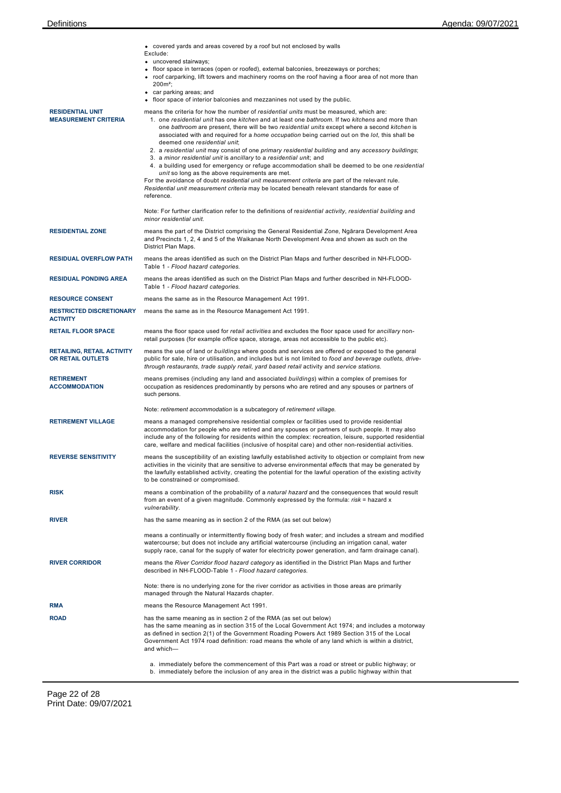|  | • covered yards and areas covered by a roof but not enclosed by walls |  |  |  |  |  |  |  |  |
|--|-----------------------------------------------------------------------|--|--|--|--|--|--|--|--|
|--|-----------------------------------------------------------------------|--|--|--|--|--|--|--|--|

- Exclude: uncovered stairways;
	- floor space in terraces (open or roofed), external balconies, breezeways or porches;
- roof carparking, lift towers and machinery rooms on the roof having a floor area of not more than
- 200m²; car parking areas; and

floor space of interior balconies and mezzanines not used by the public.

|                                                        | $\bullet$ floor space of interior balconies and mezzanines not used by the public.                                                                                                                                                                                                                                                                                                                                                                                                                                                                                                                                                                                                                                                                                                                                                                                                                                                                                                                      |
|--------------------------------------------------------|---------------------------------------------------------------------------------------------------------------------------------------------------------------------------------------------------------------------------------------------------------------------------------------------------------------------------------------------------------------------------------------------------------------------------------------------------------------------------------------------------------------------------------------------------------------------------------------------------------------------------------------------------------------------------------------------------------------------------------------------------------------------------------------------------------------------------------------------------------------------------------------------------------------------------------------------------------------------------------------------------------|
| <b>RESIDENTIAL UNIT</b><br><b>MEASUREMENT CRITERIA</b> | means the criteria for how the number of <i>residential units</i> must be measured, which are:<br>1. one residential unit has one kitchen and at least one bathroom. If two kitchens and more than<br>one bathroom are present, there will be two residential units except where a second kitchen is<br>associated with and required for a <i>home occupation</i> being carried out on the <i>lot</i> , this shall be<br>deemed one residential unit;<br>2. a residential unit may consist of one primary residential building and any accessory buildings;<br>3. a minor residential unit is ancillary to a residential unit; and<br>4. a building used for emergency or refuge accommodation shall be deemed to be one residential<br>unit so long as the above requirements are met.<br>For the avoidance of doubt residential unit measurement criteria are part of the relevant rule.<br>Residential unit measurement criteria may be located beneath relevant standards for ease of<br>reference. |
|                                                        | Note: For further clarification refer to the definitions of residential activity, residential building and<br>minor residential unit.                                                                                                                                                                                                                                                                                                                                                                                                                                                                                                                                                                                                                                                                                                                                                                                                                                                                   |
| <b>RESIDENTIAL ZONE</b>                                | means the part of the District comprising the General Residential Zone, Ngārara Development Area<br>and Precincts 1, 2, 4 and 5 of the Waikanae North Development Area and shown as such on the<br>District Plan Maps.                                                                                                                                                                                                                                                                                                                                                                                                                                                                                                                                                                                                                                                                                                                                                                                  |
| <b>RESIDUAL OVERFLOW PATH</b>                          | means the areas identified as such on the District Plan Maps and further described in NH-FLOOD-<br>Table 1 - Flood hazard categories.                                                                                                                                                                                                                                                                                                                                                                                                                                                                                                                                                                                                                                                                                                                                                                                                                                                                   |
| <b>RESIDUAL PONDING AREA</b>                           | means the areas identified as such on the District Plan Maps and further described in NH-FLOOD-<br>Table 1 - Flood hazard categories.                                                                                                                                                                                                                                                                                                                                                                                                                                                                                                                                                                                                                                                                                                                                                                                                                                                                   |
| <b>RESOURCE CONSENT</b>                                | means the same as in the Resource Management Act 1991.                                                                                                                                                                                                                                                                                                                                                                                                                                                                                                                                                                                                                                                                                                                                                                                                                                                                                                                                                  |
| <b>RESTRICTED DISCRETIONARY</b><br><b>ACTIVITY</b>     | means the same as in the Resource Management Act 1991.                                                                                                                                                                                                                                                                                                                                                                                                                                                                                                                                                                                                                                                                                                                                                                                                                                                                                                                                                  |
| <b>RETAIL FLOOR SPACE</b>                              | means the floor space used for retail activities and excludes the floor space used for ancillary non-<br>retail purposes (for example office space, storage, areas not accessible to the public etc).                                                                                                                                                                                                                                                                                                                                                                                                                                                                                                                                                                                                                                                                                                                                                                                                   |
| <b>RETAILING, RETAIL ACTIVITY</b><br>OR RETAIL OUTLETS | means the use of land or buildings where goods and services are offered or exposed to the general<br>public for sale, hire or utilisation, and includes but is not limited to food and beverage outlets, drive-<br>through restaurants, trade supply retail, yard based retail activity and service stations.                                                                                                                                                                                                                                                                                                                                                                                                                                                                                                                                                                                                                                                                                           |
| <b>RETIREMENT</b><br><b>ACCOMMODATION</b>              | means premises (including any land and associated buildings) within a complex of premises for<br>occupation as residences predominantly by persons who are retired and any spouses or partners of<br>such persons.                                                                                                                                                                                                                                                                                                                                                                                                                                                                                                                                                                                                                                                                                                                                                                                      |
|                                                        | Note: retirement accommodation is a subcategory of retirement village.                                                                                                                                                                                                                                                                                                                                                                                                                                                                                                                                                                                                                                                                                                                                                                                                                                                                                                                                  |
| <b>RETIREMENT VILLAGE</b>                              | means a managed comprehensive residential complex or facilities used to provide residential<br>accommodation for people who are retired and any spouses or partners of such people. It may also<br>include any of the following for residents within the complex: recreation, leisure, supported residential<br>care, welfare and medical facilities (inclusive of hospital care) and other non-residential activities.                                                                                                                                                                                                                                                                                                                                                                                                                                                                                                                                                                                 |
| <b>REVERSE SENSITIVITY</b>                             | means the susceptibility of an existing lawfully established activity to objection or complaint from new<br>activities in the vicinity that are sensitive to adverse environmental effects that may be generated by<br>the lawfully established activity, creating the potential for the lawful operation of the existing activity<br>to be constrained or compromised.                                                                                                                                                                                                                                                                                                                                                                                                                                                                                                                                                                                                                                 |
| <b>RISK</b>                                            | means a combination of the probability of a natural hazard and the consequences that would result<br>from an event of a given magnitude. Commonly expressed by the formula: risk = hazard x<br>vulnerability.                                                                                                                                                                                                                                                                                                                                                                                                                                                                                                                                                                                                                                                                                                                                                                                           |
| <b>RIVER</b>                                           | has the same meaning as in section 2 of the RMA (as set out below)                                                                                                                                                                                                                                                                                                                                                                                                                                                                                                                                                                                                                                                                                                                                                                                                                                                                                                                                      |
|                                                        | means a continually or intermittently flowing body of fresh water; and includes a stream and modified<br>watercourse; but does not include any artificial watercourse (including an irrigation canal, water<br>supply race, canal for the supply of water for electricity power generation, and farm drainage canal).                                                                                                                                                                                                                                                                                                                                                                                                                                                                                                                                                                                                                                                                                   |
| <b>RIVER CORRIDOR</b>                                  | means the River Corridor flood hazard category as identified in the District Plan Maps and further<br>described in NH-FLOOD-Table 1 - Flood hazard categories.                                                                                                                                                                                                                                                                                                                                                                                                                                                                                                                                                                                                                                                                                                                                                                                                                                          |
|                                                        | Note: there is no underlying zone for the river corridor as activities in those areas are primarily<br>managed through the Natural Hazards chapter.                                                                                                                                                                                                                                                                                                                                                                                                                                                                                                                                                                                                                                                                                                                                                                                                                                                     |
| <b>RMA</b>                                             | means the Resource Management Act 1991.                                                                                                                                                                                                                                                                                                                                                                                                                                                                                                                                                                                                                                                                                                                                                                                                                                                                                                                                                                 |
| <b>ROAD</b>                                            | has the same meaning as in section 2 of the RMA (as set out below)<br>has the same meaning as in section 315 of the Local Government Act 1974; and includes a motorway<br>as defined in section 2(1) of the Government Roading Powers Act 1989 Section 315 of the Local<br>Government Act 1974 road definition: road means the whole of any land which is within a district,<br>and which-                                                                                                                                                                                                                                                                                                                                                                                                                                                                                                                                                                                                              |
|                                                        | a. immediately before the commencement of this Part was a road or street or public highway; or<br>b. immediately before the inclusion of any area in the district was a public highway within that                                                                                                                                                                                                                                                                                                                                                                                                                                                                                                                                                                                                                                                                                                                                                                                                      |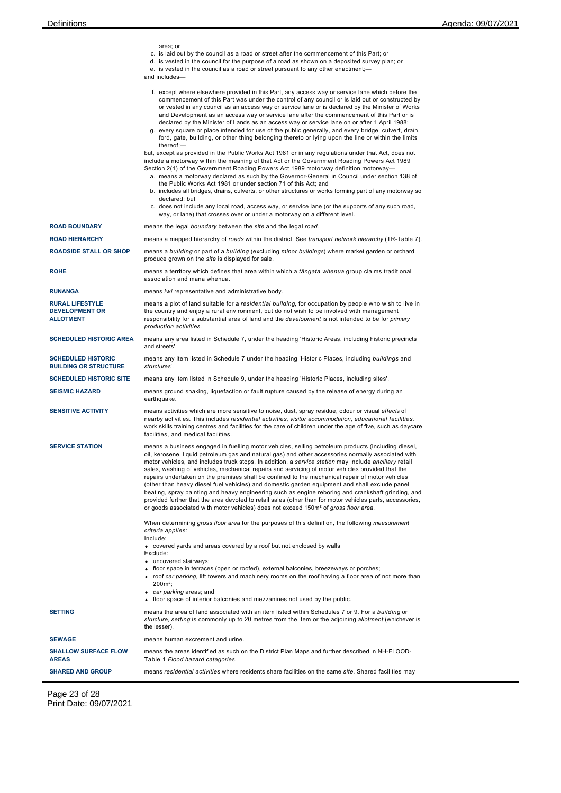|                                                                     | area; or<br>c. is laid out by the council as a road or street after the commencement of this Part; or<br>d. is vested in the council for the purpose of a road as shown on a deposited survey plan; or<br>e. is vested in the council as a road or street pursuant to any other enactment;-<br>and includes—                                                                                                                                                                                                                                                                                                                                                                                                                                                                                                                                                                                                                                     |  |  |
|---------------------------------------------------------------------|--------------------------------------------------------------------------------------------------------------------------------------------------------------------------------------------------------------------------------------------------------------------------------------------------------------------------------------------------------------------------------------------------------------------------------------------------------------------------------------------------------------------------------------------------------------------------------------------------------------------------------------------------------------------------------------------------------------------------------------------------------------------------------------------------------------------------------------------------------------------------------------------------------------------------------------------------|--|--|
|                                                                     | f. except where elsewhere provided in this Part, any access way or service lane which before the<br>commencement of this Part was under the control of any council or is laid out or constructed by<br>or vested in any council as an access way or service lane or is declared by the Minister of Works<br>and Development as an access way or service lane after the commencement of this Part or is<br>declared by the Minister of Lands as an access way or service lane on or after 1 April 1988:<br>g. every square or place intended for use of the public generally, and every bridge, culvert, drain,<br>ford, gate, building, or other thing belonging thereto or lying upon the line or within the limits<br>thereof;-                                                                                                                                                                                                                |  |  |
|                                                                     | but, except as provided in the Public Works Act 1981 or in any regulations under that Act, does not<br>include a motorway within the meaning of that Act or the Government Roading Powers Act 1989<br>Section 2(1) of the Government Roading Powers Act 1989 motorway definition motorway—<br>a. means a motorway declared as such by the Governor-General in Council under section 138 of<br>the Public Works Act 1981 or under section 71 of this Act; and<br>b. includes all bridges, drains, culverts, or other structures or works forming part of any motorway so<br>declared; but<br>c. does not include any local road, access way, or service lane (or the supports of any such road,<br>way, or lane) that crosses over or under a motorway on a different level.                                                                                                                                                                      |  |  |
| <b>ROAD BOUNDARY</b>                                                | means the legal boundary between the site and the legal road.                                                                                                                                                                                                                                                                                                                                                                                                                                                                                                                                                                                                                                                                                                                                                                                                                                                                                    |  |  |
| <b>ROAD HIERARCHY</b>                                               | means a mapped hierarchy of roads within the district. See transport network hierarchy (TR-Table 7).                                                                                                                                                                                                                                                                                                                                                                                                                                                                                                                                                                                                                                                                                                                                                                                                                                             |  |  |
| <b>ROADSIDE STALL OR SHOP</b>                                       | means a building or part of a building (excluding minor buildings) where market garden or orchard<br>produce grown on the site is displayed for sale.                                                                                                                                                                                                                                                                                                                                                                                                                                                                                                                                                                                                                                                                                                                                                                                            |  |  |
| <b>ROHE</b>                                                         | means a territory which defines that area within which a <i>tāngata whenua</i> group claims traditional<br>association and mana whenua.                                                                                                                                                                                                                                                                                                                                                                                                                                                                                                                                                                                                                                                                                                                                                                                                          |  |  |
| <b>RUNANGA</b>                                                      | means iwi representative and administrative body.                                                                                                                                                                                                                                                                                                                                                                                                                                                                                                                                                                                                                                                                                                                                                                                                                                                                                                |  |  |
| <b>RURAL LIFESTYLE</b><br><b>DEVELOPMENT OR</b><br><b>ALLOTMENT</b> | means a plot of land suitable for a residential building, for occupation by people who wish to live in<br>the country and enjoy a rural environment, but do not wish to be involved with management<br>responsibility for a substantial area of land and the <i>development</i> is not intended to be for <i>primary</i><br>production activities.                                                                                                                                                                                                                                                                                                                                                                                                                                                                                                                                                                                               |  |  |
| <b>SCHEDULED HISTORIC AREA</b>                                      | means any area listed in Schedule 7, under the heading 'Historic Areas, including historic precincts<br>and streets'.                                                                                                                                                                                                                                                                                                                                                                                                                                                                                                                                                                                                                                                                                                                                                                                                                            |  |  |
| <b>SCHEDULED HISTORIC</b><br><b>BUILDING OR STRUCTURE</b>           | means any item listed in Schedule 7 under the heading 'Historic Places, including <i>buildings</i> and<br>structures'.                                                                                                                                                                                                                                                                                                                                                                                                                                                                                                                                                                                                                                                                                                                                                                                                                           |  |  |
| <b>SCHEDULED HISTORIC SITE</b>                                      | means any item listed in Schedule 9, under the heading 'Historic Places, including sites'.                                                                                                                                                                                                                                                                                                                                                                                                                                                                                                                                                                                                                                                                                                                                                                                                                                                       |  |  |
| <b>SEISMIC HAZARD</b>                                               | means ground shaking, liquefaction or fault rupture caused by the release of energy during an<br>earthquake.                                                                                                                                                                                                                                                                                                                                                                                                                                                                                                                                                                                                                                                                                                                                                                                                                                     |  |  |
| <b>SENSITIVE ACTIVITY</b>                                           | means activities which are more sensitive to noise, dust, spray residue, odour or visual effects of<br>nearby activities. This includes residential activities, visitor accommodation, educational facilities,<br>work skills training centres and facilities for the care of children under the age of five, such as daycare<br>facilities, and medical facilities.                                                                                                                                                                                                                                                                                                                                                                                                                                                                                                                                                                             |  |  |
| <b>SERVICE STATION</b>                                              | means a business engaged in fuelling motor vehicles, selling petroleum products (including diesel,<br>oil, kerosene, liquid petroleum gas and natural gas) and other accessories normally associated with<br>motor vehicles, and includes truck stops. In addition, a service station may include ancillary retail<br>sales, washing of vehicles, mechanical repairs and servicing of motor vehicles provided that the<br>repairs undertaken on the premises shall be confined to the mechanical repair of motor vehicles<br>(other than heavy diesel fuel vehicles) and domestic garden equipment and shall exclude panel<br>beating, spray painting and heavy engineering such as engine reboring and crankshaft grinding, and<br>provided further that the area devoted to retail sales (other than for motor vehicles parts, accessories,<br>or goods associated with motor vehicles) does not exceed 150m <sup>2</sup> of gross floor area. |  |  |
|                                                                     | When determining gross floor area for the purposes of this definition, the following measurement<br>criteria applies:<br>Include:                                                                                                                                                                                                                                                                                                                                                                                                                                                                                                                                                                                                                                                                                                                                                                                                                |  |  |
|                                                                     | • covered yards and areas covered by a roof but not enclosed by walls<br>Exclude:<br>• uncovered stairways;<br>• floor space in terraces (open or roofed), external balconies, breezeways or porches;<br>• roof car parking, lift towers and machinery rooms on the roof having a floor area of not more than<br>$200m^2$ ;                                                                                                                                                                                                                                                                                                                                                                                                                                                                                                                                                                                                                      |  |  |
|                                                                     | • car parking areas; and<br>• floor space of interior balconies and mezzanines not used by the public.                                                                                                                                                                                                                                                                                                                                                                                                                                                                                                                                                                                                                                                                                                                                                                                                                                           |  |  |
| <b>SETTING</b>                                                      | means the area of land associated with an item listed within Schedules 7 or 9. For a building or<br>structure, setting is commonly up to 20 metres from the item or the adjoining <i>allotment</i> (whichever is<br>the lesser).                                                                                                                                                                                                                                                                                                                                                                                                                                                                                                                                                                                                                                                                                                                 |  |  |
| <b>SEWAGE</b>                                                       | means human excrement and urine.                                                                                                                                                                                                                                                                                                                                                                                                                                                                                                                                                                                                                                                                                                                                                                                                                                                                                                                 |  |  |
| <b>SHALLOW SURFACE FLOW</b><br><b>AREAS</b>                         | means the areas identified as such on the District Plan Maps and further described in NH-FLOOD-<br>Table 1 Flood hazard categories.                                                                                                                                                                                                                                                                                                                                                                                                                                                                                                                                                                                                                                                                                                                                                                                                              |  |  |
| <b>SHARED AND GROUP</b>                                             | means residential activities where residents share facilities on the same site. Shared facilities may                                                                                                                                                                                                                                                                                                                                                                                                                                                                                                                                                                                                                                                                                                                                                                                                                                            |  |  |

Page 23 of 28 Print Date: 09/07/2021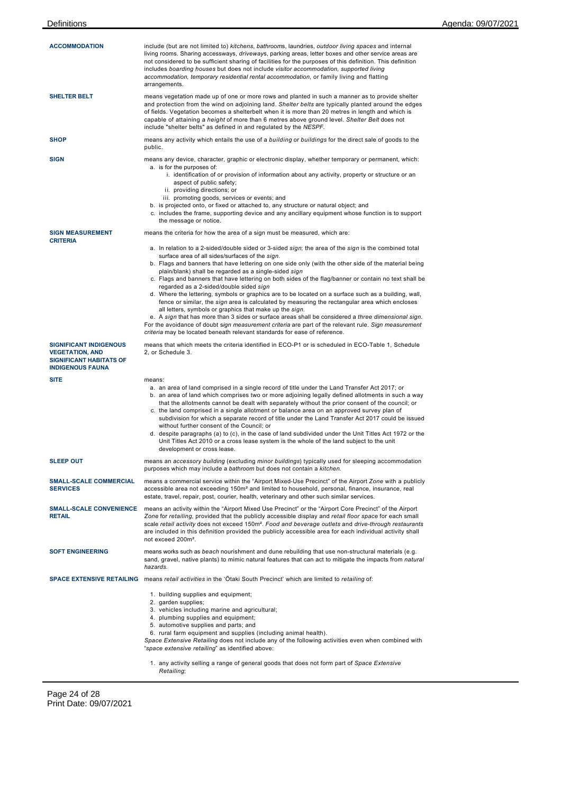| <b>ACCOMMODATION</b>                                                                                                 | include (but are not limited to) kitchens, bathrooms, laundries, outdoor living spaces and internal<br>living rooms. Sharing accessways, driveways, parking areas, letter boxes and other service areas are<br>not considered to be sufficient sharing of facilities for the purposes of this definition. This definition<br>includes boarding houses but does not include visitor accommodation, supported living<br>accommodation, temporary residential rental accommodation, or family living and flatting<br>arrangements.                                                                                                                                                                                                                                                                                                                                                                                                                                                                                                               |  |  |  |
|----------------------------------------------------------------------------------------------------------------------|-----------------------------------------------------------------------------------------------------------------------------------------------------------------------------------------------------------------------------------------------------------------------------------------------------------------------------------------------------------------------------------------------------------------------------------------------------------------------------------------------------------------------------------------------------------------------------------------------------------------------------------------------------------------------------------------------------------------------------------------------------------------------------------------------------------------------------------------------------------------------------------------------------------------------------------------------------------------------------------------------------------------------------------------------|--|--|--|
| SHELTER BELT                                                                                                         | means vegetation made up of one or more rows and planted in such a manner as to provide shelter<br>and protection from the wind on adjoining land. Shelter belts are typically planted around the edges<br>of fields. Vegetation becomes a shelterbelt when it is more than 20 metres in length and which is<br>capable of attaining a <i>height</i> of more than 6 metres above ground level. Shelter Belt does not<br>include "shelter belts" as defined in and regulated by the NESPF.                                                                                                                                                                                                                                                                                                                                                                                                                                                                                                                                                     |  |  |  |
| SHOP                                                                                                                 | means any activity which entails the use of a building or buildings for the direct sale of goods to the<br>public.                                                                                                                                                                                                                                                                                                                                                                                                                                                                                                                                                                                                                                                                                                                                                                                                                                                                                                                            |  |  |  |
| SIGN                                                                                                                 | means any device, character, graphic or electronic display, whether temporary or permanent, which:<br>a. is for the purposes of:<br>i. identification of or provision of information about any activity, property or structure or an<br>aspect of public safety;<br>ii. providing directions; or<br>iii. promoting goods, services or events; and<br>b. is projected onto, or fixed or attached to, any structure or natural object; and<br>c. includes the frame, supporting device and any ancillary equipment whose function is to support<br>the message or notice.                                                                                                                                                                                                                                                                                                                                                                                                                                                                       |  |  |  |
| <b>SIGN MEASUREMENT</b><br><b>CRITERIA</b>                                                                           | means the criteria for how the area of a sign must be measured, which are:                                                                                                                                                                                                                                                                                                                                                                                                                                                                                                                                                                                                                                                                                                                                                                                                                                                                                                                                                                    |  |  |  |
|                                                                                                                      | a. In relation to a 2-sided/double sided or 3-sided sign; the area of the sign is the combined total<br>surface area of all sides/surfaces of the sign.<br>b. Flags and banners that have lettering on one side only (with the other side of the material being<br>plain/blank) shall be regarded as a single-sided sign<br>c. Flags and banners that have lettering on both sides of the flag/banner or contain no text shall be<br>regarded as a 2-sided/double sided sign<br>d. Where the lettering, symbols or graphics are to be located on a surface such as a building, wall,<br>fence or similar, the sign area is calculated by measuring the rectangular area which encloses<br>all letters, symbols or graphics that make up the sign.<br>e. A sign that has more than 3 sides or surface areas shall be considered a three dimensional sign.<br>For the avoidance of doubt sign measurement criteria are part of the relevant rule. Sign measurement<br>criteria may be located beneath relevant standards for ease of reference. |  |  |  |
| <b>SIGNIFICANT INDIGENOUS</b><br><b>VEGETATION, AND</b><br><b>SIGNIFICANT HABITATS OF</b><br><b>INDIGENOUS FAUNA</b> | means that which meets the criteria identified in ECO-P1 or is scheduled in ECO-Table 1, Schedule<br>2, or Schedule 3.                                                                                                                                                                                                                                                                                                                                                                                                                                                                                                                                                                                                                                                                                                                                                                                                                                                                                                                        |  |  |  |
| <b>SITE</b>                                                                                                          | means:<br>a. an area of land comprised in a single record of title under the Land Transfer Act 2017; or<br>b. an area of land which comprises two or more adjoining legally defined allotments in such a way<br>that the allotments cannot be dealt with separately without the prior consent of the council; or<br>c. the land comprised in a single allotment or balance area on an approved survey plan of<br>subdivision for which a separate record of title under the Land Transfer Act 2017 could be issued<br>without further consent of the Council; or<br>d. despite paragraphs (a) to (c), in the case of land subdivided under the Unit Titles Act 1972 or the<br>Unit Titles Act 2010 or a cross lease system is the whole of the land subject to the unit<br>development or cross lease.                                                                                                                                                                                                                                        |  |  |  |
| <b>SLEEP OUT</b>                                                                                                     | means an accessory building (excluding minor buildings) typically used for sleeping accommodation<br>purposes which may include a bathroom but does not contain a kitchen.                                                                                                                                                                                                                                                                                                                                                                                                                                                                                                                                                                                                                                                                                                                                                                                                                                                                    |  |  |  |
| <b>SMALL-SCALE COMMERCIAL</b><br><b>SERVICES</b>                                                                     | means a commercial service within the "Airport Mixed-Use Precinct" of the Airport Zone with a publicly<br>accessible area not exceeding 150m <sup>2</sup> and limited to household, personal, finance, insurance, real<br>estate, travel, repair, post, courier, health, veterinary and other such similar services.                                                                                                                                                                                                                                                                                                                                                                                                                                                                                                                                                                                                                                                                                                                          |  |  |  |
| <b>SMALL-SCALE CONVENIENCE</b><br><b>RETAIL</b>                                                                      | means an activity within the "Airport Mixed Use Precinct" or the "Airport Core Precinct" of the Airport<br>Zone for retailing, provided that the publicly accessible display and retail floor space for each small<br>scale retail activity does not exceed 150m <sup>2</sup> . Food and beverage outlets and drive-through restaurants<br>are included in this definition provided the publicly accessible area for each individual activity shall<br>not exceed 200m <sup>2</sup> .                                                                                                                                                                                                                                                                                                                                                                                                                                                                                                                                                         |  |  |  |
| <b>SOFT ENGINEERING</b>                                                                                              | means works such as beach nourishment and dune rebuilding that use non-structural materials (e.g.<br>sand, gravel, native plants) to mimic natural features that can act to mitigate the impacts from natural<br>hazards.                                                                                                                                                                                                                                                                                                                                                                                                                                                                                                                                                                                                                                                                                                                                                                                                                     |  |  |  |
|                                                                                                                      | SPACE EXTENSIVE RETAILING means retail activities in the 'Otaki South Precinct' which are limited to retailing of:                                                                                                                                                                                                                                                                                                                                                                                                                                                                                                                                                                                                                                                                                                                                                                                                                                                                                                                            |  |  |  |
|                                                                                                                      | 1. building supplies and equipment;<br>2. garden supplies;<br>3. vehicles including marine and agricultural;<br>4. plumbing supplies and equipment;<br>5. automotive supplies and parts; and<br>6. rural farm equipment and supplies (including animal health).<br>Space Extensive Retailing does not include any of the following activities even when combined with<br>"space extensive retailing" as identified above:<br>1. any activity selling a range of general goods that does not form part of Space Extensive<br>Retailing;                                                                                                                                                                                                                                                                                                                                                                                                                                                                                                        |  |  |  |
|                                                                                                                      |                                                                                                                                                                                                                                                                                                                                                                                                                                                                                                                                                                                                                                                                                                                                                                                                                                                                                                                                                                                                                                               |  |  |  |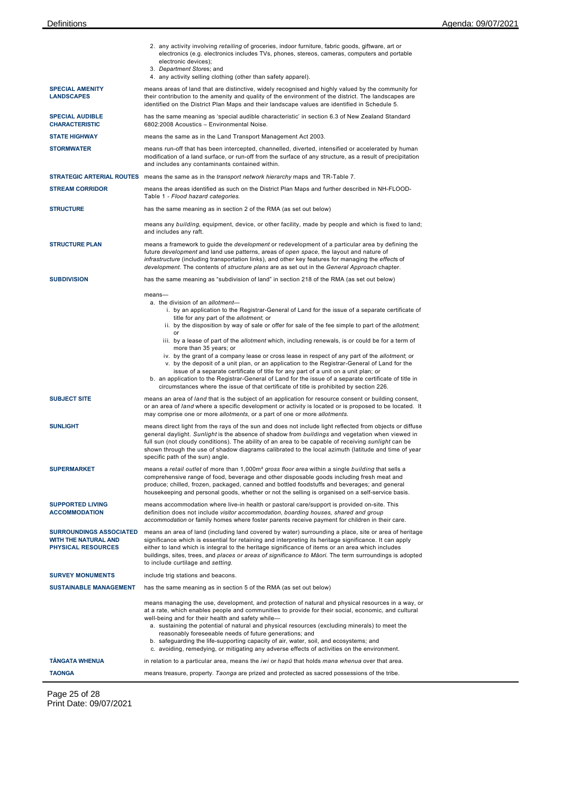|                                                                                            | 2. any activity involving retailing of groceries, indoor furniture, fabric goods, giftware, art or<br>electronics (e.g. electronics includes TVs, phones, stereos, cameras, computers and portable<br>electronic devices);<br>3. Department Stores; and<br>4. any activity selling clothing (other than safety apparel).                                                                                                                                                                                                                                                                                                 |  |  |  |
|--------------------------------------------------------------------------------------------|--------------------------------------------------------------------------------------------------------------------------------------------------------------------------------------------------------------------------------------------------------------------------------------------------------------------------------------------------------------------------------------------------------------------------------------------------------------------------------------------------------------------------------------------------------------------------------------------------------------------------|--|--|--|
| <b>SPECIAL AMENITY</b><br><b>LANDSCAPES</b>                                                | means areas of land that are distinctive, widely recognised and highly valued by the community for<br>their contribution to the amenity and quality of the environment of the district. The landscapes are<br>identified on the District Plan Maps and their landscape values are identified in Schedule 5.                                                                                                                                                                                                                                                                                                              |  |  |  |
| <b>SPECIAL AUDIBLE</b><br><b>CHARACTERISTIC</b>                                            | has the same meaning as 'special audible characteristic' in section 6.3 of New Zealand Standard<br>6802:2008 Acoustics - Environmental Noise.                                                                                                                                                                                                                                                                                                                                                                                                                                                                            |  |  |  |
| <b>STATE HIGHWAY</b>                                                                       | means the same as in the Land Transport Management Act 2003.                                                                                                                                                                                                                                                                                                                                                                                                                                                                                                                                                             |  |  |  |
| <b>STORMWATER</b>                                                                          | means run-off that has been intercepted, channelled, diverted, intensified or accelerated by human<br>modification of a land surface, or run-off from the surface of any structure, as a result of precipitation<br>and includes any contaminants contained within.                                                                                                                                                                                                                                                                                                                                                      |  |  |  |
|                                                                                            | STRATEGIC ARTERIAL ROUTES means the same as in the transport network hierarchy maps and TR-Table 7.                                                                                                                                                                                                                                                                                                                                                                                                                                                                                                                      |  |  |  |
| <b>STREAM CORRIDOR</b>                                                                     | means the areas identified as such on the District Plan Maps and further described in NH-FLOOD-<br>Table 1 - Flood hazard categories.                                                                                                                                                                                                                                                                                                                                                                                                                                                                                    |  |  |  |
| <b>STRUCTURE</b>                                                                           | has the same meaning as in section 2 of the RMA (as set out below)                                                                                                                                                                                                                                                                                                                                                                                                                                                                                                                                                       |  |  |  |
|                                                                                            | means any building, equipment, device, or other facility, made by people and which is fixed to land;<br>and includes any raft.                                                                                                                                                                                                                                                                                                                                                                                                                                                                                           |  |  |  |
| <b>STRUCTURE PLAN</b>                                                                      | means a framework to guide the <i>development</i> or redevelopment of a particular area by defining the<br>future <i>development</i> and land use patterns, areas of open space, the layout and nature of<br>infrastructure (including transportation links), and other key features for managing the effects of<br>development. The contents of structure plans are as set out in the General Approach chapter.                                                                                                                                                                                                         |  |  |  |
| <b>SUBDIVISION</b>                                                                         | has the same meaning as "subdivision of land" in section 218 of the RMA (as set out below)                                                                                                                                                                                                                                                                                                                                                                                                                                                                                                                               |  |  |  |
|                                                                                            | $means-$<br>a. the division of an allotment-<br>i. by an application to the Registrar-General of Land for the issue of a separate certificate of<br>title for any part of the allotment; or<br>ii. by the disposition by way of sale or offer for sale of the fee simple to part of the allotment;<br>or                                                                                                                                                                                                                                                                                                                 |  |  |  |
|                                                                                            | iii. by a lease of part of the allotment which, including renewals, is or could be for a term of<br>more than 35 years; or<br>iv. by the grant of a company lease or cross lease in respect of any part of the allotment, or<br>v. by the deposit of a unit plan, or an application to the Registrar-General of Land for the<br>issue of a separate certificate of title for any part of a unit on a unit plan; or<br>b. an application to the Registrar-General of Land for the issue of a separate certificate of title in<br>circumstances where the issue of that certificate of title is prohibited by section 226. |  |  |  |
| <b>SUBJECT SITE</b>                                                                        | means an area of land that is the subject of an application for resource consent or building consent,<br>or an area of land where a specific development or activity is located or is proposed to be located. It<br>may comprise one or more allotments, or a part of one or more allotments.                                                                                                                                                                                                                                                                                                                            |  |  |  |
| <b>SUNLIGHT</b>                                                                            | means direct light from the rays of the sun and does not include light reflected from objects or diffuse<br>general daylight. Sunlight is the absence of shadow from buildings and vegetation when viewed in<br>full sun (not cloudy conditions). The ability of an area to be capable of receiving sunlight can be<br>shown through the use of shadow diagrams calibrated to the local azimuth (latitude and time of year<br>specific path of the sun) angle.                                                                                                                                                           |  |  |  |
| <b>SUPERMARKET</b>                                                                         | means a retail outlet of more than 1,000m <sup>2</sup> gross floor area within a single building that sells a<br>comprehensive range of food, beverage and other disposable goods including fresh meat and<br>produce; chilled, frozen, packaged, canned and bottled foodstuffs and beverages; and general<br>housekeeping and personal goods, whether or not the selling is organised on a self-service basis.                                                                                                                                                                                                          |  |  |  |
| <b>SUPPORTED LIVING</b><br><b>ACCOMMODATION</b>                                            | means accommodation where live-in health or pastoral care/support is provided on-site. This<br>definition does not include visitor accommodation, boarding houses, shared and group<br>accommodation or family homes where foster parents receive payment for children in their care.                                                                                                                                                                                                                                                                                                                                    |  |  |  |
| <b>SURROUNDINGS ASSOCIATED</b><br><b>WITH THE NATURAL AND</b><br><b>PHYSICAL RESOURCES</b> | means an area of land (including land covered by water) surrounding a place, site or area of heritage<br>significance which is essential for retaining and interpreting its heritage significance. It can apply<br>either to land which is integral to the heritage significance of items or an area which includes<br>buildings, sites, trees, and places or areas of significance to Māori. The term surroundings is adopted<br>to include curtilage and setting.                                                                                                                                                      |  |  |  |
| <b>SURVEY MONUMENTS</b>                                                                    | include trig stations and beacons.                                                                                                                                                                                                                                                                                                                                                                                                                                                                                                                                                                                       |  |  |  |
| <b>SUSTAINABLE MANAGEMENT</b>                                                              | has the same meaning as in section 5 of the RMA (as set out below)                                                                                                                                                                                                                                                                                                                                                                                                                                                                                                                                                       |  |  |  |
|                                                                                            | means managing the use, development, and protection of natural and physical resources in a way, or<br>at a rate, which enables people and communities to provide for their social, economic, and cultural<br>well-being and for their health and safety while-<br>a. sustaining the potential of natural and physical resources (excluding minerals) to meet the<br>reasonably foreseeable needs of future generations; and<br>b. safeguarding the life-supporting capacity of air, water, soil, and ecosystems; and<br>c. avoiding, remedying, or mitigating any adverse effects of activities on the environment.      |  |  |  |
| <b>TÂNGATA WHENUA</b>                                                                      | in relation to a particular area, means the <i>iwi</i> or hapu that holds mana whenua over that area.                                                                                                                                                                                                                                                                                                                                                                                                                                                                                                                    |  |  |  |
| <b>TAONGA</b>                                                                              | means treasure, property. Taonga are prized and protected as sacred possessions of the tribe.                                                                                                                                                                                                                                                                                                                                                                                                                                                                                                                            |  |  |  |

Page 25 of 28 Print Date: 09/07/2021

 $\overline{\phantom{a}}$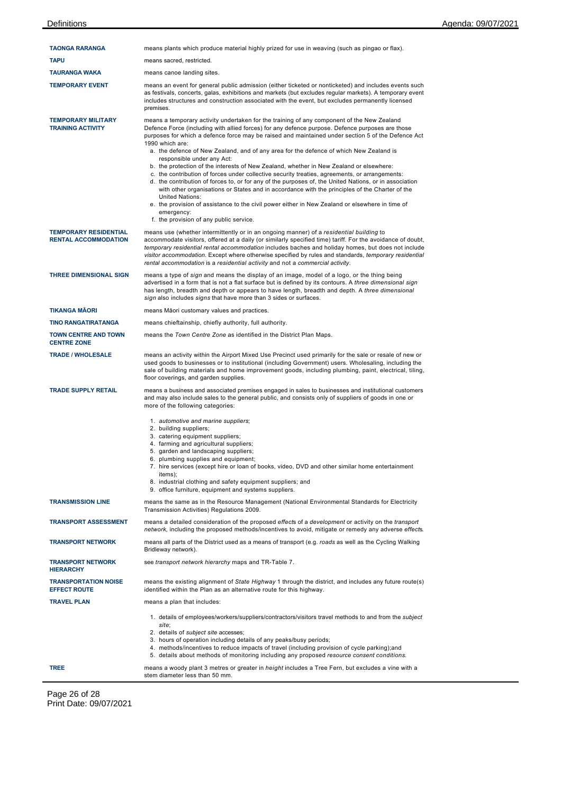| <b>TAONGA RARANGA</b>                                       | means plants which produce material highly prized for use in weaving (such as pingao or flax).                                                                                                                                                                                                                                                                                                                                                                                                                                                                                                                                                                                                                                                                                                                                                                                                                                                                                                                                                 |  |  |  |  |
|-------------------------------------------------------------|------------------------------------------------------------------------------------------------------------------------------------------------------------------------------------------------------------------------------------------------------------------------------------------------------------------------------------------------------------------------------------------------------------------------------------------------------------------------------------------------------------------------------------------------------------------------------------------------------------------------------------------------------------------------------------------------------------------------------------------------------------------------------------------------------------------------------------------------------------------------------------------------------------------------------------------------------------------------------------------------------------------------------------------------|--|--|--|--|
| <b>TAPU</b>                                                 | means sacred, restricted.                                                                                                                                                                                                                                                                                                                                                                                                                                                                                                                                                                                                                                                                                                                                                                                                                                                                                                                                                                                                                      |  |  |  |  |
| <b>TAURANGA WAKA</b>                                        | means canoe landing sites.                                                                                                                                                                                                                                                                                                                                                                                                                                                                                                                                                                                                                                                                                                                                                                                                                                                                                                                                                                                                                     |  |  |  |  |
| <b>TEMPORARY EVENT</b>                                      | means an event for general public admission (either ticketed or nonticketed) and includes events such<br>as festivals, concerts, galas, exhibitions and markets (but excludes regular markets). A temporary event<br>includes structures and construction associated with the event, but excludes permanently licensed<br>premises.                                                                                                                                                                                                                                                                                                                                                                                                                                                                                                                                                                                                                                                                                                            |  |  |  |  |
| <b>TEMPORARY MILITARY</b><br><b>TRAINING ACTIVITY</b>       | means a temporary activity undertaken for the training of any component of the New Zealand<br>Defence Force (including with allied forces) for any defence purpose. Defence purposes are those<br>purposes for which a defence force may be raised and maintained under section 5 of the Defence Act<br>1990 which are:<br>a. the defence of New Zealand, and of any area for the defence of which New Zealand is<br>responsible under any Act:<br>b. the protection of the interests of New Zealand, whether in New Zealand or elsewhere:<br>c. the contribution of forces under collective security treaties, agreements, or arrangements:<br>d. the contribution of forces to, or for any of the purposes of, the United Nations, or in association<br>with other organisations or States and in accordance with the principles of the Charter of the<br><b>United Nations:</b><br>e. the provision of assistance to the civil power either in New Zealand or elsewhere in time of<br>emergency:<br>f. the provision of any public service. |  |  |  |  |
| <b>TEMPORARY RESIDENTIAL</b><br><b>RENTAL ACCOMMODATION</b> | means use (whether intermittently or in an ongoing manner) of a residential building to<br>accommodate visitors, offered at a daily (or similarly specified time) tariff. For the avoidance of doubt,<br>temporary residential rental accommodation includes baches and holiday homes, but does not include<br>visitor accommodation. Except where otherwise specified by rules and standards, temporary residential<br>rental accommodation is a residential activity and not a commercial activity.                                                                                                                                                                                                                                                                                                                                                                                                                                                                                                                                          |  |  |  |  |
| <b>THREE DIMENSIONAL SIGN</b>                               | means a type of sign and means the display of an image, model of a logo, or the thing being<br>advertised in a form that is not a flat surface but is defined by its contours. A three dimensional sign<br>has length, breadth and depth or appears to have length, breadth and depth. A three dimensional<br>sign also includes signs that have more than 3 sides or surfaces.                                                                                                                                                                                                                                                                                                                                                                                                                                                                                                                                                                                                                                                                |  |  |  |  |
| <b>TIKANGA MÄORI</b>                                        | means Māori customary values and practices.                                                                                                                                                                                                                                                                                                                                                                                                                                                                                                                                                                                                                                                                                                                                                                                                                                                                                                                                                                                                    |  |  |  |  |
| <b>TINO RANGATIRATANGA</b>                                  | means chieftainship, chiefly authority, full authority.                                                                                                                                                                                                                                                                                                                                                                                                                                                                                                                                                                                                                                                                                                                                                                                                                                                                                                                                                                                        |  |  |  |  |
| <b>TOWN CENTRE AND TOWN</b><br><b>CENTRE ZONE</b>           | means the Town Centre Zone as identified in the District Plan Maps.                                                                                                                                                                                                                                                                                                                                                                                                                                                                                                                                                                                                                                                                                                                                                                                                                                                                                                                                                                            |  |  |  |  |
| <b>TRADE / WHOLESALE</b>                                    | means an activity within the Airport Mixed Use Precinct used primarily for the sale or resale of new or<br>used goods to businesses or to institutional (including Government) users. Wholesaling, including the<br>sale of building materials and home improvement goods, including plumbing, paint, electrical, tiling,<br>floor coverings, and garden supplies.                                                                                                                                                                                                                                                                                                                                                                                                                                                                                                                                                                                                                                                                             |  |  |  |  |
| <b>TRADE SUPPLY RETAIL</b>                                  | means a business and associated premises engaged in sales to businesses and institutional customers<br>and may also include sales to the general public, and consists only of suppliers of goods in one or<br>more of the following categories:                                                                                                                                                                                                                                                                                                                                                                                                                                                                                                                                                                                                                                                                                                                                                                                                |  |  |  |  |
|                                                             | 1. automotive and marine suppliers;<br>2. building suppliers;<br>3. catering equipment suppliers;<br>4. farming and agricultural suppliers;<br>5. garden and landscaping suppliers;<br>6. plumbing supplies and equipment;<br>7. hire services (except hire or loan of books, video, DVD and other similar home entertainment<br>items);<br>8. industrial clothing and safety equipment suppliers; and<br>9. office furniture, equipment and systems suppliers.                                                                                                                                                                                                                                                                                                                                                                                                                                                                                                                                                                                |  |  |  |  |
| <b>TRANSMISSION LINE</b>                                    | means the same as in the Resource Management (National Environmental Standards for Electricity<br>Transmission Activities) Regulations 2009.                                                                                                                                                                                                                                                                                                                                                                                                                                                                                                                                                                                                                                                                                                                                                                                                                                                                                                   |  |  |  |  |
| <b>TRANSPORT ASSESSMENT</b>                                 | means a detailed consideration of the proposed effects of a <i>development</i> or activity on the <i>transport</i><br>network, including the proposed methods/incentives to avoid, mitigate or remedy any adverse effects.                                                                                                                                                                                                                                                                                                                                                                                                                                                                                                                                                                                                                                                                                                                                                                                                                     |  |  |  |  |
| <b>TRANSPORT NETWORK</b>                                    | means all parts of the District used as a means of transport (e.g. roads as well as the Cycling Walking<br>Bridleway network).                                                                                                                                                                                                                                                                                                                                                                                                                                                                                                                                                                                                                                                                                                                                                                                                                                                                                                                 |  |  |  |  |
| <b>TRANSPORT NETWORK</b><br><b>HIERARCHY</b>                | see transport network hierarchy maps and TR-Table 7.                                                                                                                                                                                                                                                                                                                                                                                                                                                                                                                                                                                                                                                                                                                                                                                                                                                                                                                                                                                           |  |  |  |  |
| <b>TRANSPORTATION NOISE</b><br><b>EFFECT ROUTE</b>          | means the existing alignment of State Highway 1 through the district, and includes any future route(s)<br>identified within the Plan as an alternative route for this highway.                                                                                                                                                                                                                                                                                                                                                                                                                                                                                                                                                                                                                                                                                                                                                                                                                                                                 |  |  |  |  |
| <b>TRAVEL PLAN</b>                                          | means a plan that includes:                                                                                                                                                                                                                                                                                                                                                                                                                                                                                                                                                                                                                                                                                                                                                                                                                                                                                                                                                                                                                    |  |  |  |  |
|                                                             | 1. details of employees/workers/suppliers/contractors/visitors travel methods to and from the subject<br>site;<br>2. details of <i>subject site</i> accesses;<br>3. hours of operation including details of any peaks/busy periods;<br>4. methods/incentives to reduce impacts of travel (including provision of cycle parking); and<br>5. details about methods of monitoring including any proposed resource consent conditions.                                                                                                                                                                                                                                                                                                                                                                                                                                                                                                                                                                                                             |  |  |  |  |
| <b>TREE</b>                                                 | means a woody plant 3 metres or greater in <i>height</i> includes a Tree Fern, but excludes a vine with a<br>stem diameter less than 50 mm.                                                                                                                                                                                                                                                                                                                                                                                                                                                                                                                                                                                                                                                                                                                                                                                                                                                                                                    |  |  |  |  |

Page 26 of 28 Print Date: 09/07/2021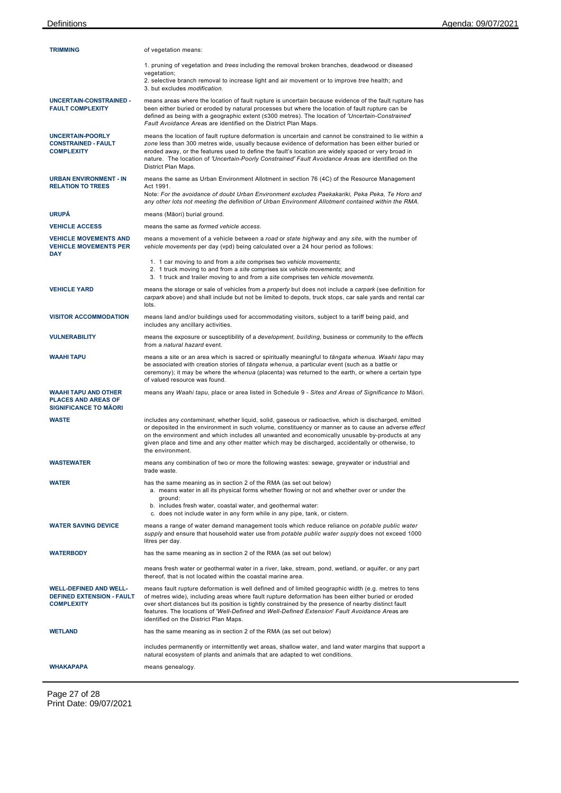| <b>TRIMMING</b>                                                                        | of vegetation means:                                                                                                                                                                                                                                                                                                                                                                                                                                          |
|----------------------------------------------------------------------------------------|---------------------------------------------------------------------------------------------------------------------------------------------------------------------------------------------------------------------------------------------------------------------------------------------------------------------------------------------------------------------------------------------------------------------------------------------------------------|
|                                                                                        | 1. pruning of vegetation and <i>trees</i> including the removal broken branches, deadwood or diseased<br>vegetation;<br>2. selective branch removal to increase light and air movement or to improve tree health; and<br>3. but excludes <i>modification</i> .                                                                                                                                                                                                |
| UNCERTAIN-CONSTRAINED -<br><b>FAULT COMPLEXITY</b>                                     | means areas where the location of fault rupture is uncertain because evidence of the fault rupture has<br>been either buried or eroded by natural processes but where the location of fault rupture can be<br>defined as being with a geographic extent (≤300 metres). The location of 'Uncertain-Constrained'<br>Fault Avoidance Areas are identified on the District Plan Maps.                                                                             |
| <b>UNCERTAIN-POORLY</b><br><b>CONSTRAINED - FAULT</b><br><b>COMPLEXITY</b>             | means the location of fault rupture deformation is uncertain and cannot be constrained to lie within a<br>zone less than 300 metres wide, usually because evidence of deformation has been either buried or<br>eroded away, or the features used to define the fault's location are widely spaced or very broad in<br>nature. The location of 'Uncertain-Poorly Constrained' Fault Avoidance Areas are identified on the<br>District Plan Maps.               |
| <b>URBAN ENVIRONMENT - IN</b><br><b>RELATION TO TREES</b>                              | means the same as Urban Environment Allotment in section 76 (4C) of the Resource Management<br>Act 1991.<br>Note: For the avoidance of doubt Urban Environment excludes Paekakariki, Peka Peka, Te Horo and                                                                                                                                                                                                                                                   |
| <b>URUPĀ</b>                                                                           | any other lots not meeting the definition of Urban Environment Allotment contained within the RMA.                                                                                                                                                                                                                                                                                                                                                            |
| <b>VEHICLE ACCESS</b>                                                                  | means (Māori) burial ground.<br>means the same as formed vehicle access.                                                                                                                                                                                                                                                                                                                                                                                      |
| <b>VEHICLE MOVEMENTS AND</b><br><b>VEHICLE MOVEMENTS PER</b>                           | means a movement of a vehicle between a road or state highway and any site, with the number of<br>vehicle movements per day (vpd) being calculated over a 24 hour period as follows:                                                                                                                                                                                                                                                                          |
| DAY                                                                                    | 1. 1 car moving to and from a site comprises two vehicle movements;<br>2. 1 truck moving to and from a site comprises six vehicle movements; and<br>3. 1 truck and trailer moving to and from a site comprises ten vehicle movements.                                                                                                                                                                                                                         |
| <b>VEHICLE YARD</b>                                                                    | means the storage or sale of vehicles from a <i>property</i> but does not include a carpark (see definition for<br>carpark above) and shall include but not be limited to depots, truck stops, car sale yards and rental car<br>lots.                                                                                                                                                                                                                         |
| <b>VISITOR ACCOMMODATION</b>                                                           | means land and/or buildings used for accommodating visitors, subject to a tariff being paid, and<br>includes any ancillary activities.                                                                                                                                                                                                                                                                                                                        |
| <b>VULNERABILITY</b>                                                                   | means the exposure or susceptibility of a <i>development</i> , building, business or community to the effects<br>from a <i>natural hazard</i> event.                                                                                                                                                                                                                                                                                                          |
| WAAHI TAPU                                                                             | means a site or an area which is sacred or spiritually meaningful to tangata whenua. Waahi tapu may<br>be associated with creation stories of tangata whenua, a particular event (such as a battle or<br>ceremony); it may be where the whenua (placenta) was returned to the earth, or where a certain type<br>of valued resource was found.                                                                                                                 |
| WAAHI TAPU AND OTHER<br><b>PLACES AND AREAS OF</b><br><b>SIGNIFICANCE TO MAORI</b>     | means any Waahi tapu, place or area listed in Schedule 9 - Sites and Areas of Significance to Māori.                                                                                                                                                                                                                                                                                                                                                          |
| <b>WASTE</b>                                                                           | includes any contaminant, whether liquid, solid, gaseous or radioactive, which is discharged, emitted<br>or deposited in the environment in such volume, constituency or manner as to cause an adverse effect<br>on the environment and which includes all unwanted and economically unusable by-products at any<br>given place and time and any other matter which may be discharged, accidentally or otherwise, to<br>the environment.                      |
| WASTEWATER                                                                             | means any combination of two or more the following wastes: sewage, greywater or industrial and<br>trade waste.                                                                                                                                                                                                                                                                                                                                                |
| <b>WATER</b>                                                                           | has the same meaning as in section 2 of the RMA (as set out below)<br>a. means water in all its physical forms whether flowing or not and whether over or under the<br>ground:<br>b. includes fresh water, coastal water, and geothermal water:<br>c. does not include water in any form while in any pipe, tank, or cistern.                                                                                                                                 |
| <b>WATER SAVING DEVICE</b>                                                             | means a range of water demand management tools which reduce reliance on potable public water<br>supply and ensure that household water use from potable public water supply does not exceed 1000<br>litres per day.                                                                                                                                                                                                                                           |
| WATERBODY                                                                              | has the same meaning as in section 2 of the RMA (as set out below)                                                                                                                                                                                                                                                                                                                                                                                            |
|                                                                                        | means fresh water or geothermal water in a river, lake, stream, pond, wetland, or aquifer, or any part<br>thereof, that is not located within the coastal marine area.                                                                                                                                                                                                                                                                                        |
| <b>WELL-DEFINED AND WELL-</b><br><b>DEFINED EXTENSION - FAULT</b><br><b>COMPLEXITY</b> | means fault rupture deformation is well defined and of limited geographic width (e.g. metres to tens<br>of metres wide), including areas where fault rupture deformation has been either buried or eroded<br>over short distances but its position is tightly constrained by the presence of nearby distinct fault<br>features. The locations of 'Well-Defined and Well-Defined Extension' Fault Avoidance Areas are<br>identified on the District Plan Maps. |
| WETLAND                                                                                | has the same meaning as in section 2 of the RMA (as set out below)                                                                                                                                                                                                                                                                                                                                                                                            |
|                                                                                        | includes permanently or intermittently wet areas, shallow water, and land water margins that support a<br>natural ecosystem of plants and animals that are adapted to wet conditions.                                                                                                                                                                                                                                                                         |
| WHAKAPAPA                                                                              | means genealogy.                                                                                                                                                                                                                                                                                                                                                                                                                                              |

Page 27 of 28 Print Date: 09/07/2021